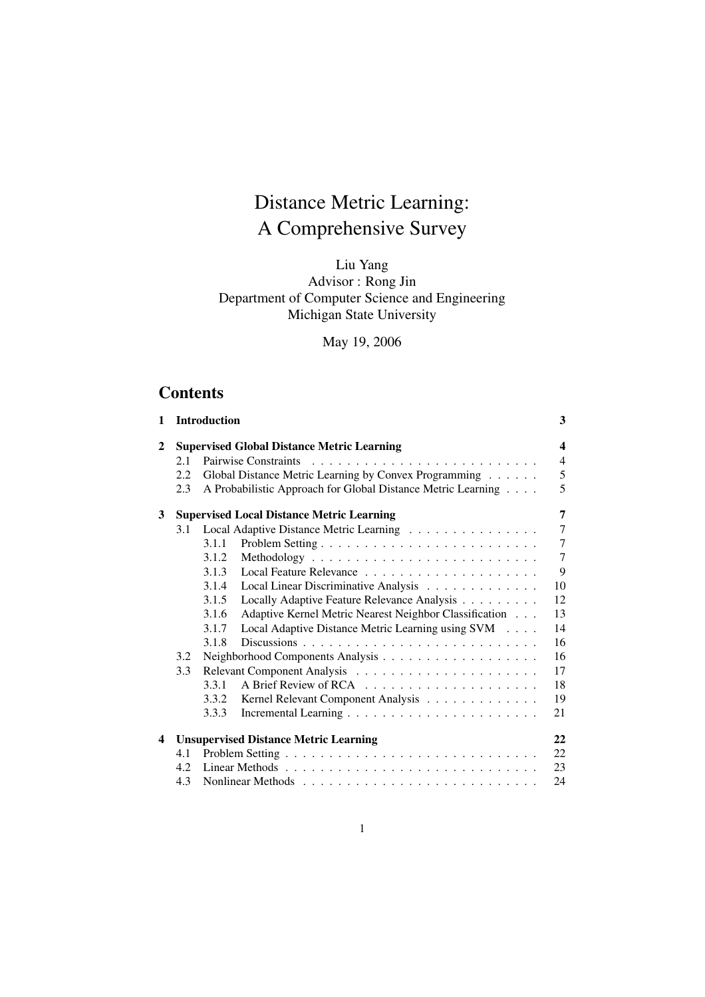# Distance Metric Learning: A Comprehensive Survey

Liu Yang Advisor : Rong Jin Department of Computer Science and Engineering Michigan State University

May 19, 2006

# **Contents**

| 1 |     | <b>Introduction</b>                                             | 3              |
|---|-----|-----------------------------------------------------------------|----------------|
| 2 |     | <b>Supervised Global Distance Metric Learning</b>               | 4              |
|   | 2.1 | Pairwise Constraints                                            | $\overline{4}$ |
|   | 2.2 | Global Distance Metric Learning by Convex Programming           | 5              |
|   | 2.3 | A Probabilistic Approach for Global Distance Metric Learning    | 5              |
| 3 |     | <b>Supervised Local Distance Metric Learning</b>                | 7              |
|   | 3.1 | Local Adaptive Distance Metric Learning                         | $\overline{7}$ |
|   |     | 3.1.1                                                           | $\overline{7}$ |
|   |     | 3.1.2                                                           | $\overline{7}$ |
|   |     | 3.1.3                                                           | 9              |
|   |     | Local Linear Discriminative Analysis<br>3.1.4                   | 10             |
|   |     | 3.1.5<br>Locally Adaptive Feature Relevance Analysis            | 12             |
|   |     | Adaptive Kernel Metric Nearest Neighbor Classification<br>3.1.6 | 13             |
|   |     | 3.1.7<br>Local Adaptive Distance Metric Learning using SVM      | 14             |
|   |     | 3.1.8                                                           | 16             |
|   | 3.2 |                                                                 | 16             |
|   | 3.3 |                                                                 | 17             |
|   |     | 3.3.1                                                           | 18             |
|   |     | 3.3.2<br>Kernel Relevant Component Analysis                     | 19             |
|   |     | 3.3.3                                                           | 21             |
| 4 |     | <b>Unsupervised Distance Metric Learning</b>                    | 22             |
|   | 4.1 |                                                                 | 22             |
|   | 4.2 |                                                                 | 23             |
|   | 4.3 |                                                                 | 24             |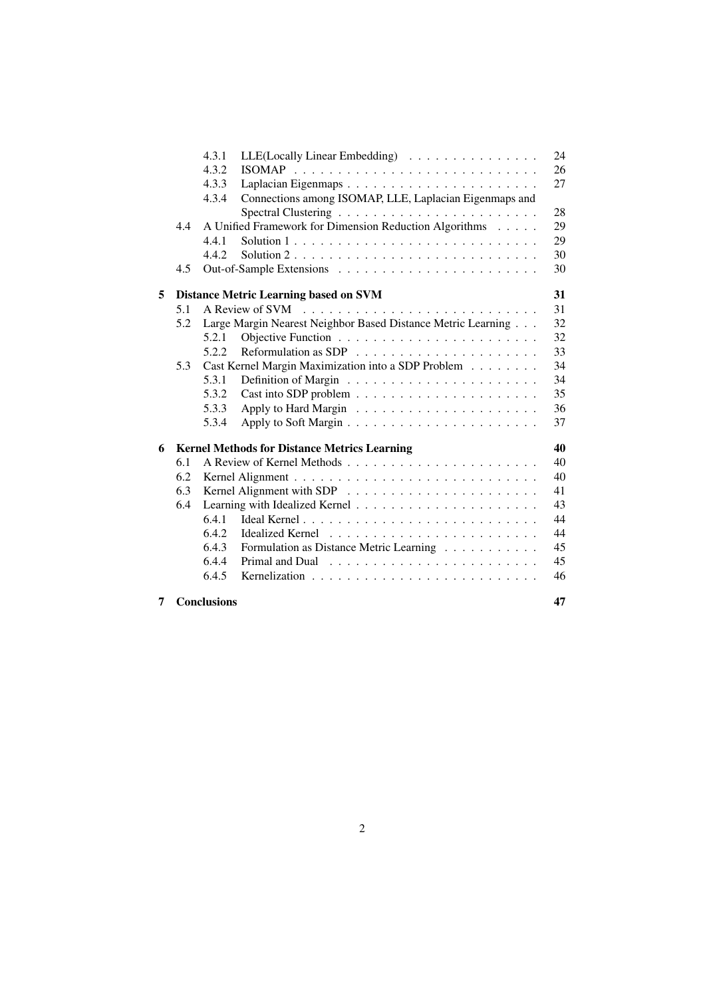|   |     | 4.3.1                                                     | LLE(Locally Linear Embedding)                                | 24 |  |  |  |
|---|-----|-----------------------------------------------------------|--------------------------------------------------------------|----|--|--|--|
|   |     | 4.3.2                                                     |                                                              | 26 |  |  |  |
|   |     | 4.3.3                                                     |                                                              | 27 |  |  |  |
|   |     | 4.3.4                                                     | Connections among ISOMAP, LLE, Laplacian Eigenmaps and       |    |  |  |  |
|   |     |                                                           |                                                              | 28 |  |  |  |
|   | 4.4 |                                                           | A Unified Framework for Dimension Reduction Algorithms       | 29 |  |  |  |
|   |     | 4.4.1                                                     |                                                              | 29 |  |  |  |
|   |     | 4.4.2                                                     |                                                              | 30 |  |  |  |
|   | 4.5 |                                                           |                                                              | 30 |  |  |  |
| 5 |     |                                                           | <b>Distance Metric Learning based on SVM</b>                 | 31 |  |  |  |
|   | 5.1 |                                                           |                                                              | 31 |  |  |  |
|   | 5.2 |                                                           | Large Margin Nearest Neighbor Based Distance Metric Learning | 32 |  |  |  |
|   |     | 5.2.1                                                     |                                                              | 32 |  |  |  |
|   |     | 5.2.2                                                     |                                                              | 33 |  |  |  |
|   | 5.3 |                                                           | Cast Kernel Margin Maximization into a SDP Problem           | 34 |  |  |  |
|   |     | 5.3.1                                                     |                                                              | 34 |  |  |  |
|   |     | 5.3.2                                                     |                                                              | 35 |  |  |  |
|   |     | 5.3.3                                                     |                                                              | 36 |  |  |  |
|   |     | 5.3.4                                                     |                                                              | 37 |  |  |  |
| 6 |     | <b>Kernel Methods for Distance Metrics Learning</b><br>40 |                                                              |    |  |  |  |
|   | 6.1 |                                                           |                                                              | 40 |  |  |  |
|   | 6.2 |                                                           |                                                              | 40 |  |  |  |
|   | 6.3 |                                                           |                                                              | 41 |  |  |  |
|   | 6.4 |                                                           |                                                              | 43 |  |  |  |
|   |     | 6.4.1                                                     |                                                              | 44 |  |  |  |
|   |     | 6.4.2                                                     |                                                              | 44 |  |  |  |
|   |     | 6.4.3                                                     | Formulation as Distance Metric Learning                      | 45 |  |  |  |
|   |     | 6.4.4                                                     |                                                              | 45 |  |  |  |
|   |     | 6.4.5                                                     |                                                              | 46 |  |  |  |
| 7 |     | <b>Conclusions</b>                                        |                                                              | 47 |  |  |  |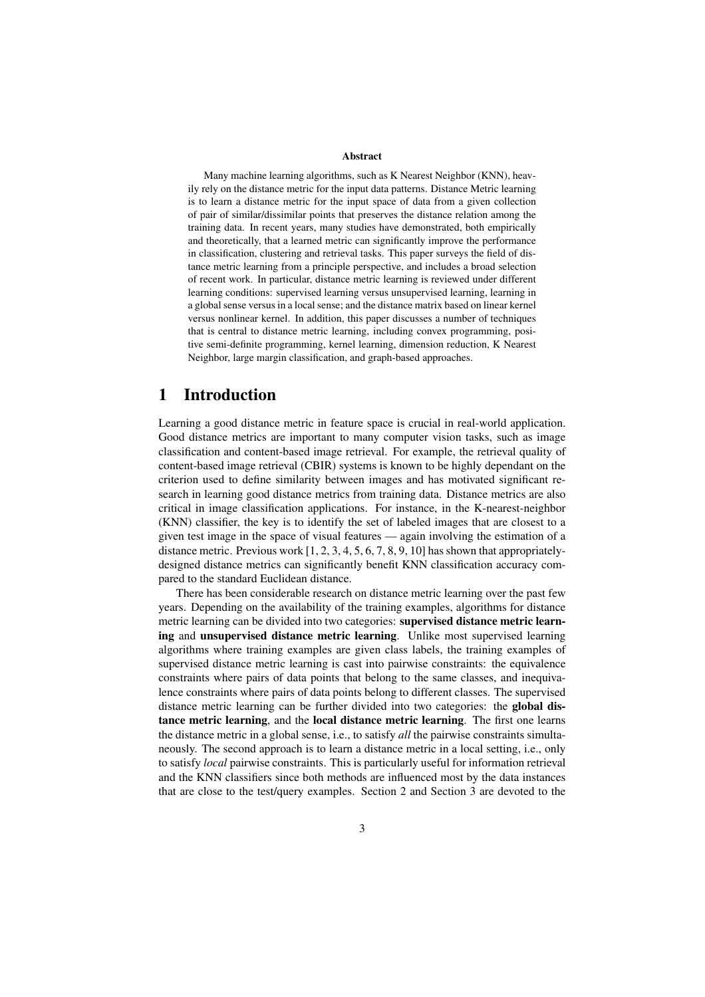#### Abstract

Many machine learning algorithms, such as K Nearest Neighbor (KNN), heavily rely on the distance metric for the input data patterns. Distance Metric learning is to learn a distance metric for the input space of data from a given collection of pair of similar/dissimilar points that preserves the distance relation among the training data. In recent years, many studies have demonstrated, both empirically and theoretically, that a learned metric can significantly improve the performance in classification, clustering and retrieval tasks. This paper surveys the field of distance metric learning from a principle perspective, and includes a broad selection of recent work. In particular, distance metric learning is reviewed under different learning conditions: supervised learning versus unsupervised learning, learning in a global sense versus in a local sense; and the distance matrix based on linear kernel versus nonlinear kernel. In addition, this paper discusses a number of techniques that is central to distance metric learning, including convex programming, positive semi-definite programming, kernel learning, dimension reduction, K Nearest Neighbor, large margin classification, and graph-based approaches.

# 1 Introduction

Learning a good distance metric in feature space is crucial in real-world application. Good distance metrics are important to many computer vision tasks, such as image classification and content-based image retrieval. For example, the retrieval quality of content-based image retrieval (CBIR) systems is known to be highly dependant on the criterion used to define similarity between images and has motivated significant research in learning good distance metrics from training data. Distance metrics are also critical in image classification applications. For instance, in the K-nearest-neighbor (KNN) classifier, the key is to identify the set of labeled images that are closest to a given test image in the space of visual features — again involving the estimation of a distance metric. Previous work [1, 2, 3, 4, 5, 6, 7, 8, 9, 10] has shown that appropriatelydesigned distance metrics can significantly benefit KNN classification accuracy compared to the standard Euclidean distance.

There has been considerable research on distance metric learning over the past few years. Depending on the availability of the training examples, algorithms for distance metric learning can be divided into two categories: supervised distance metric learning and unsupervised distance metric learning. Unlike most supervised learning algorithms where training examples are given class labels, the training examples of supervised distance metric learning is cast into pairwise constraints: the equivalence constraints where pairs of data points that belong to the same classes, and inequivalence constraints where pairs of data points belong to different classes. The supervised distance metric learning can be further divided into two categories: the global distance metric learning, and the local distance metric learning. The first one learns the distance metric in a global sense, i.e., to satisfy *all* the pairwise constraints simultaneously. The second approach is to learn a distance metric in a local setting, i.e., only to satisfy *local* pairwise constraints. This is particularly useful for information retrieval and the KNN classifiers since both methods are influenced most by the data instances that are close to the test/query examples. Section 2 and Section 3 are devoted to the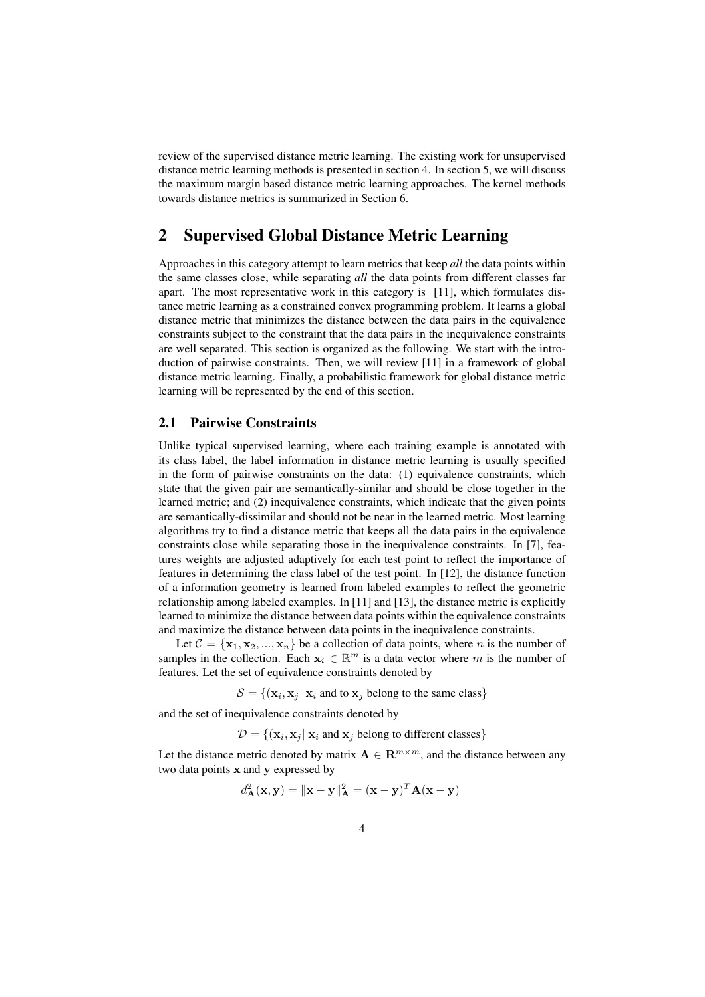review of the supervised distance metric learning. The existing work for unsupervised distance metric learning methods is presented in section 4. In section 5, we will discuss the maximum margin based distance metric learning approaches. The kernel methods towards distance metrics is summarized in Section 6.

# 2 Supervised Global Distance Metric Learning

Approaches in this category attempt to learn metrics that keep *all* the data points within the same classes close, while separating *all* the data points from different classes far apart. The most representative work in this category is [11], which formulates distance metric learning as a constrained convex programming problem. It learns a global distance metric that minimizes the distance between the data pairs in the equivalence constraints subject to the constraint that the data pairs in the inequivalence constraints are well separated. This section is organized as the following. We start with the introduction of pairwise constraints. Then, we will review [11] in a framework of global distance metric learning. Finally, a probabilistic framework for global distance metric learning will be represented by the end of this section.

## 2.1 Pairwise Constraints

Unlike typical supervised learning, where each training example is annotated with its class label, the label information in distance metric learning is usually specified in the form of pairwise constraints on the data: (1) equivalence constraints, which state that the given pair are semantically-similar and should be close together in the learned metric; and (2) inequivalence constraints, which indicate that the given points are semantically-dissimilar and should not be near in the learned metric. Most learning algorithms try to find a distance metric that keeps all the data pairs in the equivalence constraints close while separating those in the inequivalence constraints. In [7], features weights are adjusted adaptively for each test point to reflect the importance of features in determining the class label of the test point. In [12], the distance function of a information geometry is learned from labeled examples to reflect the geometric relationship among labeled examples. In [11] and [13], the distance metric is explicitly learned to minimize the distance between data points within the equivalence constraints and maximize the distance between data points in the inequivalence constraints.

Let  $\mathcal{C} = {\mathbf{x}_1, \mathbf{x}_2, ..., \mathbf{x}_n}$  be a collection of data points, where *n* is the number of samples in the collection. Each  $x_i \in \mathbb{R}^m$  is a data vector where m is the number of features. Let the set of equivalence constraints denoted by

 $S = \{(\mathbf{x}_i, \mathbf{x}_j | \mathbf{x}_i \text{ and to } \mathbf{x}_j \text{ belong to the same class}\}\$ 

and the set of inequivalence constraints denoted by

 $D = \{(\mathbf{x}_i, \mathbf{x}_j | \mathbf{x}_i \text{ and } \mathbf{x}_j \text{ belong to different classes}\}\)$ 

Let the distance metric denoted by matrix  $A \in \mathbb{R}^{m \times m}$ , and the distance between any two data points x and y expressed by

$$
d_{\mathbf{A}}^{2}(\mathbf{x}, \mathbf{y}) = \|\mathbf{x} - \mathbf{y}\|_{\mathbf{A}}^{2} = (\mathbf{x} - \mathbf{y})^{T} \mathbf{A}(\mathbf{x} - \mathbf{y})
$$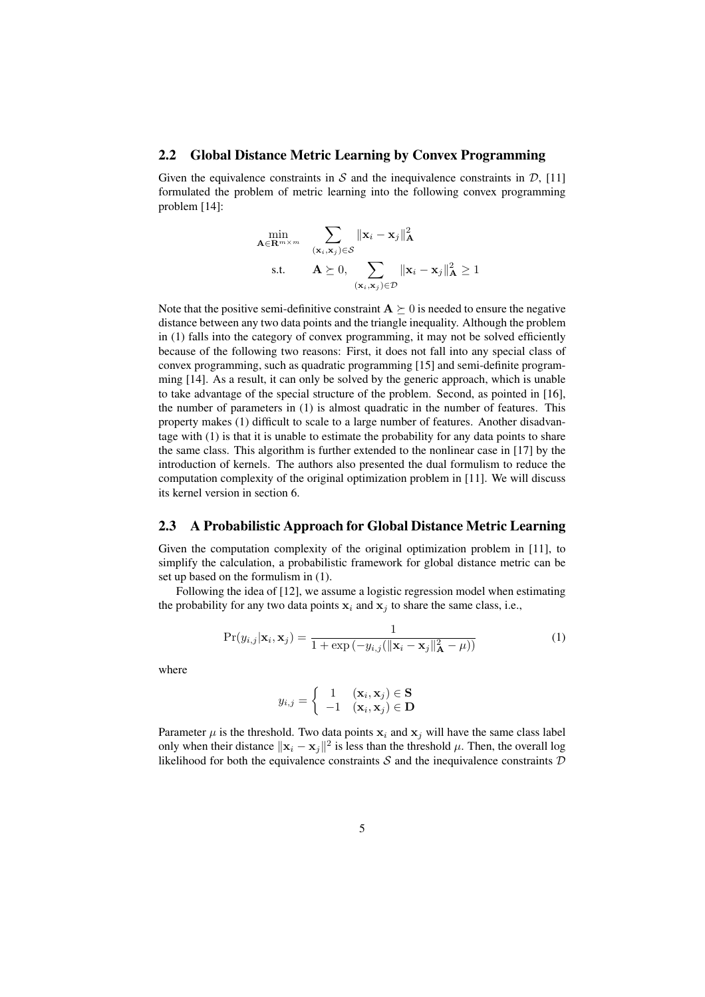#### 2.2 Global Distance Metric Learning by Convex Programming

Given the equivalence constraints in S and the inequivalence constraints in  $\mathcal{D}$ , [11] formulated the problem of metric learning into the following convex programming problem [14]:

$$
\min_{\mathbf{A}\in\mathbf{R}^{m\times m}} \sum_{(\mathbf{x}_i,\mathbf{x}_j)\in\mathcal{S}} \|\mathbf{x}_i - \mathbf{x}_j\|_{\mathbf{A}}^2
$$
\ns.t. 
$$
\mathbf{A} \succeq 0, \sum_{(\mathbf{x}_i,\mathbf{x}_j)\in\mathcal{D}} \|\mathbf{x}_i - \mathbf{x}_j\|_{\mathbf{A}}^2 \ge 1
$$

Note that the positive semi-definitive constraint  $A \succeq 0$  is needed to ensure the negative distance between any two data points and the triangle inequality. Although the problem in (1) falls into the category of convex programming, it may not be solved efficiently because of the following two reasons: First, it does not fall into any special class of convex programming, such as quadratic programming [15] and semi-definite programming [14]. As a result, it can only be solved by the generic approach, which is unable to take advantage of the special structure of the problem. Second, as pointed in [16], the number of parameters in (1) is almost quadratic in the number of features. This property makes (1) difficult to scale to a large number of features. Another disadvantage with (1) is that it is unable to estimate the probability for any data points to share the same class. This algorithm is further extended to the nonlinear case in [17] by the introduction of kernels. The authors also presented the dual formulism to reduce the computation complexity of the original optimization problem in [11]. We will discuss its kernel version in section 6.

### 2.3 A Probabilistic Approach for Global Distance Metric Learning

Given the computation complexity of the original optimization problem in [11], to simplify the calculation, a probabilistic framework for global distance metric can be set up based on the formulism in (1).

Following the idea of [12], we assume a logistic regression model when estimating the probability for any two data points  $x_i$  and  $x_j$  to share the same class, i.e.,

$$
\Pr(y_{i,j}|\mathbf{x}_i,\mathbf{x}_j) = \frac{1}{1+\exp(-y_{i,j}(\|\mathbf{x}_i-\mathbf{x}_j\|_{\mathbf{A}}^2-\mu))}
$$
(1)

where

$$
y_{i,j} = \begin{cases} 1 & (\mathbf{x}_i, \mathbf{x}_j) \in \mathbf{S} \\ -1 & (\mathbf{x}_i, \mathbf{x}_j) \in \mathbf{D} \end{cases}
$$

Parameter  $\mu$  is the threshold. Two data points  $x_i$  and  $x_j$  will have the same class label only when their distance  $\|\mathbf{x}_i - \mathbf{x}_j\|^2$  is less than the threshold  $\mu$ . Then, the overall log likelihood for both the equivalence constraints S and the inequivalence constraints  $D$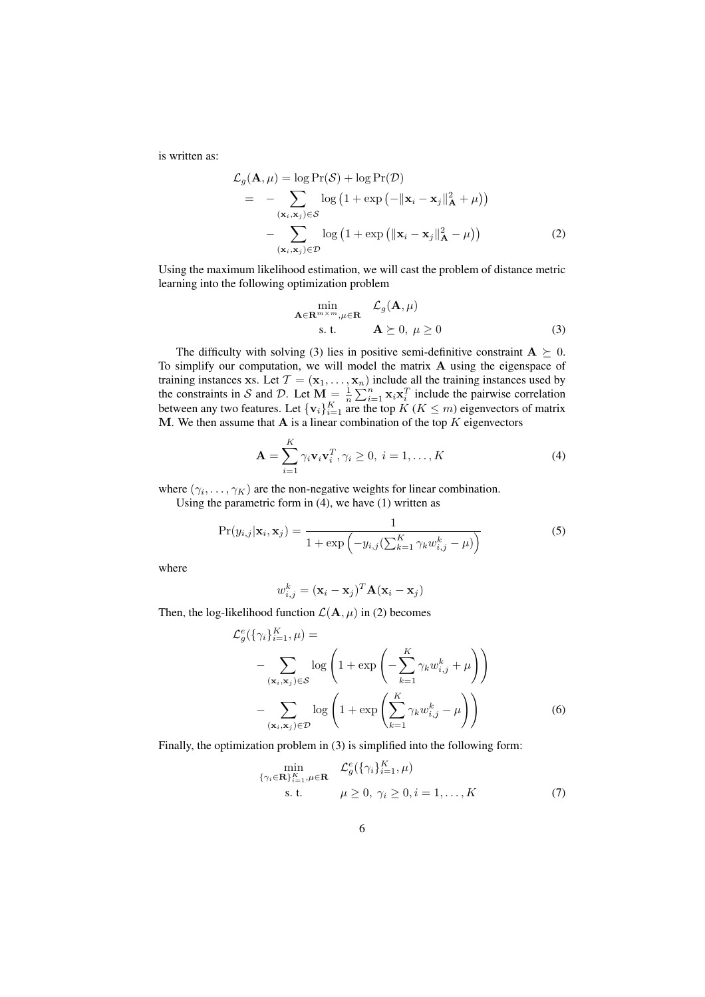is written as:

$$
\mathcal{L}_{g}(\mathbf{A}, \mu) = \log \Pr(\mathcal{S}) + \log \Pr(\mathcal{D})
$$
\n
$$
= - \sum_{(\mathbf{x}_{i}, \mathbf{x}_{j}) \in \mathcal{S}} \log (1 + \exp(-\|\mathbf{x}_{i} - \mathbf{x}_{j}\|_{\mathbf{A}}^{2} + \mu))
$$
\n
$$
- \sum_{(\mathbf{x}_{i}, \mathbf{x}_{j}) \in \mathcal{D}} \log (1 + \exp(\|\mathbf{x}_{i} - \mathbf{x}_{j}\|_{\mathbf{A}}^{2} - \mu)) \tag{2}
$$

Using the maximum likelihood estimation, we will cast the problem of distance metric learning into the following optimization problem

$$
\min_{\mathbf{A}\in\mathbf{R}^{m\times m},\mu\in\mathbf{R}}\quad\mathcal{L}_{g}(\mathbf{A},\mu)
$$
\ns. t. 
$$
\mathbf{A}\succeq 0, \ \mu\geq 0
$$
\n(3)

The difficulty with solving (3) lies in positive semi-definitive constraint  $A \succeq 0$ . To simplify our computation, we will model the matrix A using the eigenspace of training instances xs. Let  $\mathcal{T} = (\mathbf{x}_1, \dots, \mathbf{x}_n)$  include all the training instances used by the constraints in S and D. Let  $\mathbf{M} = \frac{1}{n}$  $\sum_{i=1}^{n}$  x<sub>i</sub>x $\overline{X}_i^T$  include the pairwise correlation between any two features. Let  $\{v_i\}_{i=1}^K$  are the top  $K$  ( $K \leq m$ ) eigenvectors of matrix M. We then assume that  $A$  is a linear combination of the top  $K$  eigenvectors

$$
\mathbf{A} = \sum_{i=1}^{K} \gamma_i \mathbf{v}_i \mathbf{v}_i^T, \gamma_i \ge 0, \ i = 1, \dots, K
$$
 (4)

where  $(\gamma_i, \dots, \gamma_K)$  are the non-negative weights for linear combination.

Using the parametric form in (4), we have (1) written as

$$
\Pr(y_{i,j}|\mathbf{x}_i, \mathbf{x}_j) = \frac{1}{1 + \exp\left(-y_{i,j}\left(\sum_{k=1}^K \gamma_k w_{i,j}^k - \mu\right)\right)}
$$
(5)

where

$$
w_{i,j}^k = (\mathbf{x}_i - \mathbf{x}_j)^T \mathbf{A} (\mathbf{x}_i - \mathbf{x}_j)
$$

Then, the log-likelihood function  $\mathcal{L}(\mathbf{A}, \mu)$  in (2) becomes

$$
\mathcal{L}_g^e(\{\gamma_i\}_{i=1}^K, \mu) =
$$
  
- 
$$
\sum_{(\mathbf{x}_i, \mathbf{x}_j) \in S} \log \left(1 + \exp\left(-\sum_{k=1}^K \gamma_k w_{i,j}^k + \mu\right)\right)
$$
  
- 
$$
\sum_{(\mathbf{x}_i, \mathbf{x}_j) \in \mathcal{D}} \log \left(1 + \exp\left(\sum_{k=1}^K \gamma_k w_{i,j}^k - \mu\right)\right)
$$
(6)

Finally, the optimization problem in (3) is simplified into the following form:

$$
\min_{\{\gamma_i \in \mathbf{R}\}_{i=1}^K, \mu \in \mathbf{R}} \quad \mathcal{L}_g^e(\{\gamma_i\}_{i=1}^K, \mu)
$$
\n
$$
\text{s.t.} \quad \mu \ge 0, \ \gamma_i \ge 0, i = 1, \dots, K \tag{7}
$$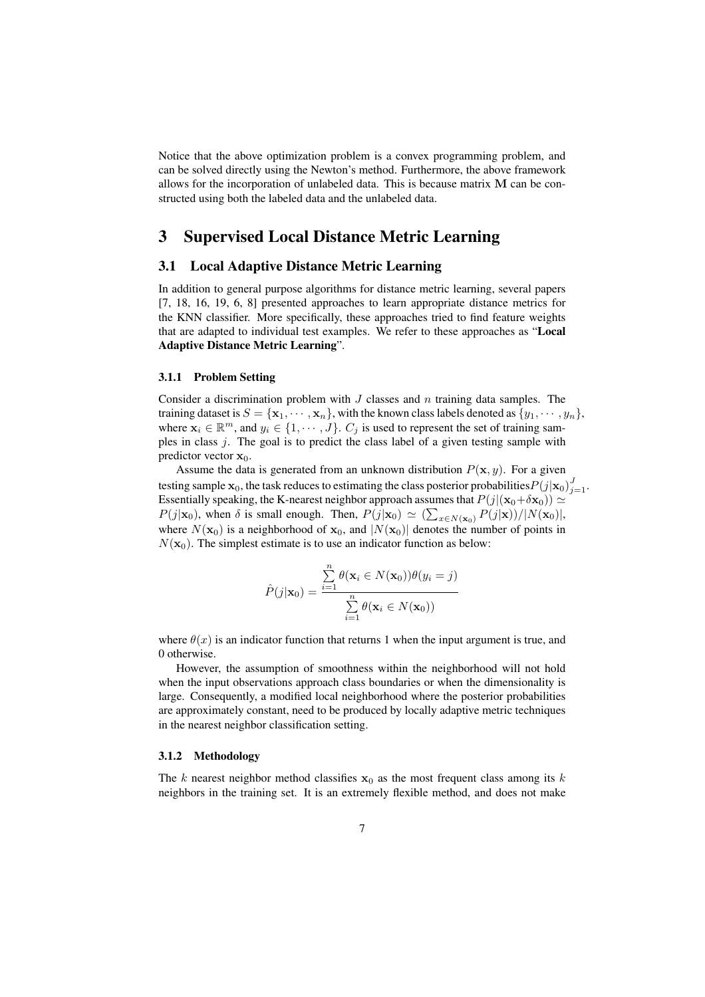Notice that the above optimization problem is a convex programming problem, and can be solved directly using the Newton's method. Furthermore, the above framework allows for the incorporation of unlabeled data. This is because matrix M can be constructed using both the labeled data and the unlabeled data.

# 3 Supervised Local Distance Metric Learning

### 3.1 Local Adaptive Distance Metric Learning

In addition to general purpose algorithms for distance metric learning, several papers [7, 18, 16, 19, 6, 8] presented approaches to learn appropriate distance metrics for the KNN classifier. More specifically, these approaches tried to find feature weights that are adapted to individual test examples. We refer to these approaches as "Local Adaptive Distance Metric Learning".

#### 3.1.1 Problem Setting

Consider a discrimination problem with  $J$  classes and  $n$  training data samples. The training dataset is  $S = {\mathbf{x}_1, \dots, \mathbf{x}_n}$ , with the known class labels denoted as  $\{y_1, \dots, y_n\}$ , where  $\mathbf{x}_i \in \mathbb{R}^m$ , and  $y_i \in \{1, \dots, J\}$ .  $C_j$  is used to represent the set of training samples in class j. The goal is to predict the class label of a given testing sample with predictor vector  $x_0$ .

Assume the data is generated from an unknown distribution  $P(\mathbf{x}, y)$ . For a given testing sample  $\mathbf{x}_0$ , the task reduces to estimating the class posterior probabilities  $P(j|\mathbf{x}_0)_{j=1}^J$ . Essentially speaking, the K-nearest neighbor approach assumes that  $P(j|(\mathbf{x}_0+\delta\mathbf{x}_0)) \simeq$  $P(j|\mathbf{x}_0)$ , when  $\delta$  is small enough. Then,  $P(j|\mathbf{x}_0) \simeq (\sum_{x \in N(\mathbf{x}_0)} P(j|\mathbf{x}))/|N(\mathbf{x}_0)|$ , where  $N(\mathbf{x}_0)$  is a neighborhood of  $\mathbf{x}_0$ , and  $|N(\mathbf{x}_0)|$  denotes the number of points in  $N(\mathbf{x}_0)$ . The simplest estimate is to use an indicator function as below:

$$
\hat{P}(j|\mathbf{x}_0) = \frac{\sum_{i=1}^n \theta(\mathbf{x}_i \in N(\mathbf{x}_0))\theta(y_i = j)}{\sum_{i=1}^n \theta(\mathbf{x}_i \in N(\mathbf{x}_0))}
$$

where  $\theta(x)$  is an indicator function that returns 1 when the input argument is true, and 0 otherwise.

However, the assumption of smoothness within the neighborhood will not hold when the input observations approach class boundaries or when the dimensionality is large. Consequently, a modified local neighborhood where the posterior probabilities are approximately constant, need to be produced by locally adaptive metric techniques in the nearest neighbor classification setting.

#### 3.1.2 Methodology

The k nearest neighbor method classifies  $x_0$  as the most frequent class among its k neighbors in the training set. It is an extremely flexible method, and does not make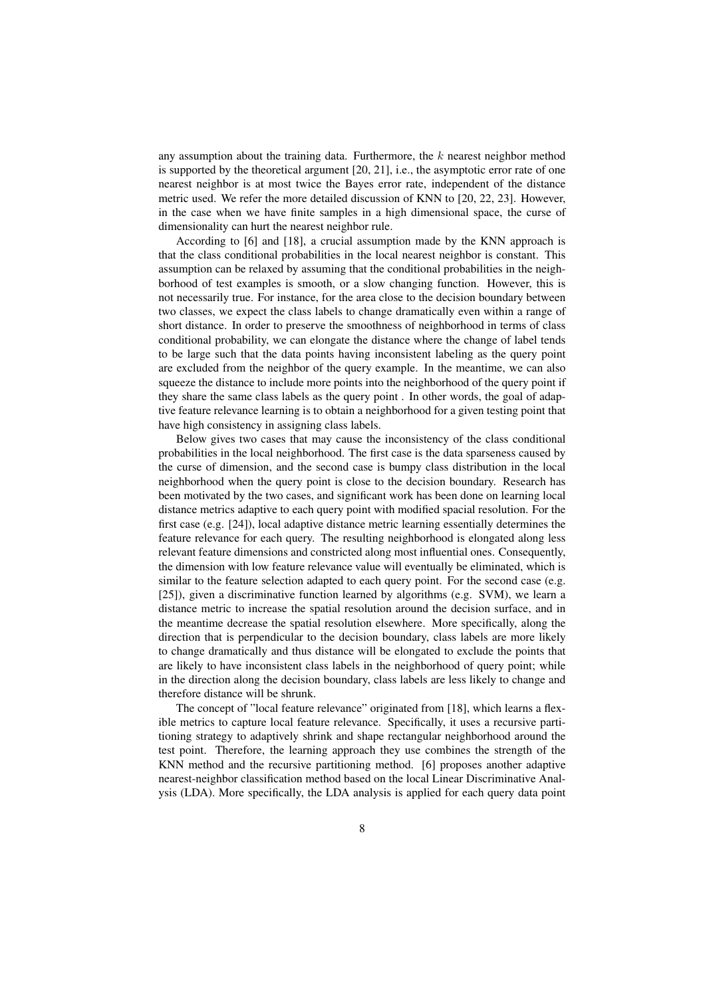any assumption about the training data. Furthermore, the  $k$  nearest neighbor method is supported by the theoretical argument [20, 21], i.e., the asymptotic error rate of one nearest neighbor is at most twice the Bayes error rate, independent of the distance metric used. We refer the more detailed discussion of KNN to [20, 22, 23]. However, in the case when we have finite samples in a high dimensional space, the curse of dimensionality can hurt the nearest neighbor rule.

According to [6] and [18], a crucial assumption made by the KNN approach is that the class conditional probabilities in the local nearest neighbor is constant. This assumption can be relaxed by assuming that the conditional probabilities in the neighborhood of test examples is smooth, or a slow changing function. However, this is not necessarily true. For instance, for the area close to the decision boundary between two classes, we expect the class labels to change dramatically even within a range of short distance. In order to preserve the smoothness of neighborhood in terms of class conditional probability, we can elongate the distance where the change of label tends to be large such that the data points having inconsistent labeling as the query point are excluded from the neighbor of the query example. In the meantime, we can also squeeze the distance to include more points into the neighborhood of the query point if they share the same class labels as the query point . In other words, the goal of adaptive feature relevance learning is to obtain a neighborhood for a given testing point that have high consistency in assigning class labels.

Below gives two cases that may cause the inconsistency of the class conditional probabilities in the local neighborhood. The first case is the data sparseness caused by the curse of dimension, and the second case is bumpy class distribution in the local neighborhood when the query point is close to the decision boundary. Research has been motivated by the two cases, and significant work has been done on learning local distance metrics adaptive to each query point with modified spacial resolution. For the first case (e.g. [24]), local adaptive distance metric learning essentially determines the feature relevance for each query. The resulting neighborhood is elongated along less relevant feature dimensions and constricted along most influential ones. Consequently, the dimension with low feature relevance value will eventually be eliminated, which is similar to the feature selection adapted to each query point. For the second case (e.g. [25]), given a discriminative function learned by algorithms (e.g. SVM), we learn a distance metric to increase the spatial resolution around the decision surface, and in the meantime decrease the spatial resolution elsewhere. More specifically, along the direction that is perpendicular to the decision boundary, class labels are more likely to change dramatically and thus distance will be elongated to exclude the points that are likely to have inconsistent class labels in the neighborhood of query point; while in the direction along the decision boundary, class labels are less likely to change and therefore distance will be shrunk.

The concept of "local feature relevance" originated from [18], which learns a flexible metrics to capture local feature relevance. Specifically, it uses a recursive partitioning strategy to adaptively shrink and shape rectangular neighborhood around the test point. Therefore, the learning approach they use combines the strength of the KNN method and the recursive partitioning method. [6] proposes another adaptive nearest-neighbor classification method based on the local Linear Discriminative Analysis (LDA). More specifically, the LDA analysis is applied for each query data point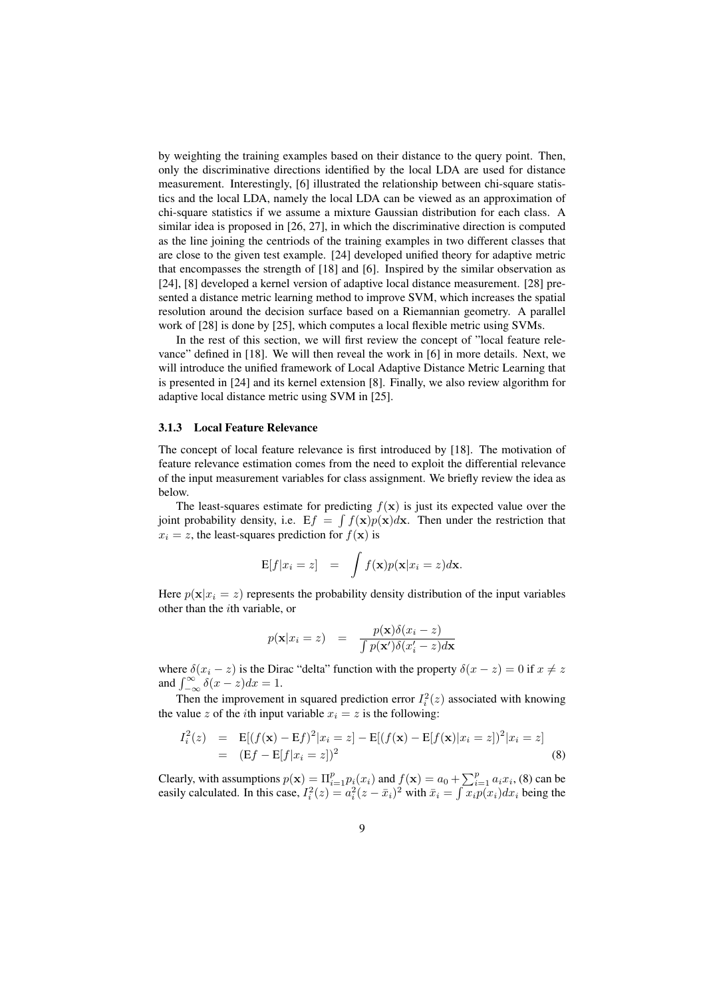by weighting the training examples based on their distance to the query point. Then, only the discriminative directions identified by the local LDA are used for distance measurement. Interestingly, [6] illustrated the relationship between chi-square statistics and the local LDA, namely the local LDA can be viewed as an approximation of chi-square statistics if we assume a mixture Gaussian distribution for each class. A similar idea is proposed in [26, 27], in which the discriminative direction is computed as the line joining the centriods of the training examples in two different classes that are close to the given test example. [24] developed unified theory for adaptive metric that encompasses the strength of [18] and [6]. Inspired by the similar observation as [24], [8] developed a kernel version of adaptive local distance measurement. [28] presented a distance metric learning method to improve SVM, which increases the spatial resolution around the decision surface based on a Riemannian geometry. A parallel work of [28] is done by [25], which computes a local flexible metric using SVMs.

In the rest of this section, we will first review the concept of "local feature relevance" defined in [18]. We will then reveal the work in [6] in more details. Next, we will introduce the unified framework of Local Adaptive Distance Metric Learning that is presented in [24] and its kernel extension [8]. Finally, we also review algorithm for adaptive local distance metric using SVM in [25].

#### 3.1.3 Local Feature Relevance

The concept of local feature relevance is first introduced by [18]. The motivation of feature relevance estimation comes from the need to exploit the differential relevance of the input measurement variables for class assignment. We briefly review the idea as below.

The least-squares estimate for predicting  $f(\mathbf{x})$  is just its expected value over the joint probability density, i.e.  $Ef = \int f(x)p(x)dx$ . Then under the restriction that  $x_i = z$ , the least-squares prediction for  $f(\mathbf{x})$  is

$$
E[f|x_i = z] = \int f(\mathbf{x})p(\mathbf{x}|x_i = z)d\mathbf{x}.
$$

Here  $p(x|x_i = z)$  represents the probability density distribution of the input variables other than the ith variable, or

$$
p(\mathbf{x}|x_i = z) = \frac{p(\mathbf{x})\delta(x_i - z)}{\int p(\mathbf{x'})\delta(x'_i - z)d\mathbf{x}}
$$

where  $\delta(x_i - z)$  is the Dirac "delta" function with the property  $\delta(x - z) = 0$  if  $x \neq z$ where  $\delta(x_i - z)$  is the Dir and  $\int_{-\infty}^{\infty} \delta(x - z) dx = 1$ .

Then the improvement in squared prediction error  $I_i^2(z)$  associated with knowing the value z of the *i*th input variable  $x_i = z$  is the following:

$$
I_i^2(z) = \mathbf{E}[(f(\mathbf{x}) - \mathbf{E}f)^2 | x_i = z] - \mathbf{E}[(f(\mathbf{x}) - \mathbf{E}[f(\mathbf{x}) | x_i = z])^2 | x_i = z]
$$
  
=  $(\mathbf{E}f - \mathbf{E}[f | x_i = z])^2$  (8)

Clearly, with assumptions  $p(\mathbf{x}) = \Pi_{i=1}^p p_i(x_i)$  and  $f(\mathbf{x}) = a_0 + \sum_{i=1}^p a_i x_i$ , (8) can be Clearly, with assumptions  $p(\mathbf{x}) = \mathbf{n}_{i=1}^T p_i(x_i)$  and  $f(\mathbf{x}) = a_0 +$ <br>easily calculated. In this case,  $I_i^2(z) = a_i^2(z - \bar{x}_i)^2$  with  $\bar{x}_i = \int$  $x_i p(x_i) dx_i$  being the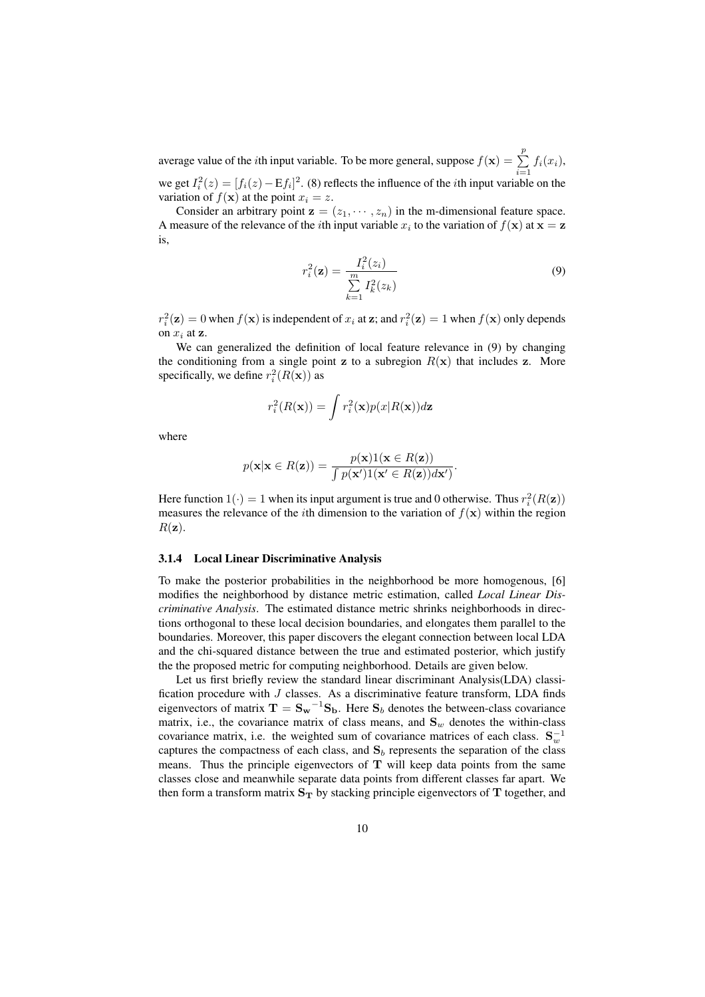average value of the *i*th input variable. To be more general, suppose  $f(\mathbf{x}) = \sum_{i=1}^{p} p_i$  $\sum_{i=1}$   $f_i(x_i)$ , we get  $I_i^2(z) = [f_i(z) - Ef_i]^2$ . (8) reflects the influence of the *i*th input variable on the variation of  $f(\mathbf{x})$  at the point  $x_i = z$ .

Consider an arbitrary point  $z = (z_1, \dots, z_n)$  in the m-dimensional feature space. A measure of the relevance of the *i*th input variable  $x_i$  to the variation of  $f(\mathbf{x})$  at  $\mathbf{x} = \mathbf{z}$ is,

$$
r_i^2(\mathbf{z}) = \frac{I_i^2(z_i)}{\sum_{k=1}^m I_k^2(z_k)}
$$
(9)

 $r_i^2(\mathbf{z}) = 0$  when  $f(\mathbf{x})$  is independent of  $x_i$  at  $\mathbf{z}$ ; and  $r_i^2(\mathbf{z}) = 1$  when  $f(\mathbf{x})$  only depends on  $x_i$  at  $z$ .

We can generalized the definition of local feature relevance in (9) by changing the conditioning from a single point z to a subregion  $R(x)$  that includes z. More specifically, we define  $r_i^2(R(\mathbf{x}))$  as

$$
r_i^2(R(\mathbf{x})) = \int r_i^2(\mathbf{x}) p(x|R(\mathbf{x})) d\mathbf{z}
$$

where

$$
p(\mathbf{x}|\mathbf{x} \in R(\mathbf{z})) = \frac{p(\mathbf{x})1(\mathbf{x} \in R(\mathbf{z}))}{\int p(\mathbf{x}')1(\mathbf{x}' \in R(\mathbf{z}))d\mathbf{x}'}.
$$

Here function  $1(\cdot) = 1$  when its input argument is true and 0 otherwise. Thus  $r_i^2(R(\mathbf{z}))$ measures the relevance of the *i*th dimension to the variation of  $f(x)$  within the region  $R(\mathbf{z}).$ 

#### 3.1.4 Local Linear Discriminative Analysis

To make the posterior probabilities in the neighborhood be more homogenous, [6] modifies the neighborhood by distance metric estimation, called *Local Linear Discriminative Analysis*. The estimated distance metric shrinks neighborhoods in directions orthogonal to these local decision boundaries, and elongates them parallel to the boundaries. Moreover, this paper discovers the elegant connection between local LDA and the chi-squared distance between the true and estimated posterior, which justify the the proposed metric for computing neighborhood. Details are given below.

Let us first briefly review the standard linear discriminant Analysis(LDA) classification procedure with J classes. As a discriminative feature transform, LDA finds eigenvectors of matrix  $T = S_w^{-1}S_b$ . Here  $S_b$  denotes the between-class covariance matrix, i.e., the covariance matrix of class means, and  $S_w$  denotes the within-class covariance matrix, i.e. the weighted sum of covariance matrices of each class.  $S_w^{-1}$ captures the compactness of each class, and  $S_b$  represents the separation of the class means. Thus the principle eigenvectors of  $T$  will keep data points from the same classes close and meanwhile separate data points from different classes far apart. We then form a transform matrix  $S_T$  by stacking principle eigenvectors of T together, and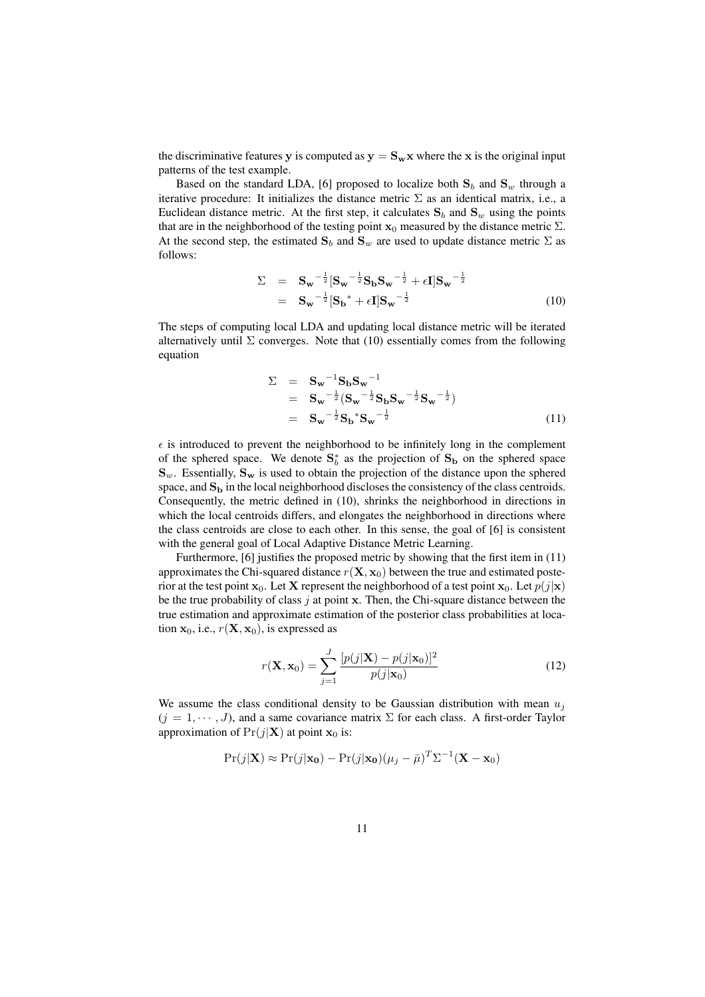the discriminative features y is computed as  $y = S_w x$  where the x is the original input patterns of the test example.

Based on the standard LDA, [6] proposed to localize both  $S_b$  and  $S_w$  through a iterative procedure: It initializes the distance metric  $\Sigma$  as an identical matrix, i.e., a Euclidean distance metric. At the first step, it calculates  $S_b$  and  $S_w$  using the points that are in the neighborhood of the testing point  $x_0$  measured by the distance metric  $\Sigma$ . At the second step, the estimated  $S_b$  and  $S_w$  are used to update distance metric  $\Sigma$  as follows:

$$
\Sigma = S_w^{-\frac{1}{2}} [S_w^{-\frac{1}{2}} S_b S_w^{-\frac{1}{2}} + \epsilon I] S_w^{-\frac{1}{2}}
$$
  
=  $S_w^{-\frac{1}{2}} [S_b^* + \epsilon I] S_w^{-\frac{1}{2}}$  (10)

The steps of computing local LDA and updating local distance metric will be iterated alternatively until  $\Sigma$  converges. Note that (10) essentially comes from the following equation

$$
\Sigma = S_{w}^{-1} S_{b} S_{w}^{-1}
$$
  
=  $S_{w}^{-\frac{1}{2}} (S_{w}^{-\frac{1}{2}} S_{b} S_{w}^{-\frac{1}{2}} S_{w}^{-\frac{1}{2}})$   
=  $S_{w}^{-\frac{1}{2}} S_{b}^{*} S_{w}^{-\frac{1}{2}}$  (11)

 $\epsilon$  is introduced to prevent the neighborhood to be infinitely long in the complement of the sphered space. We denote  $S_b^*$  as the projection of  $S_b$  on the sphered space  $\mathbf{S}_w$ . Essentially,  $\mathbf{S}_w$  is used to obtain the projection of the distance upon the sphered space, and  $S<sub>b</sub>$  in the local neighborhood discloses the consistency of the class centroids. Consequently, the metric defined in (10), shrinks the neighborhood in directions in which the local centroids differs, and elongates the neighborhood in directions where the class centroids are close to each other. In this sense, the goal of [6] is consistent with the general goal of Local Adaptive Distance Metric Learning.

Furthermore, [6] justifies the proposed metric by showing that the first item in (11) approximates the Chi-squared distance  $r(\mathbf{X}, \mathbf{x}_0)$  between the true and estimated posterior at the test point  $x_0$ . Let X represent the neighborhood of a test point  $x_0$ . Let  $p(j|x)$ be the true probability of class  $j$  at point x. Then, the Chi-square distance between the true estimation and approximate estimation of the posterior class probabilities at location  $x_0$ , i.e.,  $r(X, x_0)$ , is expressed as

$$
r(\mathbf{X}, \mathbf{x}_0) = \sum_{j=1}^{J} \frac{[p(j|\mathbf{X}) - p(j|\mathbf{x}_0)]^2}{p(j|\mathbf{x}_0)}
$$
(12)

We assume the class conditional density to be Gaussian distribution with mean  $u_i$  $(j = 1, \dots, J)$ , and a same covariance matrix  $\Sigma$  for each class. A first-order Taylor approximation of  $Pr(j|\mathbf{X})$  at point  $\mathbf{x}_0$  is:

$$
Pr(j|\mathbf{X}) \approx Pr(j|\mathbf{x_0}) - Pr(j|\mathbf{x_0})(\mu_j - \bar{\mu})^T \Sigma^{-1} (\mathbf{X} - \mathbf{x_0})
$$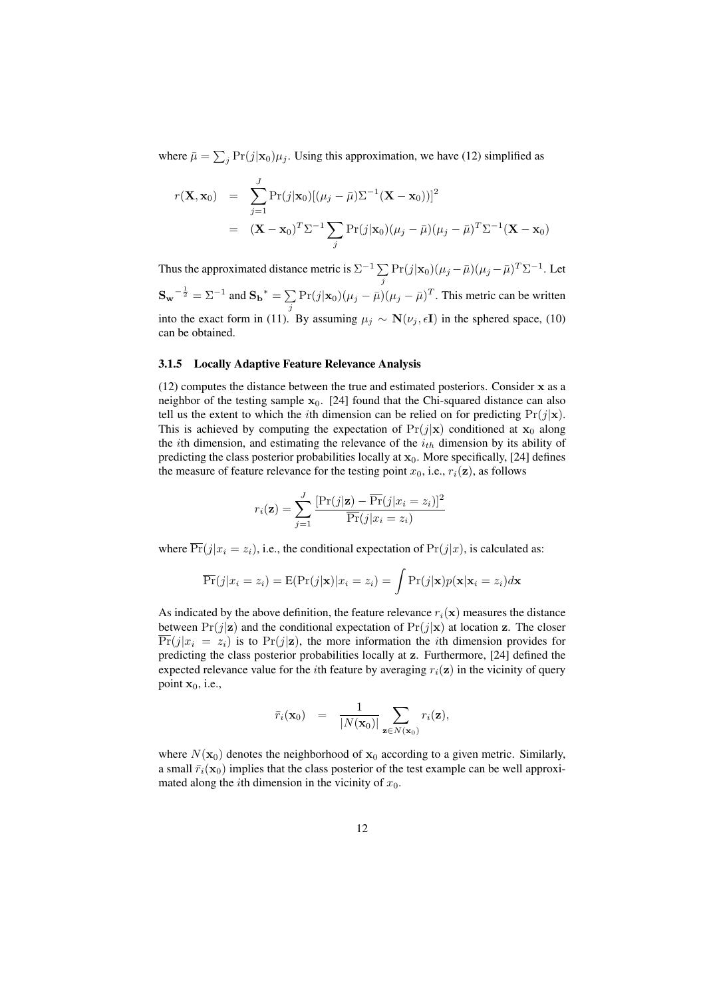where  $\bar{\mu} = \sum_j \Pr(j|\mathbf{x}_0)\mu_j$ . Using this approximation, we have (12) simplified as

$$
r(\mathbf{X}, \mathbf{x}_0) = \sum_{j=1}^{J} \Pr(j|\mathbf{x}_0)[(\mu_j - \bar{\mu})\Sigma^{-1}(\mathbf{X} - \mathbf{x}_0))]^2
$$
  
= 
$$
(\mathbf{X} - \mathbf{x}_0)^T \Sigma^{-1} \sum_j \Pr(j|\mathbf{x}_0)(\mu_j - \bar{\mu})(\mu_j - \bar{\mu})^T \Sigma^{-1}(\mathbf{X} - \mathbf{x}_0)
$$

Thus the approximated distance metric is  $\Sigma^{-1}$   $\Sigma$  $\sum_j \Pr(j|\mathbf{x}_0) (\mu_j - \bar{\mu}) (\mu_j - \bar{\mu})^T \Sigma^{-1}$ . Let  $S_w^{-\frac{1}{2}} = \Sigma^{-1}$  and  $S_b^* = \sum$  $\sum_{j} \Pr(j|\mathbf{x}_0) (\mu_j - \bar{\mu}) (\mu_j - \bar{\mu})^T$ . This metric can be written into the exact form in (11). By assuming  $\mu_j \sim \mathbf{N}(\nu_j, \epsilon \mathbf{I})$  in the sphered space, (10) can be obtained.

#### 3.1.5 Locally Adaptive Feature Relevance Analysis

(12) computes the distance between the true and estimated posteriors. Consider x as a neighbor of the testing sample  $x_0$ . [24] found that the Chi-squared distance can also tell us the extent to which the *i*th dimension can be relied on for predicting  $Pr(j|\mathbf{x})$ . This is achieved by computing the expectation of  $Pr(j|\mathbf{x})$  conditioned at  $\mathbf{x}_0$  along the *i*th dimension, and estimating the relevance of the  $i_{th}$  dimension by its ability of predicting the class posterior probabilities locally at  $x_0$ . More specifically, [24] defines the measure of feature relevance for the testing point  $x_0$ , i.e.,  $r_i(\mathbf{z})$ , as follows

$$
r_i(\mathbf{z}) = \sum_{j=1}^{J} \frac{[\Pr(j|\mathbf{z}) - \overline{\Pr}(j|x_i = z_i)]^2}{\overline{\Pr}(j|x_i = z_i)}
$$

where  $\overline{\Pr}(j|x_i = z_i)$ , i.e., the conditional expectation of  $\Pr(j|x)$ , is calculated as:

$$
\overline{\Pr}(j|x_i = z_i) = E(\Pr(j|\mathbf{x})|x_i = z_i) = \int \Pr(j|\mathbf{x})p(\mathbf{x}|\mathbf{x}_i = z_i)d\mathbf{x}
$$

As indicated by the above definition, the feature relevance  $r_i(\mathbf{x})$  measures the distance between  $Pr(j|\mathbf{z})$  and the conditional expectation of  $Pr(j|\mathbf{x})$  at location z. The closer  $\overline{\Pr}(j|x_i = z_i)$  is to  $\Pr(j|\mathbf{z})$ , the more information the *i*th dimension provides for predicting the class posterior probabilities locally at z. Furthermore, [24] defined the expected relevance value for the *i*th feature by averaging  $r_i(z)$  in the vicinity of query point  $x_0$ , i.e.,

$$
\bar{r}_i(\mathbf{x}_0) = \frac{1}{|N(\mathbf{x}_0)|} \sum_{\mathbf{z} \in N(\mathbf{x}_0)} r_i(\mathbf{z}),
$$

where  $N(\mathbf{x}_0)$  denotes the neighborhood of  $\mathbf{x}_0$  according to a given metric. Similarly, a small  $\bar{r}_i(\mathbf{x}_0)$  implies that the class posterior of the test example can be well approximated along the *i*th dimension in the vicinity of  $x_0$ .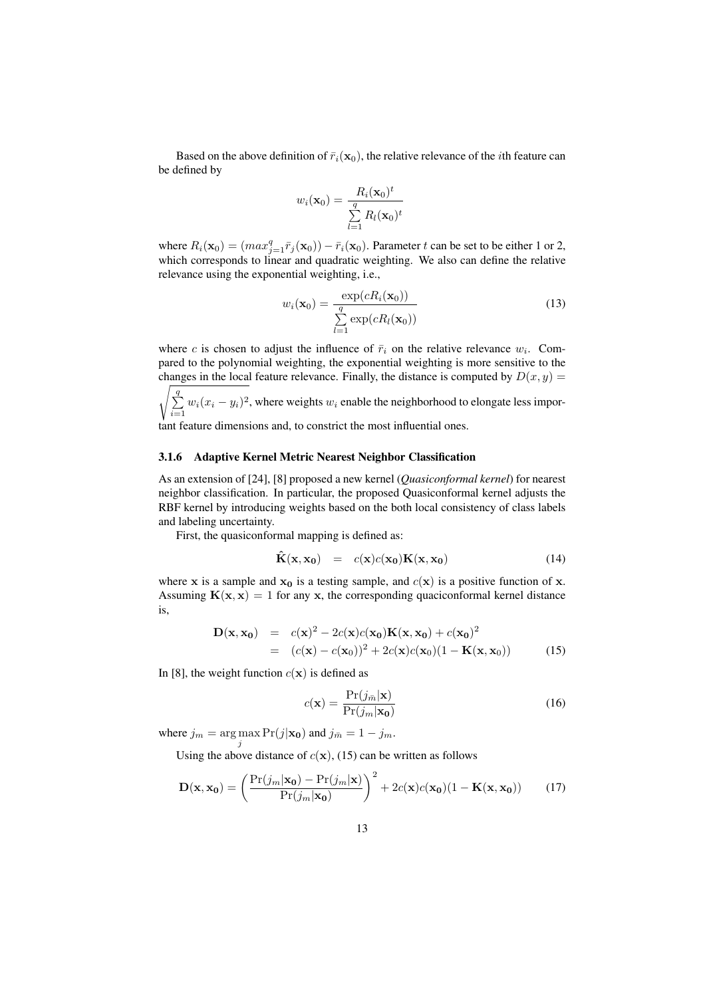Based on the above definition of  $\bar{r}_i(\mathbf{x}_0)$ , the relative relevance of the *i*th feature can be defined by

$$
w_i(\mathbf{x}_0) = \frac{R_i(\mathbf{x}_0)^t}{\sum_{l=1}^q R_l(\mathbf{x}_0)^t}
$$

where  $R_i(\mathbf{x}_0) = (max_{j=1}^q \bar{r}_j(\mathbf{x}_0)) - \bar{r}_i(\mathbf{x}_0)$ . Parameter t can be set to be either 1 or 2, which corresponds to linear and quadratic weighting. We also can define the relative relevance using the exponential weighting, i.e.,

$$
w_i(\mathbf{x}_0) = \frac{\exp(cR_i(\mathbf{x}_0))}{\sum_{l=1}^q \exp(cR_l(\mathbf{x}_0))}
$$
(13)

where c is chosen to adjust the influence of  $\bar{r}_i$  on the relative relevance  $w_i$ . Compared to the polynomial weighting, the exponential weighting is more sensitive to the changes in the local feature relevance. Finally, the distance is computed by  $D(x, y) =$ 

 $\frac{q}{q}$  $\sum_{i=1} w_i (x_i - y_i)^2$ , where weights  $w_i$  enable the neighborhood to elongate less impor-

tant feature dimensions and, to constrict the most influential ones.

#### 3.1.6 Adaptive Kernel Metric Nearest Neighbor Classification

As an extension of [24], [8] proposed a new kernel (*Quasiconformal kernel*) for nearest neighbor classification. In particular, the proposed Quasiconformal kernel adjusts the RBF kernel by introducing weights based on the both local consistency of class labels and labeling uncertainty.

First, the quasiconformal mapping is defined as:

$$
\hat{\mathbf{K}}(\mathbf{x}, \mathbf{x_0}) = c(\mathbf{x})c(\mathbf{x_0})\mathbf{K}(\mathbf{x}, \mathbf{x_0})
$$
\n(14)

where x is a sample and  $x_0$  is a testing sample, and  $c(x)$  is a positive function of x. Assuming  $K(x, x) = 1$  for any x, the corresponding quaciconformal kernel distance is,

$$
\mathbf{D}(\mathbf{x}, \mathbf{x_0}) = c(\mathbf{x})^2 - 2c(\mathbf{x})c(\mathbf{x_0})\mathbf{K}(\mathbf{x}, \mathbf{x_0}) + c(\mathbf{x_0})^2
$$
  
=  $(c(\mathbf{x}) - c(\mathbf{x_0}))^2 + 2c(\mathbf{x})c(\mathbf{x_0})(1 - \mathbf{K}(\mathbf{x}, \mathbf{x_0}))$  (15)

In [8], the weight function  $c(\mathbf{x})$  is defined as

$$
c(\mathbf{x}) = \frac{\Pr(j_{\bar{m}}|\mathbf{x})}{\Pr(j_m|\mathbf{x_0})}
$$
(16)

where  $j_m = \arg \max_j \Pr(j|\mathbf{x_0})$  and  $j_{\bar{m}} = 1 - j_m$ .

Using the above distance of  $c(\mathbf{x})$ , (15) can be written as follows

$$
\mathbf{D}(\mathbf{x}, \mathbf{x_0}) = \left(\frac{\Pr(j_m|\mathbf{x_0}) - \Pr(j_m|\mathbf{x})}{\Pr(j_m|\mathbf{x_0})}\right)^2 + 2c(\mathbf{x})c(\mathbf{x_0})(1 - \mathbf{K}(\mathbf{x}, \mathbf{x_0}))
$$
(17)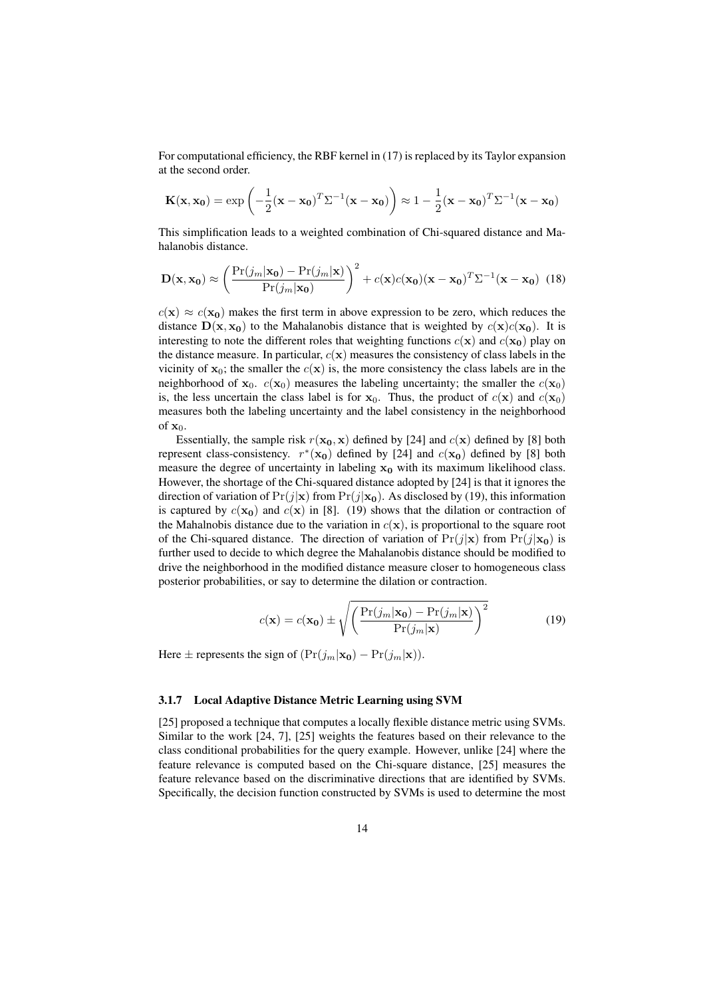For computational efficiency, the RBF kernel in (17) is replaced by its Taylor expansion at the second order.

$$
\mathbf{K}(\mathbf{x}, \mathbf{x_0}) = \exp\left(-\frac{1}{2}(\mathbf{x} - \mathbf{x_0})^T \Sigma^{-1} (\mathbf{x} - \mathbf{x_0})\right) \approx 1 - \frac{1}{2}(\mathbf{x} - \mathbf{x_0})^T \Sigma^{-1} (\mathbf{x} - \mathbf{x_0})
$$

This simplification leads to a weighted combination of Chi-squared distance and Mahalanobis distance.

$$
\mathbf{D}(\mathbf{x}, \mathbf{x_0}) \approx \left(\frac{\Pr(j_m|\mathbf{x_0}) - \Pr(j_m|\mathbf{x})}{\Pr(j_m|\mathbf{x_0})}\right)^2 + c(\mathbf{x})c(\mathbf{x_0})(\mathbf{x} - \mathbf{x_0})^T \Sigma^{-1}(\mathbf{x} - \mathbf{x_0})
$$
(18)

 $c(\mathbf{x}) \approx c(\mathbf{x_0})$  makes the first term in above expression to be zero, which reduces the distance  $D(x, x_0)$  to the Mahalanobis distance that is weighted by  $c(x)c(x_0)$ . It is interesting to note the different roles that weighting functions  $c(\mathbf{x})$  and  $c(\mathbf{x}_0)$  play on the distance measure. In particular,  $c(\mathbf{x})$  measures the consistency of class labels in the vicinity of  $x_0$ ; the smaller the  $c(x)$  is, the more consistency the class labels are in the neighborhood of  $x_0$ .  $c(x_0)$  measures the labeling uncertainty; the smaller the  $c(x_0)$ is, the less uncertain the class label is for  $x_0$ . Thus, the product of  $c(x)$  and  $c(x_0)$ measures both the labeling uncertainty and the label consistency in the neighborhood of  $\mathbf{x}_0$ .

Essentially, the sample risk  $r(\mathbf{x_0}, \mathbf{x})$  defined by [24] and  $c(\mathbf{x})$  defined by [8] both represent class-consistency.  $r^*(\mathbf{x_0})$  defined by [24] and  $c(\mathbf{x_0})$  defined by [8] both measure the degree of uncertainty in labeling  $x_0$  with its maximum likelihood class. However, the shortage of the Chi-squared distance adopted by [24] is that it ignores the direction of variation of  $Pr(j|\mathbf{x})$  from  $Pr(j|\mathbf{x}_0)$ . As disclosed by (19), this information is captured by  $c(\mathbf{x}_0)$  and  $c(\mathbf{x})$  in [8]. (19) shows that the dilation or contraction of the Mahalnobis distance due to the variation in  $c(\mathbf{x})$ , is proportional to the square root of the Chi-squared distance. The direction of variation of  $Pr(j|\mathbf{x})$  from  $Pr(j|\mathbf{x_0})$  is further used to decide to which degree the Mahalanobis distance should be modified to drive the neighborhood in the modified distance measure closer to homogeneous class posterior probabilities, or say to determine the dilation or contraction.

$$
c(\mathbf{x}) = c(\mathbf{x_0}) \pm \sqrt{\left(\frac{\Pr(j_m|\mathbf{x_0}) - \Pr(j_m|\mathbf{x})}{\Pr(j_m|\mathbf{x})}\right)^2}
$$
(19)

Here  $\pm$  represents the sign of  $(\Pr(j_m|\mathbf{x_0}) - \Pr(j_m|\mathbf{x}))$ .

#### 3.1.7 Local Adaptive Distance Metric Learning using SVM

[25] proposed a technique that computes a locally flexible distance metric using SVMs. Similar to the work [24, 7], [25] weights the features based on their relevance to the class conditional probabilities for the query example. However, unlike [24] where the feature relevance is computed based on the Chi-square distance, [25] measures the feature relevance based on the discriminative directions that are identified by SVMs. Specifically, the decision function constructed by SVMs is used to determine the most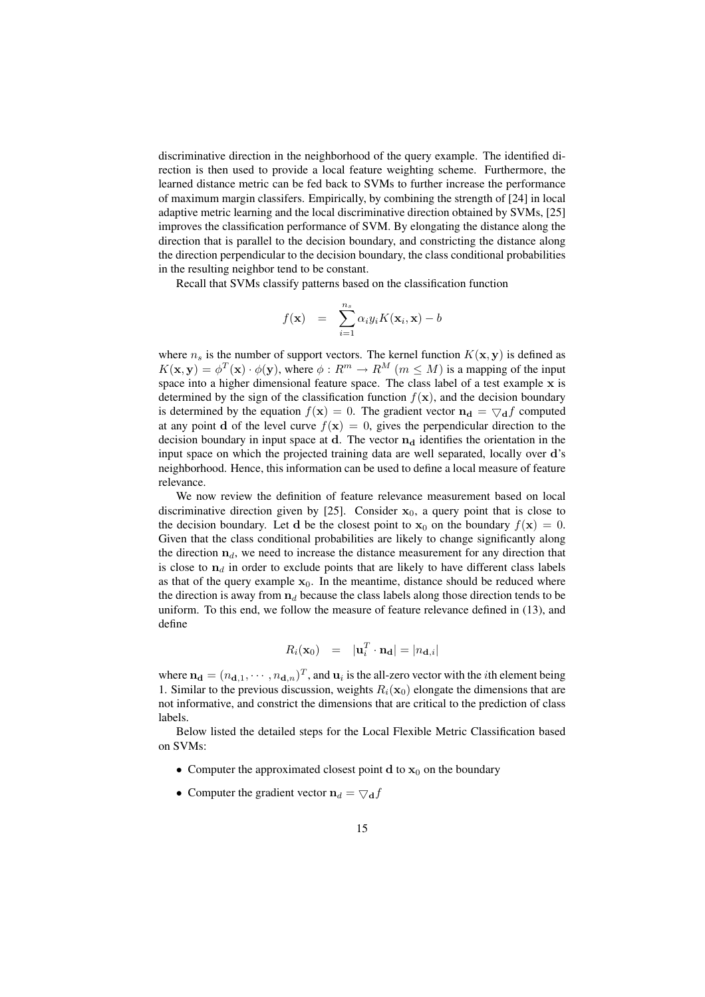discriminative direction in the neighborhood of the query example. The identified direction is then used to provide a local feature weighting scheme. Furthermore, the learned distance metric can be fed back to SVMs to further increase the performance of maximum margin classifers. Empirically, by combining the strength of [24] in local adaptive metric learning and the local discriminative direction obtained by SVMs, [25] improves the classification performance of SVM. By elongating the distance along the direction that is parallel to the decision boundary, and constricting the distance along the direction perpendicular to the decision boundary, the class conditional probabilities in the resulting neighbor tend to be constant.

Recall that SVMs classify patterns based on the classification function

$$
f(\mathbf{x}) = \sum_{i=1}^{n_s} \alpha_i y_i K(\mathbf{x}_i, \mathbf{x}) - b
$$

where  $n_s$  is the number of support vectors. The kernel function  $K(\mathbf{x}, \mathbf{y})$  is defined as  $K(\mathbf{x}, \mathbf{y}) = \phi^T(\mathbf{x}) \cdot \phi(\mathbf{y})$ , where  $\phi : R^m \to R^M$   $(m \leq M)$  is a mapping of the input space into a higher dimensional feature space. The class label of a test example x is determined by the sign of the classification function  $f(\mathbf{x})$ , and the decision boundary is determined by the equation  $f(\mathbf{x}) = 0$ . The gradient vector  $\mathbf{n_d} = \nabla_d f$  computed at any point d of the level curve  $f(x) = 0$ , gives the perpendicular direction to the decision boundary in input space at d. The vector  $n_d$  identifies the orientation in the input space on which the projected training data are well separated, locally over d's neighborhood. Hence, this information can be used to define a local measure of feature relevance.

We now review the definition of feature relevance measurement based on local discriminative direction given by [25]. Consider  $x_0$ , a query point that is close to the decision boundary. Let d be the closest point to  $x_0$  on the boundary  $f(x) = 0$ . Given that the class conditional probabilities are likely to change significantly along the direction  $n_d$ , we need to increase the distance measurement for any direction that is close to  $n_d$  in order to exclude points that are likely to have different class labels as that of the query example  $x_0$ . In the meantime, distance should be reduced where the direction is away from  $n_d$  because the class labels along those direction tends to be uniform. To this end, we follow the measure of feature relevance defined in (13), and define

$$
R_i(\mathbf{x}_0) = |\mathbf{u}_i^T \cdot \mathbf{n_d}| = |n_{\mathbf{d},i}|
$$

where  $\mathbf{n_d} = (n_{\mathbf{d},1}, \dots, n_{\mathbf{d},n})^T$ , and  $\mathbf{u}_i$  is the all-zero vector with the *i*th element being 1. Similar to the previous discussion, weights  $R_i(\mathbf{x}_0)$  elongate the dimensions that are not informative, and constrict the dimensions that are critical to the prediction of class labels.

Below listed the detailed steps for the Local Flexible Metric Classification based on SVMs:

- Computer the approximated closest point  $d$  to  $x_0$  on the boundary
- Computer the gradient vector  $\mathbf{n}_d = \nabla_{\mathbf{d}} f$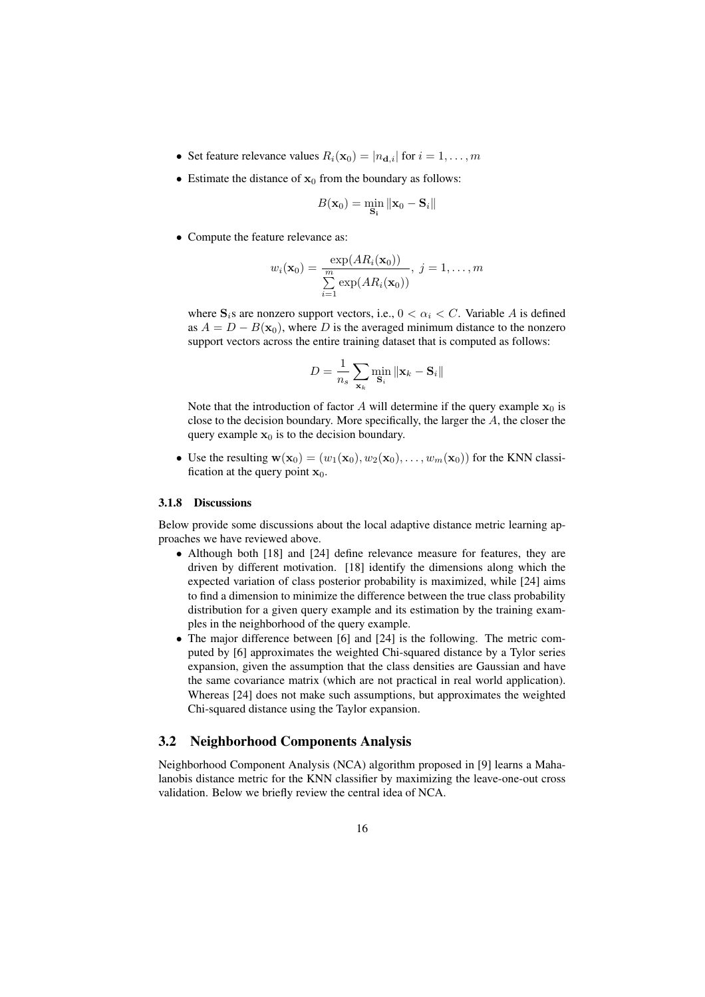- Set feature relevance values  $R_i(\mathbf{x}_0) = |n_{\mathbf{d},i}|$  for  $i = 1, \ldots, m$
- Estimate the distance of  $x_0$  from the boundary as follows:

$$
B(\mathbf{x}_0) = \min_{\mathbf{S_i}} \|\mathbf{x}_0 - \mathbf{S}_i\|
$$

• Compute the feature relevance as:

$$
w_i(\mathbf{x}_0) = \frac{\exp(AR_i(\mathbf{x}_0))}{\sum_{i=1}^m \exp(AR_i(\mathbf{x}_0))}, \ j = 1, \ldots, m
$$

where  $S_i$ s are nonzero support vectors, i.e.,  $0 < \alpha_i < C$ . Variable A is defined as  $A = D - B(\mathbf{x}_0)$ , where D is the averaged minimum distance to the nonzero support vectors across the entire training dataset that is computed as follows:

$$
D = \frac{1}{n_s} \sum_{\mathbf{x}_k} \min_{\mathbf{S}_i} \|\mathbf{x}_k - \mathbf{S}_i\|
$$

Note that the introduction of factor A will determine if the query example  $x_0$  is close to the decision boundary. More specifically, the larger the A, the closer the query example  $x_0$  is to the decision boundary.

• Use the resulting  $\mathbf{w}(\mathbf{x}_0) = (w_1(\mathbf{x}_0), w_2(\mathbf{x}_0), \dots, w_m(\mathbf{x}_0))$  for the KNN classification at the query point  $x_0$ .

#### 3.1.8 Discussions

Below provide some discussions about the local adaptive distance metric learning approaches we have reviewed above.

- Although both [18] and [24] define relevance measure for features, they are driven by different motivation. [18] identify the dimensions along which the expected variation of class posterior probability is maximized, while [24] aims to find a dimension to minimize the difference between the true class probability distribution for a given query example and its estimation by the training examples in the neighborhood of the query example.
- The major difference between [6] and [24] is the following. The metric computed by [6] approximates the weighted Chi-squared distance by a Tylor series expansion, given the assumption that the class densities are Gaussian and have the same covariance matrix (which are not practical in real world application). Whereas [24] does not make such assumptions, but approximates the weighted Chi-squared distance using the Taylor expansion.

#### 3.2 Neighborhood Components Analysis

Neighborhood Component Analysis (NCA) algorithm proposed in [9] learns a Mahalanobis distance metric for the KNN classifier by maximizing the leave-one-out cross validation. Below we briefly review the central idea of NCA.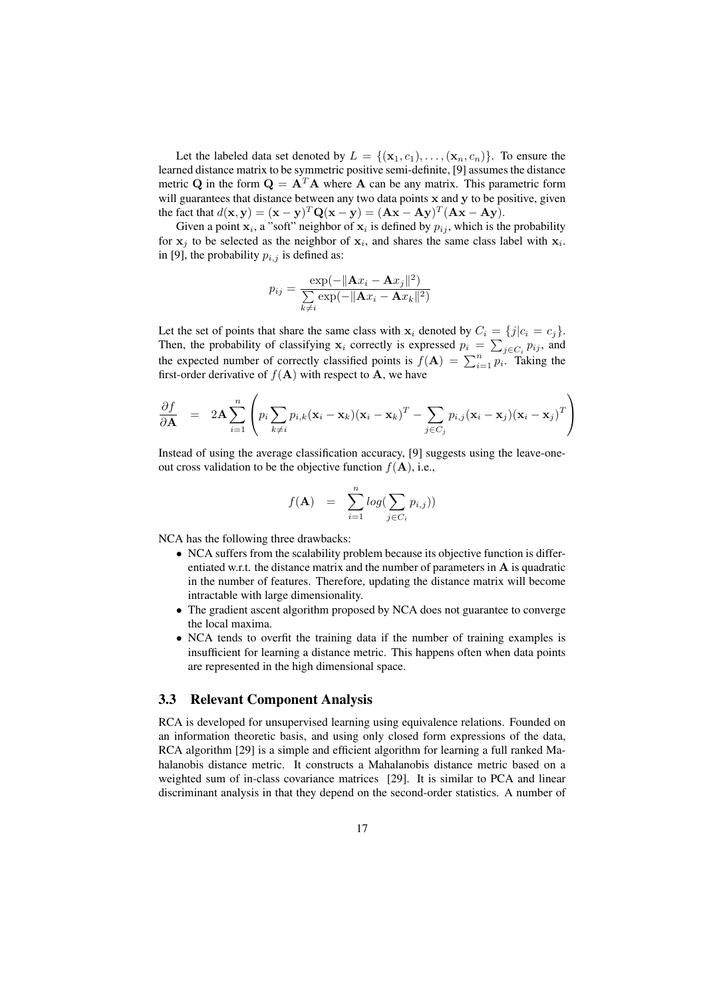Let the labeled data set denoted by  $L = \{(\mathbf{x}_1, c_1), \ldots, (\mathbf{x}_n, c_n)\}\.$  To ensure the learned distance matrix to be symmetric positive semi-definite, [9] assumes the distance metric Q in the form  $\mathbf{Q} = \mathbf{A}^T \mathbf{A}$  where  $\mathbf{A}$  can be any matrix. This parametric form will guarantees that distance between any two data points x and y to be positive, given the fact that  $d(\mathbf{x}, \mathbf{y}) = (\mathbf{x} - \mathbf{y})^T \mathbf{Q} (\mathbf{x} - \mathbf{y}) = (\mathbf{A}\mathbf{x} - \mathbf{A}\mathbf{y})^T (\mathbf{A}\mathbf{x} - \mathbf{A}\mathbf{y}).$ 

Given a point  $x_i$ , a "soft" neighbor of  $x_i$  is defined by  $p_{ij}$ , which is the probability for  $x_j$  to be selected as the neighbor of  $x_i$ , and shares the same class label with  $x_i$ . in [9], the probability  $p_{i,j}$  is defined as:

$$
p_{ij} = \frac{\exp(-\Vert \mathbf{A}x_i - \mathbf{A}x_j \Vert^2)}{\sum\limits_{k \neq i} \exp(-\Vert \mathbf{A}x_i - \mathbf{A}x_k \Vert^2)}
$$

Let the set of points that share the same class with  $x_i$  denoted by  $C_i = \{j | c_i = c_j\}$ . Then, the probability of classifying  $\mathbf{x}_i$  correctly is expressed  $p_i = \sum_{j \in C_i} p_{ij}$ , and the expected number of correctly classified points is  $f(\mathbf{A}) = \sum_{i=1}^n p_i$ . Taking the first-order derivative of  $f(A)$  with respect to A, we have

$$
\frac{\partial f}{\partial \mathbf{A}} = 2\mathbf{A} \sum_{i=1}^{n} \left( p_i \sum_{k \neq i} p_{i,k} (\mathbf{x}_i - \mathbf{x}_k)(\mathbf{x}_i - \mathbf{x}_k)^T - \sum_{j \in C_j} p_{i,j} (\mathbf{x}_i - \mathbf{x}_j)(\mathbf{x}_i - \mathbf{x}_j)^T \right)
$$

Instead of using the average classification accuracy, [9] suggests using the leave-oneout cross validation to be the objective function  $f(A)$ , i.e.,

$$
f(\mathbf{A}) = \sum_{i=1}^{n} log(\sum_{j \in C_i} p_{i,j}))
$$

NCA has the following three drawbacks:

- NCA suffers from the scalability problem because its objective function is differentiated w.r.t. the distance matrix and the number of parameters in  $A$  is quadratic in the number of features. Therefore, updating the distance matrix will become intractable with large dimensionality.
- The gradient ascent algorithm proposed by NCA does not guarantee to converge the local maxima.
- NCA tends to overfit the training data if the number of training examples is insufficient for learning a distance metric. This happens often when data points are represented in the high dimensional space.

#### 3.3 Relevant Component Analysis

RCA is developed for unsupervised learning using equivalence relations. Founded on an information theoretic basis, and using only closed form expressions of the data, RCA algorithm [29] is a simple and efficient algorithm for learning a full ranked Mahalanobis distance metric. It constructs a Mahalanobis distance metric based on a weighted sum of in-class covariance matrices [29]. It is similar to PCA and linear discriminant analysis in that they depend on the second-order statistics. A number of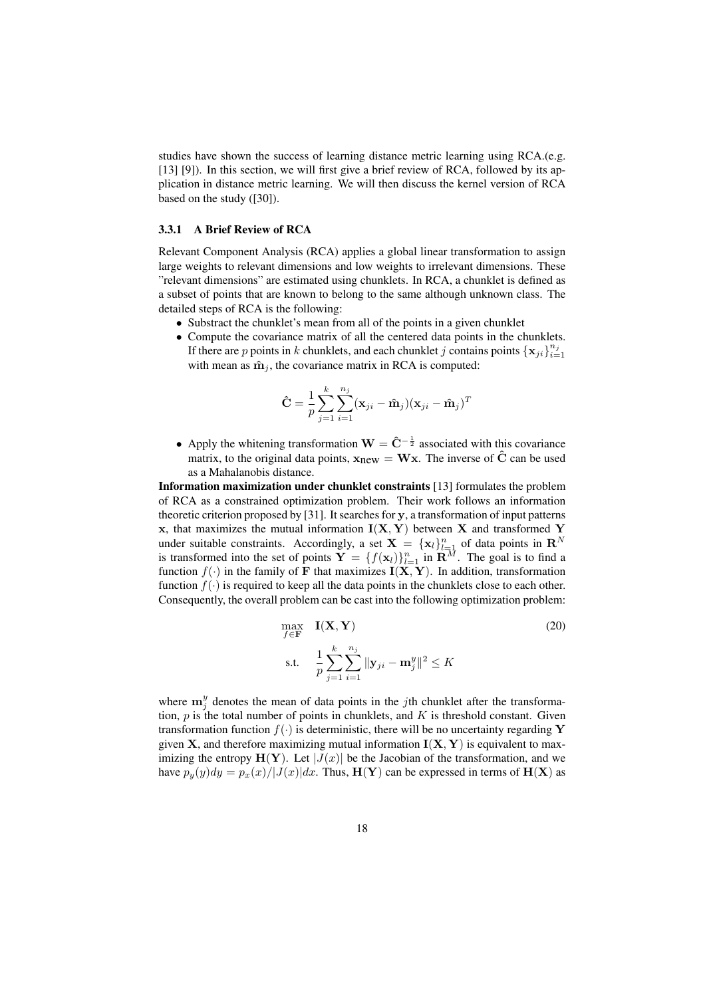studies have shown the success of learning distance metric learning using RCA.(e.g. [13] [9]). In this section, we will first give a brief review of RCA, followed by its application in distance metric learning. We will then discuss the kernel version of RCA based on the study ([30]).

#### 3.3.1 A Brief Review of RCA

Relevant Component Analysis (RCA) applies a global linear transformation to assign large weights to relevant dimensions and low weights to irrelevant dimensions. These "relevant dimensions" are estimated using chunklets. In RCA, a chunklet is defined as a subset of points that are known to belong to the same although unknown class. The detailed steps of RCA is the following:

- Substract the chunklet's mean from all of the points in a given chunklet
- Compute the covariance matrix of all the centered data points in the chunklets. If there are p points in k chunklets, and each chunklet j contains points  $\{x_{ji}\}_{i=1}^{n_j}$ with mean as  $\hat{\mathbf{m}}_i$ , the covariance matrix in RCA is computed:

$$
\hat{\mathbf{C}} = \frac{1}{p} \sum_{j=1}^{k} \sum_{i=1}^{n_j} (\mathbf{x}_{ji} - \hat{\mathbf{m}}_{j})(\mathbf{x}_{ji} - \hat{\mathbf{m}}_{j})^T
$$

• Apply the whitening transformation  $W = \hat{C}^{-\frac{1}{2}}$  associated with this covariance matrix, to the original data points,  $x_{new} = Wx$ . The inverse of  $\hat{C}$  can be used as a Mahalanobis distance.

Information maximization under chunklet constraints [13] formulates the problem of RCA as a constrained optimization problem. Their work follows an information theoretic criterion proposed by [31]. It searches for y, a transformation of input patterns x, that maximizes the mutual information  $I(X, Y)$  between X and transformed Y under suitable constraints. Accordingly, a set  $X = \{x_l\}_{l=1}^n$  of data points in  $\mathbb{R}^N$ is transformed into the set of points  $Y = \{f(x_l)\}_{l=1}^n$  in  $\mathbf{R}^M$ . The goal is to find a function  $f(\cdot)$  in the family of F that maximizes  $I(X, Y)$ . In addition, transformation function  $f(\cdot)$  is required to keep all the data points in the chunklets close to each other. Consequently, the overall problem can be cast into the following optimization problem:

$$
\max_{f \in \mathbf{F}} \quad \mathbf{I}(\mathbf{X}, \mathbf{Y})
$$
\n
$$
\text{s.t.} \quad \frac{1}{p} \sum_{j=1}^{k} \sum_{i=1}^{n_j} ||\mathbf{y}_{ji} - \mathbf{m}_j^y||^2 \le K
$$
\n
$$
(20)
$$

where  $\mathbf{m}_j^y$  denotes the mean of data points in the *j*th chunklet after the transformation,  $p$  is the total number of points in chunklets, and  $K$  is threshold constant. Given transformation function  $f(\cdot)$  is deterministic, there will be no uncertainty regarding Y given **X**, and therefore maximizing mutual information  $I(X, Y)$  is equivalent to maximizing the entropy  $H(Y)$ . Let  $|J(x)|$  be the Jacobian of the transformation, and we have  $p_y(y)dy = p_x(x)/|J(x)|dx$ . Thus,  $H(Y)$  can be expressed in terms of  $H(X)$  as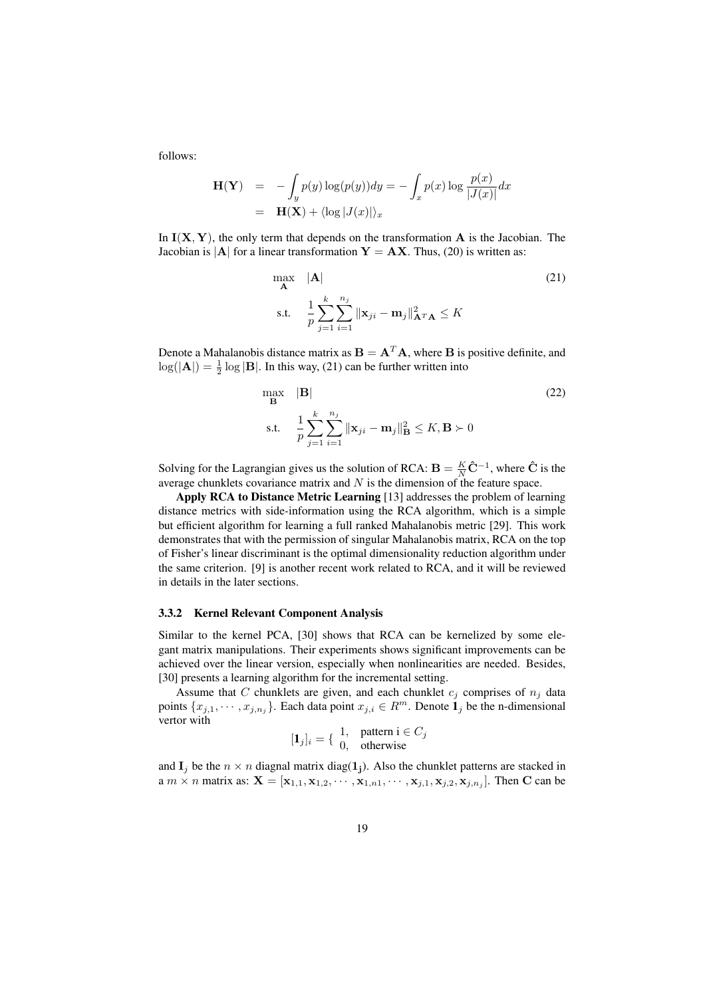follows:

$$
\mathbf{H}(\mathbf{Y}) = -\int_{y} p(y) \log(p(y)) dy = -\int_{x} p(x) \log \frac{p(x)}{|J(x)|} dx
$$

$$
= \mathbf{H}(\mathbf{X}) + \langle \log |J(x)| \rangle_{x}
$$

In  $I(X, Y)$ , the only term that depends on the transformation A is the Jacobian. The Jacobian is  $|A|$  for a linear transformation  $Y = AX$ . Thus, (20) is written as:

$$
\max_{\mathbf{A}} \quad |\mathbf{A}| \tag{21}
$$
\n
$$
\text{s.t.} \quad \frac{1}{p} \sum_{j=1}^{k} \sum_{i=1}^{n_j} ||\mathbf{x}_{ji} - \mathbf{m}_j||_{\mathbf{A}^T \mathbf{A}}^2 \le K
$$

Denote a Mahalanobis distance matrix as  $\mathbf{B} = \mathbf{A}^T \mathbf{A}$ , where **B** is positive definite, and  $log(|{\bf A}|) = \frac{1}{2} log |{\bf B}|$ . In this way, (21) can be further written into

$$
\max_{\mathbf{B}} \quad |\mathbf{B}| \tag{22}
$$
\n
$$
\text{s.t.} \quad \frac{1}{p} \sum_{j=1}^{k} \sum_{i=1}^{n_j} ||\mathbf{x}_{ji} - \mathbf{m}_j||_{\mathbf{B}}^2 \le K, \mathbf{B} \succ 0
$$

Solving for the Lagrangian gives us the solution of RCA:  $\mathbf{B} = \frac{K}{N} \hat{\mathbf{C}}^{-1}$ , where  $\hat{\mathbf{C}}$  is the average chunklets covariance matrix and  $N$  is the dimension of the feature space.

Apply RCA to Distance Metric Learning [13] addresses the problem of learning distance metrics with side-information using the RCA algorithm, which is a simple but efficient algorithm for learning a full ranked Mahalanobis metric [29]. This work demonstrates that with the permission of singular Mahalanobis matrix, RCA on the top of Fisher's linear discriminant is the optimal dimensionality reduction algorithm under the same criterion. [9] is another recent work related to RCA, and it will be reviewed in details in the later sections.

#### 3.3.2 Kernel Relevant Component Analysis

Similar to the kernel PCA, [30] shows that RCA can be kernelized by some elegant matrix manipulations. Their experiments shows significant improvements can be achieved over the linear version, especially when nonlinearities are needed. Besides, [30] presents a learning algorithm for the incremental setting.

Assume that C chunklets are given, and each chunklet  $c_i$  comprises of  $n_i$  data points  $\{x_{j,1}, \dots, x_{j,n_j}\}\$ . Each data point  $x_{j,i} \in \mathbb{R}^m$ . Denote  $\mathbf{1}_j$  be the n-dimensional vertor with

$$
[\mathbf{1}_j]_i = \{ \begin{array}{c} 1, & \text{pattern } i \in C_j \\ 0, & \text{otherwise} \end{array}
$$

and  $I_j$  be the  $n \times n$  diagnal matrix diag(1<sub>j</sub>). Also the chunklet patterns are stacked in a  $m \times n$  matrix as:  $\mathbf{X} = [\mathbf{x}_{1,1}, \mathbf{x}_{1,2}, \cdots, \mathbf{x}_{1,n1}, \cdots, \mathbf{x}_{j,1}, \mathbf{x}_{j,2}, \mathbf{x}_{j,n_j}]$ . Then C can be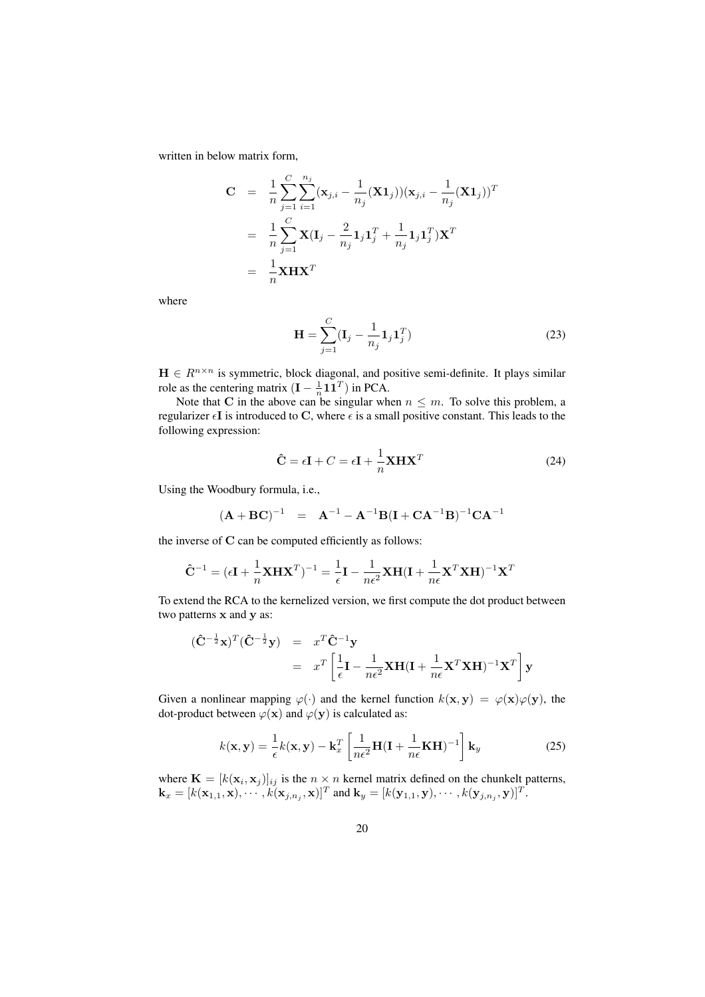written in below matrix form,

$$
C = \frac{1}{n} \sum_{j=1}^{C} \sum_{i=1}^{n_j} (\mathbf{x}_{j,i} - \frac{1}{n_j} (\mathbf{X} \mathbf{1}_j)) (\mathbf{x}_{j,i} - \frac{1}{n_j} (\mathbf{X} \mathbf{1}_j))^T
$$
  
= 
$$
\frac{1}{n} \sum_{j=1}^{C} \mathbf{X} (\mathbf{I}_j - \frac{2}{n_j} \mathbf{1}_j \mathbf{1}_j^T + \frac{1}{n_j} \mathbf{1}_j \mathbf{1}_j^T) \mathbf{X}^T
$$
  
= 
$$
\frac{1}{n} \mathbf{X} \mathbf{H} \mathbf{X}^T
$$

where

$$
\mathbf{H} = \sum_{j=1}^{C} (\mathbf{I}_j - \frac{1}{n_j} \mathbf{1}_j \mathbf{1}_j^T)
$$
 (23)

 $H \in R^{n \times n}$  is symmetric, block diagonal, and positive semi-definite. It plays similar role as the centering matrix  $(I - \frac{1}{n} \mathbf{1} \mathbf{1}^T)$  in PCA.

Note that C in the above can be singular when  $n \leq m$ . To solve this problem, a regularizer  $\epsilon I$  is introduced to C, where  $\epsilon$  is a small positive constant. This leads to the following expression:

$$
\hat{\mathbf{C}} = \epsilon \mathbf{I} + C = \epsilon \mathbf{I} + \frac{1}{n} \mathbf{X} \mathbf{H} \mathbf{X}^T
$$
\n(24)

Using the Woodbury formula, i.e.,

$$
(\mathbf{A} + \mathbf{B}\mathbf{C})^{-1} = \mathbf{A}^{-1} - \mathbf{A}^{-1}\mathbf{B}(\mathbf{I} + \mathbf{C}\mathbf{A}^{-1}\mathbf{B})^{-1}\mathbf{C}\mathbf{A}^{-1}
$$

the inverse of C can be computed efficiently as follows:

$$
\hat{\mathbf{C}}^{-1} = (\epsilon \mathbf{I} + \frac{1}{n} \mathbf{X} \mathbf{H} \mathbf{X}^T)^{-1} = \frac{1}{\epsilon} \mathbf{I} - \frac{1}{n\epsilon^2} \mathbf{X} \mathbf{H} (\mathbf{I} + \frac{1}{n\epsilon} \mathbf{X}^T \mathbf{X} \mathbf{H})^{-1} \mathbf{X}^T
$$

To extend the RCA to the kernelized version, we first compute the dot product between two patterns x and y as:

$$
(\hat{\mathbf{C}}^{-\frac{1}{2}}\mathbf{x})^T(\hat{\mathbf{C}}^{-\frac{1}{2}}\mathbf{y}) = x^T \hat{\mathbf{C}}^{-1} \mathbf{y}
$$
  
=  $x^T \left[ \frac{1}{\epsilon} \mathbf{I} - \frac{1}{n\epsilon^2} \mathbf{X} \mathbf{H} (\mathbf{I} + \frac{1}{n\epsilon} \mathbf{X}^T \mathbf{X} \mathbf{H})^{-1} \mathbf{X}^T \right] \mathbf{y}$ 

Given a nonlinear mapping  $\varphi(\cdot)$  and the kernel function  $k(x, y) = \varphi(x)\varphi(y)$ , the dot-product between  $\varphi(\mathbf{x})$  and  $\varphi(\mathbf{y})$  is calculated as:

$$
k(\mathbf{x}, \mathbf{y}) = \frac{1}{\epsilon} k(\mathbf{x}, \mathbf{y}) - \mathbf{k}_x^T \left[ \frac{1}{n\epsilon^2} \mathbf{H} (\mathbf{I} + \frac{1}{n\epsilon} \mathbf{K} \mathbf{H})^{-1} \right] \mathbf{k}_y
$$
 (25)

where  $\mathbf{K} = [k(\mathbf{x}_i, \mathbf{x}_j)]_{ij}$  is the  $n \times n$  kernel matrix defined on the chunkelt patterns,  $\mathbf{k}_x = [k(\mathbf{x}_{1,1}, \mathbf{x}), \cdots, k(\mathbf{x}_{j,n_j}, \mathbf{x})]^T$  and  $\mathbf{k}_y = [k(\mathbf{y}_{1,1}, \mathbf{y}), \cdots, k(\mathbf{y}_{j,n_j}, \mathbf{y})]^T$ .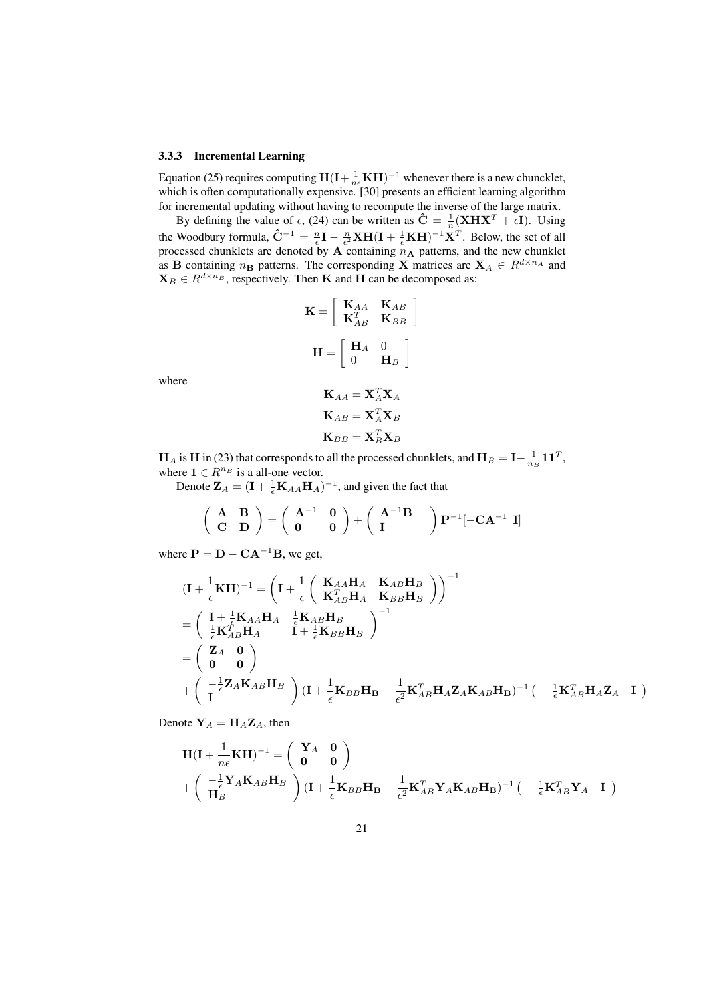#### 3.3.3 Incremental Learning

Equation (25) requires computing  $H(I + \frac{1}{n\epsilon}KH)^{-1}$  whenever there is a new chuncklet, which is often computationally expensive. [30] presents an efficient learning algorithm for incremental updating without having to recompute the inverse of the large matrix.

By defining the value of  $\epsilon$ , (24) can be written as  $\hat{\mathbf{C}} = \frac{1}{n}(\mathbf{XH}\mathbf{X}^T + \epsilon \mathbf{I})$ . Using the Woodbury formula,  $\hat{C}^{-1} = \frac{n}{\epsilon}I - \frac{n}{\epsilon^2}XH(I + \frac{1}{\epsilon}KH)^{-1}X^T$ . Below, the set of all processed chunklets are denoted by  $A$  containing  $n_A$  patterns, and the new chunklet as B containing  $n_\mathbf{B}$  patterns. The corresponding X matrices are  $\mathbf{X}_A \in R^{d \times n_A}$  and  $\mathbf{X}_B \in R^{d \times n_B}$ , respectively. Then **K** and **H** can be decomposed as:

$$
\mathbf{K} = \left[ \begin{array}{cc} \mathbf{K}_{AA} & \mathbf{K}_{AB} \\ \mathbf{K}_{AB}^T & \mathbf{K}_{BB} \end{array} \right]
$$
\n
$$
\mathbf{H} = \left[ \begin{array}{cc} \mathbf{H}_A & 0 \\ 0 & \mathbf{H}_B \end{array} \right]
$$

where

$$
\mathbf{K}_{AA} = \mathbf{X}_A^T \mathbf{X}_A
$$

$$
\mathbf{K}_{AB} = \mathbf{X}_A^T \mathbf{X}_B
$$

$$
\mathbf{K}_{BB} = \mathbf{X}_B^T \mathbf{X}_B
$$

 $\mathbf{H}_A$  is  $\mathbf{H}$  in (23) that corresponds to all the processed chunklets, and  $\mathbf{H}_B = \mathbf{I} - \frac{1}{n_B} \mathbf{1} \mathbf{1}^T$ , where  $\mathbf{1} \in R^{n_B}$  is a all-one vector.

Denote  $\mathbf{Z}_A = (\mathbf{I} + \frac{1}{\epsilon} \mathbf{K}_{AA} \mathbf{H}_A)^{-1}$ , and given the fact that

$$
\left(\begin{array}{cc}\mathbf{A} & \mathbf{B} \\ \mathbf{C} & \mathbf{D}\end{array}\right)=\left(\begin{array}{cc}\mathbf{A}^{-1} & \mathbf{0} \\ \mathbf{0} & \mathbf{0}\end{array}\right)+\left(\begin{array}{cc}\mathbf{A}^{-1}\mathbf{B} \\ \mathbf{I}\end{array}\right)\mathbf{P}^{-1}[-\mathbf{CA}^{-1} \ \mathbf{I}]
$$

where  $\mathbf{P} = \mathbf{D} - \mathbf{C} \mathbf{A}^{-1} \mathbf{B}$ , we get,

$$
\begin{split}\n(\mathbf{I} + \frac{1}{\epsilon}\mathbf{K}\mathbf{H})^{-1} &= \left(\mathbf{I} + \frac{1}{\epsilon} \left(\begin{array}{cc} \mathbf{K}_{AA}\mathbf{H}_{A} & \mathbf{K}_{AB}\mathbf{H}_{B} \\ \mathbf{K}_{AB}^{T}\mathbf{H}_{A} & \mathbf{K}_{BB}\mathbf{H}_{B} \end{array}\right)\right)^{-1} \\
&= \left(\begin{array}{cc} \mathbf{I} + \frac{1}{\epsilon}\mathbf{K}_{AA}\mathbf{H}_{A} & \frac{1}{\epsilon}\mathbf{K}_{AB}\mathbf{H}_{B} \\ \frac{1}{\epsilon}\mathbf{K}_{AB}^{T}\mathbf{H}_{A} & \mathbf{I} + \frac{1}{\epsilon}\mathbf{K}_{BB}\mathbf{H}_{B} \end{array}\right)^{-1} \\
&= \left(\begin{array}{cc} \mathbf{Z}_{A} & \mathbf{0} \\ \mathbf{0} & \mathbf{0} \end{array}\right) \\
&+ \left(\begin{array}{cc} -\frac{1}{\epsilon}\mathbf{Z}_{A}\mathbf{K}_{AB}\mathbf{H}_{B} \\ \mathbf{I} \end{array}\right) (\mathbf{I} + \frac{1}{\epsilon}\mathbf{K}_{BB}\mathbf{H}_{B} - \frac{1}{\epsilon^{2}}\mathbf{K}_{AB}^{T}\mathbf{H}_{A}\mathbf{Z}_{A}\mathbf{K}_{AB}\mathbf{H}_{B})^{-1} \left(\begin{array}{cc} -\frac{1}{\epsilon}\mathbf{K}_{AB}^{T}\mathbf{H}_{A}\mathbf{Z}_{A} & \mathbf{I} \end{array}\right)\n\end{split}
$$

Denote  $Y_A = H_A Z_A$ , then

$$
\mathbf{H}(\mathbf{I} + \frac{1}{n\epsilon}\mathbf{K}\mathbf{H})^{-1} = \begin{pmatrix} \mathbf{Y}_A & \mathbf{0} \\ \mathbf{0} & \mathbf{0} \end{pmatrix}
$$

$$
+ \begin{pmatrix} -\frac{1}{\epsilon}\mathbf{Y}_A\mathbf{K}_{AB}\mathbf{H}_B \\ \mathbf{H}_B \end{pmatrix} (\mathbf{I} + \frac{1}{\epsilon}\mathbf{K}_{BB}\mathbf{H}_B - \frac{1}{\epsilon^2}\mathbf{K}_{AB}^T\mathbf{Y}_A\mathbf{K}_{AB}\mathbf{H}_B)^{-1} (\ -\frac{1}{\epsilon}\mathbf{K}_{AB}^T\mathbf{Y}_A \ \mathbf{I})
$$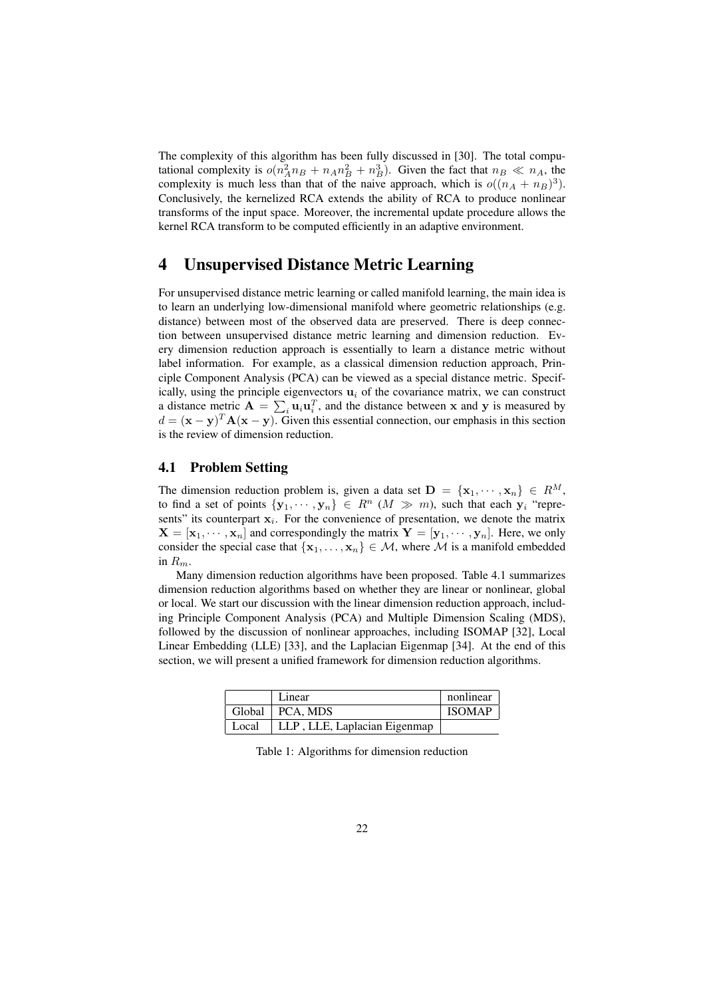The complexity of this algorithm has been fully discussed in [30]. The total computational complexity is  $o(n_A^2 n_B + n_A n_B^2 + n_B^3)$ . Given the fact that  $n_B \ll n_A$ , the complexity is much less than that of the naive approach, which is  $o((n_A + n_B)^3)$ . Conclusively, the kernelized RCA extends the ability of RCA to produce nonlinear transforms of the input space. Moreover, the incremental update procedure allows the kernel RCA transform to be computed efficiently in an adaptive environment.

# 4 Unsupervised Distance Metric Learning

For unsupervised distance metric learning or called manifold learning, the main idea is to learn an underlying low-dimensional manifold where geometric relationships (e.g. distance) between most of the observed data are preserved. There is deep connection between unsupervised distance metric learning and dimension reduction. Every dimension reduction approach is essentially to learn a distance metric without label information. For example, as a classical dimension reduction approach, Principle Component Analysis (PCA) can be viewed as a special distance metric. Specifically, using the principle eigenvectors  $\mathbf{u}_i$  of the covariance matrix, we can construct a distance metric  $\mathbf{A} = \sum_i \mathbf{u}_i \mathbf{u}_i^T$ , and the distance between x and y is measured by  $d = (\mathbf{x} - \mathbf{y})^T \mathbf{A} (\mathbf{x} - \mathbf{y})$ . Given this essential connection, our emphasis in this section is the review of dimension reduction.

#### 4.1 Problem Setting

The dimension reduction problem is, given a data set  $\mathbf{D} = \{x_1, \dots, x_n\} \in R^M$ , to find a set of points  $\{y_1, \dots, y_n\} \in R^n$   $(M \gg m)$ , such that each  $y_i$  "represents" its counterpart  $x_i$ . For the convenience of presentation, we denote the matrix  $X = [\mathbf{x}_1, \dots, \mathbf{x}_n]$  and correspondingly the matrix  $\mathbf{Y} = [\mathbf{y}_1, \dots, \mathbf{y}_n]$ . Here, we only consider the special case that  $\{x_1, \ldots, x_n\} \in \mathcal{M}$ , where M is a manifold embedded in  $R_m$ .

Many dimension reduction algorithms have been proposed. Table 4.1 summarizes dimension reduction algorithms based on whether they are linear or nonlinear, global or local. We start our discussion with the linear dimension reduction approach, including Principle Component Analysis (PCA) and Multiple Dimension Scaling (MDS), followed by the discussion of nonlinear approaches, including ISOMAP [32], Local Linear Embedding (LLE) [33], and the Laplacian Eigenmap [34]. At the end of this section, we will present a unified framework for dimension reduction algorithms.

|       | Linear                       | nonlinear     |
|-------|------------------------------|---------------|
|       | Global   PCA, MDS            | <b>ISOMAP</b> |
| Local | LLP, LLE, Laplacian Eigenmap |               |

Table 1: Algorithms for dimension reduction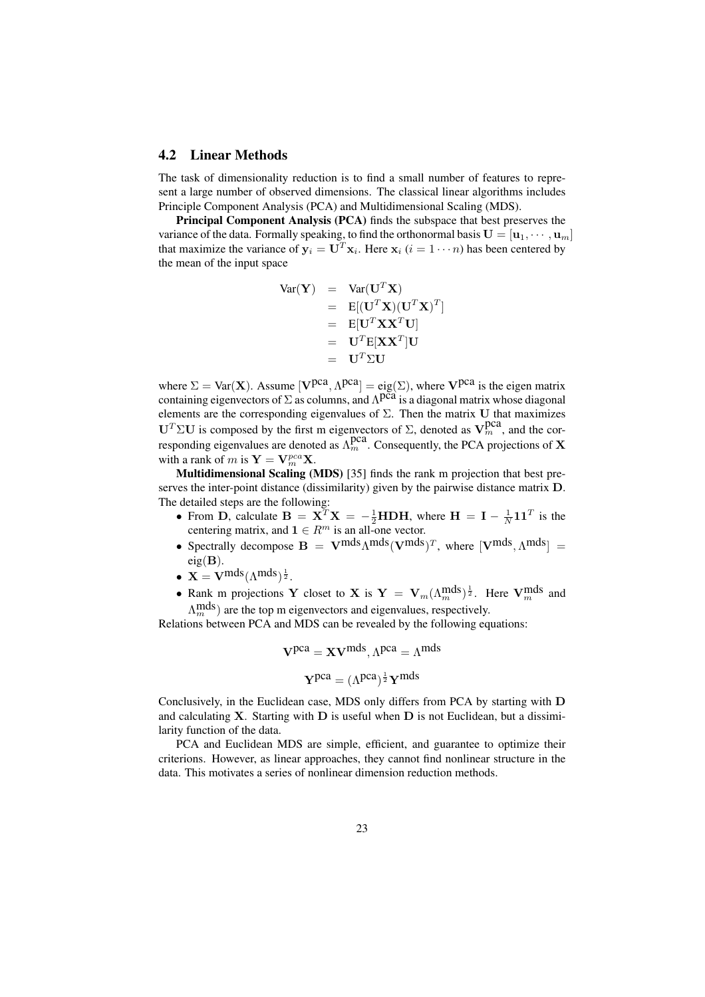#### 4.2 Linear Methods

The task of dimensionality reduction is to find a small number of features to represent a large number of observed dimensions. The classical linear algorithms includes Principle Component Analysis (PCA) and Multidimensional Scaling (MDS).

Principal Component Analysis (PCA) finds the subspace that best preserves the variance of the data. Formally speaking, to find the orthonormal basis  $\mathbf{U} = [\mathbf{u}_1, \cdots, \mathbf{u}_m]$ that maximize the variance of  $y_i = U^T x_i$ . Here  $x_i$   $(i = 1 \cdots n)$  has been centered by the mean of the input space

$$
\begin{array}{rcl} \text{Var}(\mathbf{Y}) & = & \text{Var}(\mathbf{U}^T \mathbf{X}) \\ & = & \text{E}[(\mathbf{U}^T \mathbf{X})(\mathbf{U}^T \mathbf{X})^T] \\ & = & \text{E}[\mathbf{U}^T \mathbf{X} \mathbf{X}^T \mathbf{U}] \\ & = & \text{U}^T \text{E}[\mathbf{X} \mathbf{X}^T] \mathbf{U} \\ & = & \text{U}^T \Sigma \mathbf{U} \end{array}
$$

where  $\Sigma = \text{Var}(\mathbf{X})$ . Assume  $[\mathbf{V}^{pca}, \Lambda^{pca}] = \text{eig}(\Sigma)$ , where  $\mathbf{V}^{pca}$  is the eigen matrix containing eigenvectors of  $\Sigma$  as columns, and  $\Lambda$ pca is a diagonal matrix whose diagonal elements are the corresponding eigenvalues of  $\Sigma$ . Then the matrix U that maximizes U<sup>T</sup> ΣU is composed by the first m eigenvectors of Σ, denoted as  $V_m^{pca}$ , and the corresponding eigenvalues are denoted as  $\Lambda_m^{\text{box}}$ . Consequently, the PCA projections of X with a rank of m is  $Y = V_m^{pca} X$ .

Multidimensional Scaling (MDS) [35] finds the rank m projection that best preserves the inter-point distance (dissimilarity) given by the pairwise distance matrix D. The detailed steps are the following:

- From D, calculate  $B = X^T X = -\frac{1}{2} H D H$ , where  $H = I \frac{1}{N} I I^T$  is the centering matrix, and  $\mathbf{1} \in R^m$  is an all-one vector.
- Spectrally decompose  $\mathbf{B} = \mathbf{V}^{mds} \Lambda^{mds} (\mathbf{V}^{mds})^T$ , where  $[\mathbf{V}^{mds}, \Lambda^{mds}] =$  $eig(B)$ .
- $\mathbf{X} = \mathbf{V}^{mds} (\Lambda^{mds})^{\frac{1}{2}}$ .
- Rank m projections Y closet to X is  $Y = V_m(\Lambda_m^{mds})^{\frac{1}{2}}$ . Here  $V_m^{mds}$  and  $\Lambda_m^{\text{mds}}$ ) are the top m eigenvectors and eigenvalues, respectively.

Relations between PCA and MDS can be revealed by the following equations:

$$
V^{pca} = XV^{mds}, \Lambda^{pca} = \Lambda^{mds}
$$

$$
\mathbf{Y}^{pca} = (\Lambda^{pca})^{\frac{1}{2}} \mathbf{Y}^{mds}
$$

Conclusively, in the Euclidean case, MDS only differs from PCA by starting with D and calculating  $X$ . Starting with  $D$  is useful when  $D$  is not Euclidean, but a dissimilarity function of the data.

PCA and Euclidean MDS are simple, efficient, and guarantee to optimize their criterions. However, as linear approaches, they cannot find nonlinear structure in the data. This motivates a series of nonlinear dimension reduction methods.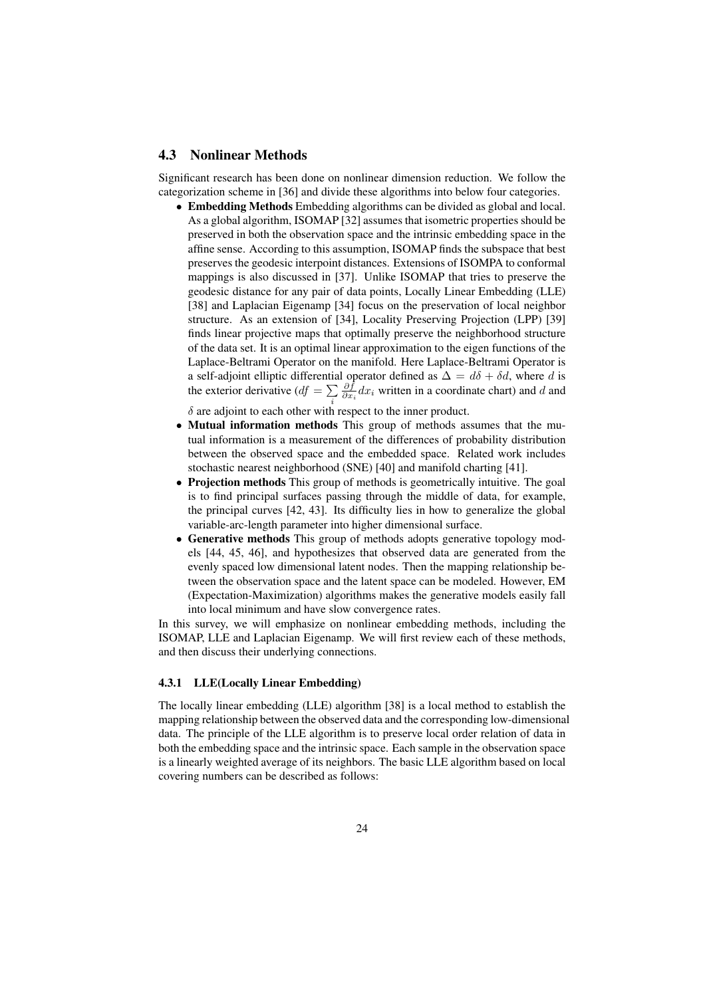#### 4.3 Nonlinear Methods

Significant research has been done on nonlinear dimension reduction. We follow the categorization scheme in [36] and divide these algorithms into below four categories.

• Embedding Methods Embedding algorithms can be divided as global and local. As a global algorithm, ISOMAP [32] assumes that isometric properties should be preserved in both the observation space and the intrinsic embedding space in the affine sense. According to this assumption, ISOMAP finds the subspace that best preserves the geodesic interpoint distances. Extensions of ISOMPA to conformal mappings is also discussed in [37]. Unlike ISOMAP that tries to preserve the geodesic distance for any pair of data points, Locally Linear Embedding (LLE) [38] and Laplacian Eigenamp [34] focus on the preservation of local neighbor structure. As an extension of [34], Locality Preserving Projection (LPP) [39] finds linear projective maps that optimally preserve the neighborhood structure of the data set. It is an optimal linear approximation to the eigen functions of the Laplace-Beltrami Operator on the manifold. Here Laplace-Beltrami Operator is a self-adjoint elliptic differential operator defined as  $\Delta = d\delta + \delta d$ , where d is a sen-adjoint emptic differentia<br>the exterior derivative  $(df = \sum$ i  $\frac{\partial f}{\partial x_i}dx_i$  written in a coordinate chart) and d and

 $\delta$  are adjoint to each other with respect to the inner product.

- Mutual information methods This group of methods assumes that the mutual information is a measurement of the differences of probability distribution between the observed space and the embedded space. Related work includes stochastic nearest neighborhood (SNE) [40] and manifold charting [41].
- Projection methods This group of methods is geometrically intuitive. The goal is to find principal surfaces passing through the middle of data, for example, the principal curves [42, 43]. Its difficulty lies in how to generalize the global variable-arc-length parameter into higher dimensional surface.
- Generative methods This group of methods adopts generative topology models [44, 45, 46], and hypothesizes that observed data are generated from the evenly spaced low dimensional latent nodes. Then the mapping relationship between the observation space and the latent space can be modeled. However, EM (Expectation-Maximization) algorithms makes the generative models easily fall into local minimum and have slow convergence rates.

In this survey, we will emphasize on nonlinear embedding methods, including the ISOMAP, LLE and Laplacian Eigenamp. We will first review each of these methods, and then discuss their underlying connections.

#### 4.3.1 LLE(Locally Linear Embedding)

The locally linear embedding (LLE) algorithm [38] is a local method to establish the mapping relationship between the observed data and the corresponding low-dimensional data. The principle of the LLE algorithm is to preserve local order relation of data in both the embedding space and the intrinsic space. Each sample in the observation space is a linearly weighted average of its neighbors. The basic LLE algorithm based on local covering numbers can be described as follows: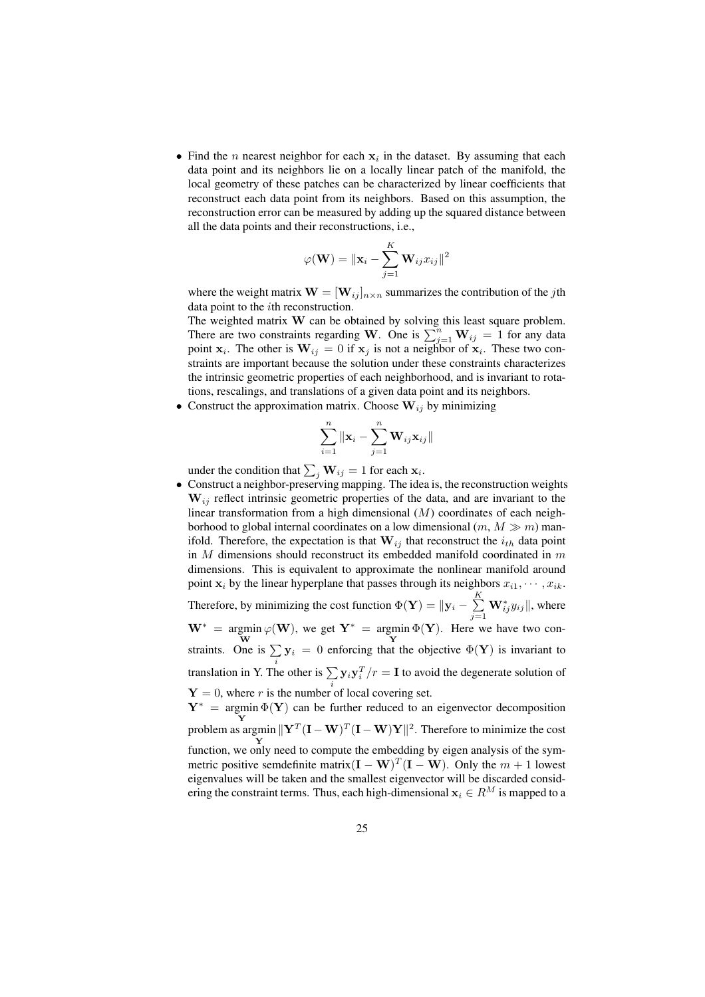• Find the *n* nearest neighbor for each  $x_i$  in the dataset. By assuming that each data point and its neighbors lie on a locally linear patch of the manifold, the local geometry of these patches can be characterized by linear coefficients that reconstruct each data point from its neighbors. Based on this assumption, the reconstruction error can be measured by adding up the squared distance between all the data points and their reconstructions, i.e.,

$$
\varphi(\mathbf{W}) = \|\mathbf{x}_i - \sum_{j=1}^K \mathbf{W}_{ij} x_{ij}\|^2
$$

where the weight matrix  $\mathbf{W} = [\mathbf{W}_{ij}]_{n \times n}$  summarizes the contribution of the *j*th data point to the ith reconstruction.

The weighted matrix  $W$  can be obtained by solving this least square problem. The weighted matrix **w** can be obtained by solving this least square problem.<br>There are two constraints regarding **W**. One is  $\sum_{j=1}^{n} \mathbf{W}_{ij} = 1$  for any data point  $x_i$ . The other is  $W_{ij} = 0$  if  $x_j$  is not a neighbor of  $x_i$ . These two constraints are important because the solution under these constraints characterizes the intrinsic geometric properties of each neighborhood, and is invariant to rotations, rescalings, and translations of a given data point and its neighbors.

• Construct the approximation matrix. Choose  $W_{ij}$  by minimizing

$$
\sum_{i=1}^{n} \|\mathbf{x}_i - \sum_{j=1}^{n} \mathbf{W}_{ij} \mathbf{x}_{ij}\|
$$

under the condition that  $\sum_j \mathbf{W}_{ij} = 1$  for each  $\mathbf{x}_i$ .

• Construct a neighbor-preserving mapping. The idea is, the reconstruction weights  $W_{ij}$  reflect intrinsic geometric properties of the data, and are invariant to the linear transformation from a high dimensional  $(M)$  coordinates of each neighborhood to global internal coordinates on a low dimensional  $(m, M \gg m)$  manifold. Therefore, the expectation is that  $W_{ij}$  that reconstruct the  $i_{th}$  data point in  $M$  dimensions should reconstruct its embedded manifold coordinated in  $m$ dimensions. This is equivalent to approximate the nonlinear manifold around point  $x_i$  by the linear hyperplane that passes through its neighbors  $x_{i1}, \dots, x_{ik}$ . Therefore, by minimizing the cost function  $\Phi(\mathbf{Y}) = ||\mathbf{y}_i - \sum_{i=1}^{K}$  $j=1$  $\mathbf{W}_{ij}^* y_{ij}$ ||, where  $W^* = \text{argmin}$ W  $\varphi(\mathbf{W})$ , we get  $\mathbf{Y}^* = \text{argmin}$ Y  $\Phi(Y)$ . Here we have two constraints. One is  $\sum$  $\sum_i \mathbf{y}_i = 0$  enforcing that the objective  $\Phi(\mathbf{Y})$  is invariant to translation in Y. The other is  $\sum y_i y_i^T / r = I$  to avoid the degenerate solution of  $Y = 0$ , where r is the number of local covering set.  $Y^* = \argmin \Phi(Y)$  can be further reduced to an eigenvector decomposition **Problem as argmin**  $||\mathbf{Y}^T(\mathbf{I} - \mathbf{W})^T(\mathbf{I} - \mathbf{W})\mathbf{Y}||^2$ . Therefore to minimize the cost

Y function, we only need to compute the embedding by eigen analysis of the symmetric positive semdefinite matrix $(I - W)^T (I - W)$ . Only the  $m + 1$  lowest eigenvalues will be taken and the smallest eigenvector will be discarded considering the constraint terms. Thus, each high-dimensional  $x_i \in R^M$  is mapped to a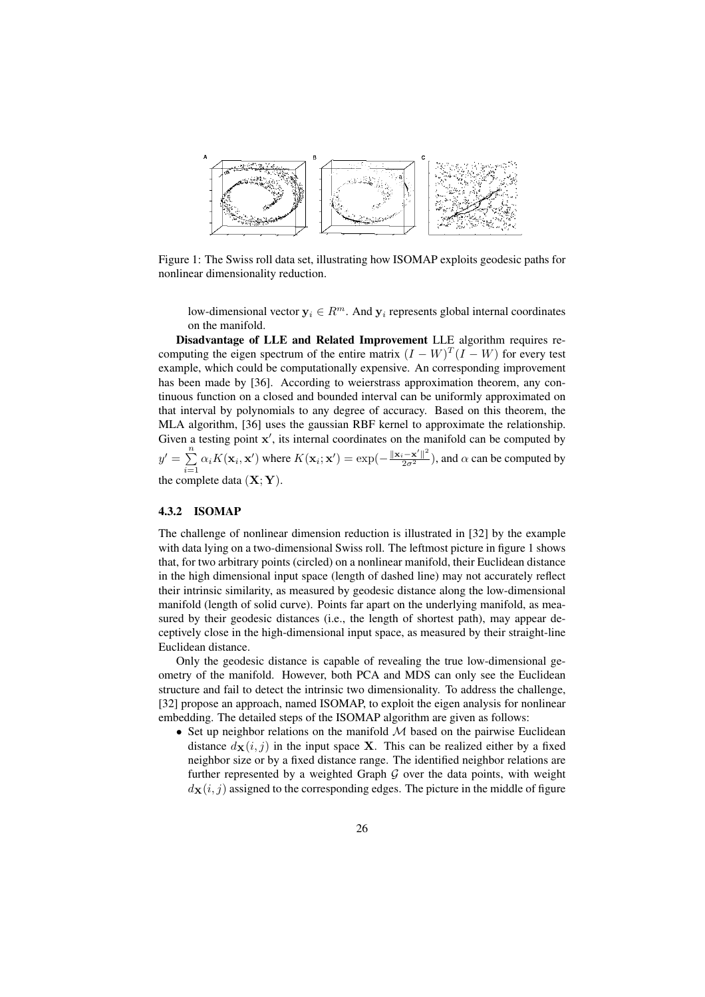

Figure 1: The Swiss roll data set, illustrating how ISOMAP exploits geodesic paths for nonlinear dimensionality reduction.

low-dimensional vector  $y_i \in R^m$ . And  $y_i$  represents global internal coordinates on the manifold.

Disadvantage of LLE and Related Improvement LLE algorithm requires recomputing the eigen spectrum of the entire matrix  $(I - W)^T (I - W)$  for every test example, which could be computationally expensive. An corresponding improvement has been made by [36]. According to weierstrass approximation theorem, any continuous function on a closed and bounded interval can be uniformly approximated on that interval by polynomials to any degree of accuracy. Based on this theorem, the MLA algorithm, [36] uses the gaussian RBF kernel to approximate the relationship. Given a testing point  $x'$ , its internal coordinates on the manifold can be computed by  $y' = \sum_{n=1}^{\infty}$  $\sum_{i=1}^n \alpha_i K(\mathbf{x}_i, \mathbf{x}')$  where  $K(\mathbf{x}_i; \mathbf{x}') = \exp(-\frac{\|\mathbf{x}_i - \mathbf{x}'\|^2}{2\sigma^2})$ , and  $\alpha$  can be computed by the complete data  $(X; Y)$ .

#### 4.3.2 ISOMAP

The challenge of nonlinear dimension reduction is illustrated in [32] by the example with data lying on a two-dimensional Swiss roll. The leftmost picture in figure 1 shows that, for two arbitrary points (circled) on a nonlinear manifold, their Euclidean distance in the high dimensional input space (length of dashed line) may not accurately reflect their intrinsic similarity, as measured by geodesic distance along the low-dimensional manifold (length of solid curve). Points far apart on the underlying manifold, as measured by their geodesic distances (i.e., the length of shortest path), may appear deceptively close in the high-dimensional input space, as measured by their straight-line Euclidean distance.

Only the geodesic distance is capable of revealing the true low-dimensional geometry of the manifold. However, both PCA and MDS can only see the Euclidean structure and fail to detect the intrinsic two dimensionality. To address the challenge, [32] propose an approach, named ISOMAP, to exploit the eigen analysis for nonlinear embedding. The detailed steps of the ISOMAP algorithm are given as follows:

• Set up neighbor relations on the manifold  $M$  based on the pairwise Euclidean distance  $d_{\mathbf{X}}(i, j)$  in the input space **X**. This can be realized either by a fixed neighbor size or by a fixed distance range. The identified neighbor relations are further represented by a weighted Graph  $G$  over the data points, with weight  $d_{\mathbf{X}}(i, j)$  assigned to the corresponding edges. The picture in the middle of figure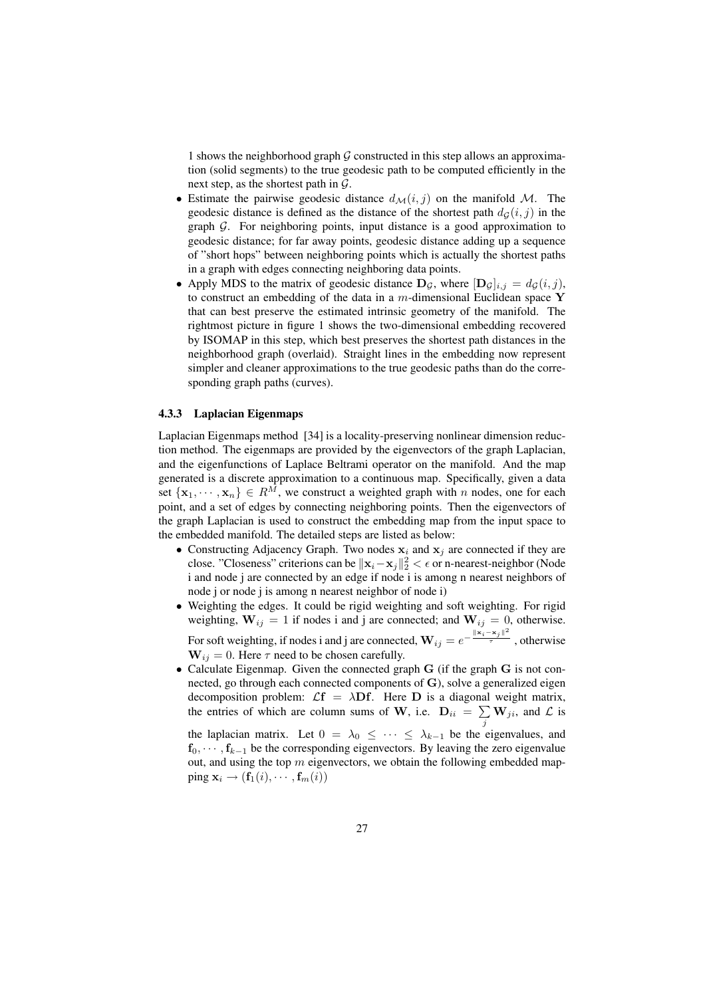1 shows the neighborhood graph  $G$  constructed in this step allows an approximation (solid segments) to the true geodesic path to be computed efficiently in the next step, as the shortest path in  $\mathcal{G}$ .

- Estimate the pairwise geodesic distance  $d_{\mathcal{M}}(i, j)$  on the manifold M. The geodesic distance is defined as the distance of the shortest path  $d_G(i, j)$  in the graph G. For neighboring points, input distance is a good approximation to geodesic distance; for far away points, geodesic distance adding up a sequence of "short hops" between neighboring points which is actually the shortest paths in a graph with edges connecting neighboring data points.
- Apply MDS to the matrix of geodesic distance  $D_q$ , where  $[D_q]_{i,j} = d_q(i,j)$ , to construct an embedding of the data in a  $m$ -dimensional Euclidean space Y that can best preserve the estimated intrinsic geometry of the manifold. The rightmost picture in figure 1 shows the two-dimensional embedding recovered by ISOMAP in this step, which best preserves the shortest path distances in the neighborhood graph (overlaid). Straight lines in the embedding now represent simpler and cleaner approximations to the true geodesic paths than do the corresponding graph paths (curves).

#### 4.3.3 Laplacian Eigenmaps

Laplacian Eigenmaps method [34] is a locality-preserving nonlinear dimension reduction method. The eigenmaps are provided by the eigenvectors of the graph Laplacian, and the eigenfunctions of Laplace Beltrami operator on the manifold. And the map generated is a discrete approximation to a continuous map. Specifically, given a data set  $\{x_1, \dots, x_n\} \in R^M$ , we construct a weighted graph with n nodes, one for each point, and a set of edges by connecting neighboring points. Then the eigenvectors of the graph Laplacian is used to construct the embedding map from the input space to the embedded manifold. The detailed steps are listed as below:

- Constructing Adjacency Graph. Two nodes  $x_i$  and  $x_j$  are connected if they are close. "Closeness" criterions can be  $\|\mathbf{x}_i - \mathbf{x}_j\|_2^2 < \epsilon$  or n-nearest-neighbor (Node i and node j are connected by an edge if node i is among n nearest neighbors of node j or node j is among n nearest neighbor of node i)
- Weighting the edges. It could be rigid weighting and soft weighting. For rigid weighting,  $W_{ij} = 1$  if nodes i and j are connected; and  $W_{ij} = 0$ , otherwise. For soft weighting, if nodes i and j are connected,  $\mathbf{W}_{ij} = e^{-\frac{\|\mathbf{x}_i - \mathbf{x}_j\|^2}{\tau}}$ , otherwise  $W_{ij} = 0$ . Here  $\tau$  need to be chosen carefully.
- Calculate Eigenmap. Given the connected graph G (if the graph G is not connected, go through each connected components of  $G$ ), solve a generalized eigen decomposition problem:  $\mathcal{L}f = \lambda \mathbf{D}f$ . Here  $\mathbf{D}$  is a diagonal weight matrix, the entries of which are column sums of W, i.e.  $\mathbf{D}_{ii} = \sum_{j} \mathbf{W}_{ji}$ , and  $\mathcal{L}$  is

the laplacian matrix. Let  $0 = \lambda_0 \leq \cdots \leq \lambda_{k-1}$  be the eigenvalues, and  $f_0, \dots, f_{k-1}$  be the corresponding eigenvectors. By leaving the zero eigenvalue out, and using the top  $m$  eigenvectors, we obtain the following embedded mapping  $\mathbf{x}_i \rightarrow (\mathbf{f}_1(i), \cdots, \mathbf{f}_m(i))$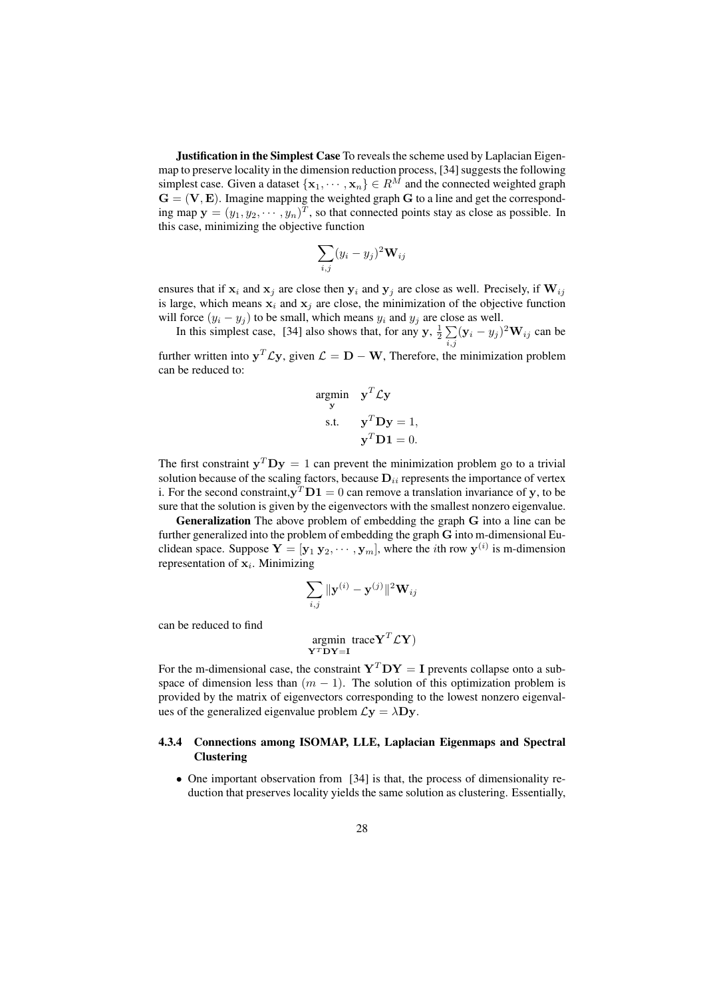**Justification in the Simplest Case** To reveals the scheme used by Laplacian Eigenmap to preserve locality in the dimension reduction process, [34] suggests the following simplest case. Given a dataset  $\{x_1, \dots, x_n\} \in R^{\overline{M}}$  and the connected weighted graph  $G = (V, E)$ . Imagine mapping the weighted graph G to a line and get the corresponding map  $y = (y_1, y_2, \dots, y_n)^T$ , so that connected points stay as close as possible. In this case, minimizing the objective function

$$
\sum_{i,j} (y_i - y_j)^2 \mathbf{W}_{ij}
$$

ensures that if  $x_i$  and  $x_j$  are close then  $y_i$  and  $y_j$  are close as well. Precisely, if  $W_{ij}$ is large, which means  $x_i$  and  $x_j$  are close, the minimization of the objective function will force  $(y_i - y_j)$  to be small, which means  $y_i$  and  $y_j$  are close as well.

In this simplest case, [34] also shows that, for any  $y$ ,  $\frac{1}{2} \sum_{i,j} (\mathbf{y}_i - y_j)^2 \mathbf{W}_{ij}$  can be

further written into  $y^T \mathcal{L} y$ , given  $\mathcal{L} = D - W$ , Therefore, the minimization problem can be reduced to:

$$
\begin{aligned}\n\arg\min_{\mathbf{y}} \quad & \mathbf{y}^T \mathcal{L} \mathbf{y} \\
\text{s.t.} \quad & \mathbf{y}^T \mathbf{D} \mathbf{y} = 1, \\
& \mathbf{y}^T \mathbf{D} \mathbf{1} = 0.\n\end{aligned}
$$

The first constraint  $y^T D y = 1$  can prevent the minimization problem go to a trivial solution because of the scaling factors, because  $D_{ii}$  represents the importance of vertex i. For the second constraint,  $y^T D1 = 0$  can remove a translation invariance of y, to be sure that the solution is given by the eigenvectors with the smallest nonzero eigenvalue.

Generalization The above problem of embedding the graph G into a line can be further generalized into the problem of embedding the graph G into m-dimensional Euclidean space. Suppose  $Y = [\mathbf{y}_1 \ \mathbf{y}_2, \cdots, \mathbf{y}_m]$ , where the *i*th row  $\mathbf{y}^{(i)}$  is m-dimension representation of  $x_i$ . Minimizing

$$
\sum_{i,j} \|\mathbf{y}^{(i)} - \mathbf{y}^{(j)}\|^2 \mathbf{W}_{ij}
$$

can be reduced to find

$$
\mathop{\rm argmin}\limits_{\mathbf{Y}^T\mathbf{D}\mathbf{Y}=\mathbf{I}}\mathrm{trace}\mathbf{Y}^T\mathcal{L}\mathbf{Y})
$$

For the m-dimensional case, the constraint  $Y^T DY = I$  prevents collapse onto a subspace of dimension less than  $(m - 1)$ . The solution of this optimization problem is provided by the matrix of eigenvectors corresponding to the lowest nonzero eigenvalues of the generalized eigenvalue problem  $\mathcal{L}y = \lambda Dy$ .

#### 4.3.4 Connections among ISOMAP, LLE, Laplacian Eigenmaps and Spectral **Clustering**

• One important observation from [34] is that, the process of dimensionality reduction that preserves locality yields the same solution as clustering. Essentially,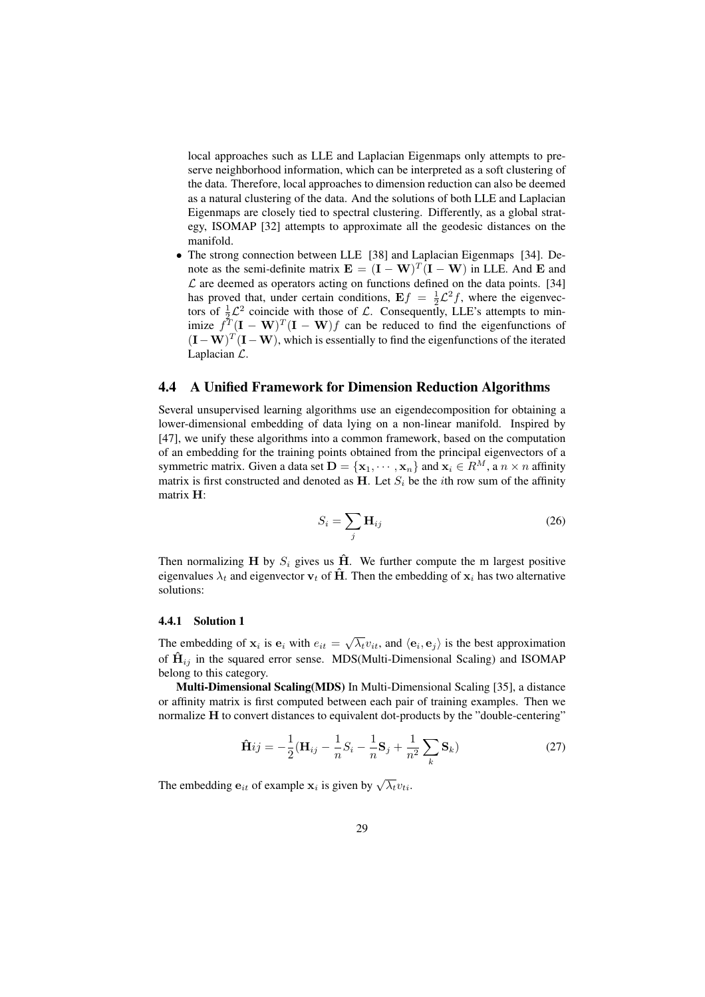local approaches such as LLE and Laplacian Eigenmaps only attempts to preserve neighborhood information, which can be interpreted as a soft clustering of the data. Therefore, local approaches to dimension reduction can also be deemed as a natural clustering of the data. And the solutions of both LLE and Laplacian Eigenmaps are closely tied to spectral clustering. Differently, as a global strategy, ISOMAP [32] attempts to approximate all the geodesic distances on the manifold.

• The strong connection between LLE [38] and Laplacian Eigenmaps [34]. Denote as the semi-definite matrix  $\mathbf{E} = (\mathbf{I} - \mathbf{W})^T (\mathbf{I} - \mathbf{W})$  in LLE. And E and  $\mathcal L$  are deemed as operators acting on functions defined on the data points. [34] has proved that, under certain conditions,  $E f = \frac{1}{2} \mathcal{L}^2 f$ , where the eigenvectors of  $\frac{1}{2}\mathcal{L}^2$  coincide with those of  $\mathcal{L}$ . Consequently, LLE's attempts to minimize  $f^T(\mathbf{I} - \mathbf{W})^T(\mathbf{I} - \mathbf{W})f$  can be reduced to find the eigenfunctions of  $($ **I** – **W** $)$ <sup>T</sup> $($ **I** – **W** $)$ , which is essentially to find the eigenfunctions of the iterated Laplacian L.

# 4.4 A Unified Framework for Dimension Reduction Algorithms

Several unsupervised learning algorithms use an eigendecomposition for obtaining a lower-dimensional embedding of data lying on a non-linear manifold. Inspired by [47], we unify these algorithms into a common framework, based on the computation of an embedding for the training points obtained from the principal eigenvectors of a symmetric matrix. Given a data set  $\mathbf{D} = \{x_1, \dots, x_n\}$  and  $x_i \in R^M$ , a  $n \times n$  affinity matrix is first constructed and denoted as H. Let  $S_i$  be the *i*th row sum of the affinity matrix H:

$$
S_i = \sum_j \mathbf{H}_{ij} \tag{26}
$$

Then normalizing H by  $S_i$  gives us H. We further compute the m largest positive eigenvalues  $\lambda_t$  and eigenvector  $v_t$  of  $\hat{H}$ . Then the embedding of  $x_i$  has two alternative solutions:

#### 4.4.1 Solution 1

The embedding of  $\mathbf{x}_i$  is  $\mathbf{e}_i$  with  $e_{it} = \sqrt{\lambda_t} v_{it}$ , and  $\langle \mathbf{e}_i, \mathbf{e}_j \rangle$  is the best approximation of  $\hat{H}_{ij}$  in the squared error sense. MDS(Multi-Dimensional Scaling) and ISOMAP belong to this category.

Multi-Dimensional Scaling(MDS) In Multi-Dimensional Scaling [35], a distance or affinity matrix is first computed between each pair of training examples. Then we normalize H to convert distances to equivalent dot-products by the "double-centering"

$$
\hat{\mathbf{H}}ij = -\frac{1}{2}(\mathbf{H}_{ij} - \frac{1}{n}S_i - \frac{1}{n}\mathbf{S}_j + \frac{1}{n^2}\sum_k \mathbf{S}_k)
$$
 (27)

The embedding  $e_{it}$  of example  $\mathbf{x}_i$  is given by  $\sqrt{\lambda_t} v_{ti}$ .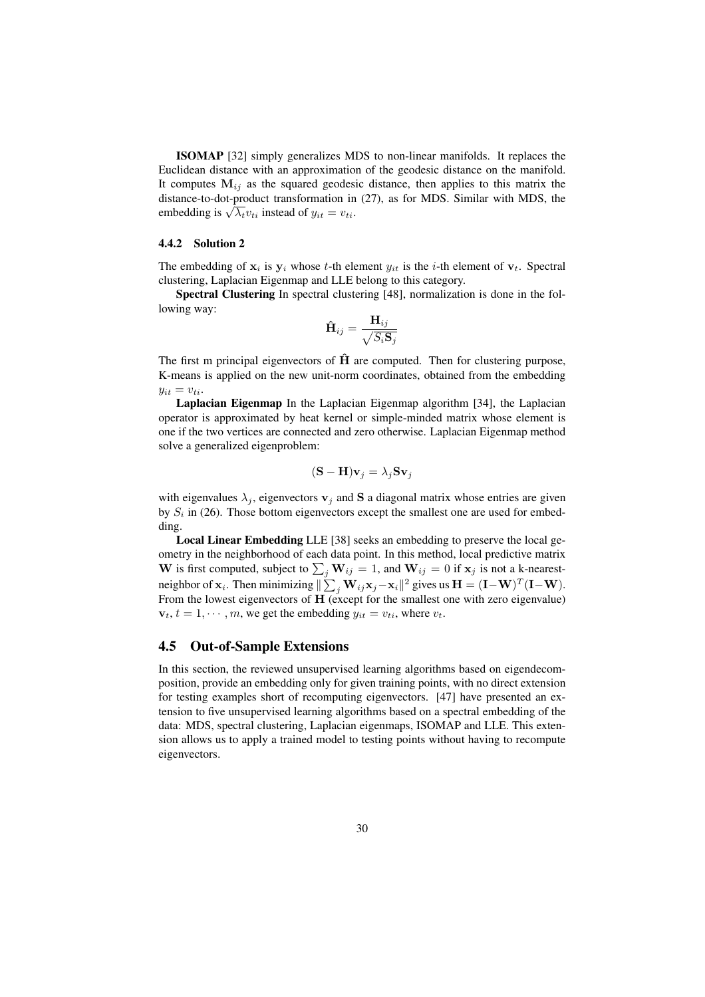ISOMAP [32] simply generalizes MDS to non-linear manifolds. It replaces the Euclidean distance with an approximation of the geodesic distance on the manifold. It computes  $M_{ij}$  as the squared geodesic distance, then applies to this matrix the distance-to-dot-product transformation in (27), as for MDS. Similar with MDS, the distance-to-dot-product transformation in<br>embedding is  $\sqrt{\lambda_t} v_{ti}$  instead of  $y_{it} = v_{ti}$ .

#### 4.4.2 Solution 2

The embedding of  $x_i$  is  $y_i$  whose t-th element  $y_{it}$  is the i-th element of  $v_t$ . Spectral clustering, Laplacian Eigenmap and LLE belong to this category.

Spectral Clustering In spectral clustering [48], normalization is done in the following way:

$$
\mathbf{\hat{H}}_{ij} = \frac{\mathbf{H}_{ij}}{\sqrt{S_i \mathbf{S}_j}}
$$

The first m principal eigenvectors of  $\hat{H}$  are computed. Then for clustering purpose, K-means is applied on the new unit-norm coordinates, obtained from the embedding  $y_{it} = v_{ti}.$ 

Laplacian Eigenmap In the Laplacian Eigenmap algorithm [34], the Laplacian operator is approximated by heat kernel or simple-minded matrix whose element is one if the two vertices are connected and zero otherwise. Laplacian Eigenmap method solve a generalized eigenproblem:

$$
(\mathbf{S} - \mathbf{H})\mathbf{v}_j = \lambda_j \mathbf{S} \mathbf{v}_j
$$

with eigenvalues  $\lambda_j$ , eigenvectors  $v_j$  and S a diagonal matrix whose entries are given by  $S_i$  in (26). Those bottom eigenvectors except the smallest one are used for embedding.

Local Linear Embedding LLE [38] seeks an embedding to preserve the local geometry in the neighborhood of each data point. In this method, local predictive matrix W is first computed, subject to  $\sum_j \mathbf{W}_{ij} = 1$ , and  $\mathbf{W}_{ij} = 0$  if  $\mathbf{x}_j$  is not a k-nearestw is mst computed, shoped to  $\sum_j w_{ij} = 1$ , and  $w_{ij} = 0$  if  $x_j$  is not a K-heatest-<br>neighbor of  $x_i$ . Then minimizing  $\|\sum_j W_{ij}x_j - x_i\|^2$  gives us  $H = (I-W)^T(I-W)$ . From the lowest eigenvectors of H (except for the smallest one with zero eigenvalue)  $\mathbf{v}_t, t = 1, \dots, m$ , we get the embedding  $y_{it} = v_{ti}$ , where  $v_t$ .

### 4.5 Out-of-Sample Extensions

In this section, the reviewed unsupervised learning algorithms based on eigendecomposition, provide an embedding only for given training points, with no direct extension for testing examples short of recomputing eigenvectors. [47] have presented an extension to five unsupervised learning algorithms based on a spectral embedding of the data: MDS, spectral clustering, Laplacian eigenmaps, ISOMAP and LLE. This extension allows us to apply a trained model to testing points without having to recompute eigenvectors.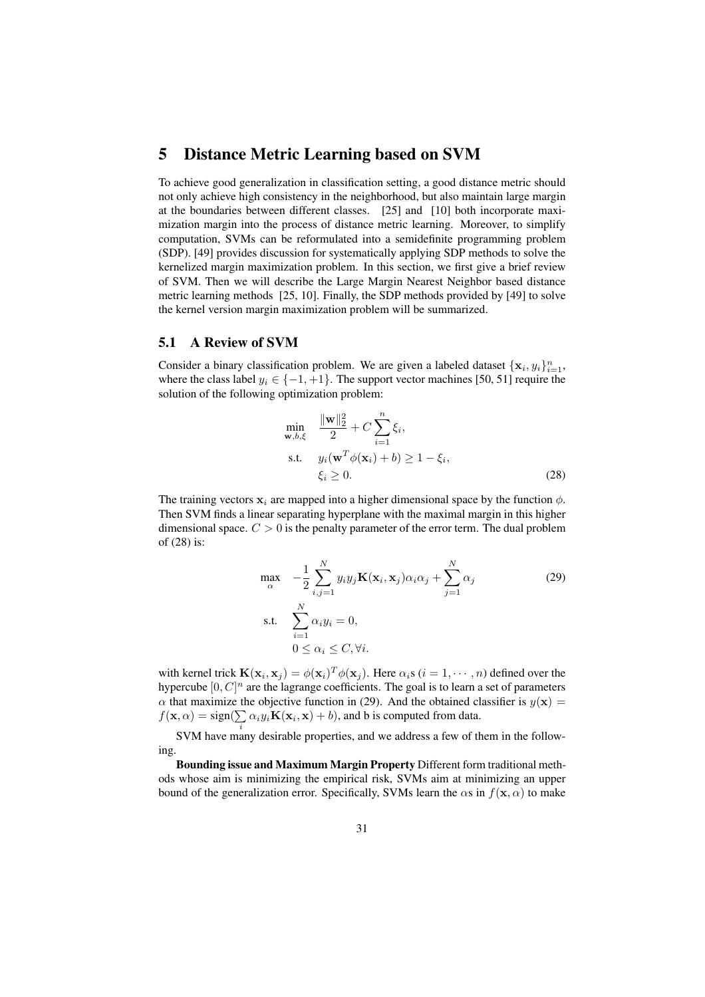# 5 Distance Metric Learning based on SVM

To achieve good generalization in classification setting, a good distance metric should not only achieve high consistency in the neighborhood, but also maintain large margin at the boundaries between different classes. [25] and [10] both incorporate maximization margin into the process of distance metric learning. Moreover, to simplify computation, SVMs can be reformulated into a semidefinite programming problem (SDP). [49] provides discussion for systematically applying SDP methods to solve the kernelized margin maximization problem. In this section, we first give a brief review of SVM. Then we will describe the Large Margin Nearest Neighbor based distance metric learning methods [25, 10]. Finally, the SDP methods provided by [49] to solve the kernel version margin maximization problem will be summarized.

#### 5.1 A Review of SVM

Consider a binary classification problem. We are given a labeled dataset  $\{x_i, y_i\}_{i=1}^n$ , where the class label  $y_i \in \{-1, +1\}$ . The support vector machines [50, 51] require the solution of the following optimization problem:

$$
\min_{\mathbf{w},b,\xi} \quad \frac{\|\mathbf{w}\|_2^2}{2} + C \sum_{i=1}^n \xi_i,
$$
\n
$$
\text{s.t.} \quad y_i(\mathbf{w}^T \phi(\mathbf{x}_i) + b) \ge 1 - \xi_i,
$$
\n
$$
\xi_i \ge 0.
$$
\n
$$
(28)
$$

The training vectors  $x_i$  are mapped into a higher dimensional space by the function  $\phi$ . Then SVM finds a linear separating hyperplane with the maximal margin in this higher dimensional space.  $C > 0$  is the penalty parameter of the error term. The dual problem of (28) is:

$$
\max_{\alpha} \quad -\frac{1}{2} \sum_{i,j=1}^{N} y_i y_j \mathbf{K}(\mathbf{x}_i, \mathbf{x}_j) \alpha_i \alpha_j + \sum_{j=1}^{N} \alpha_j
$$
\ns.t. 
$$
\sum_{i=1}^{N} \alpha_i y_i = 0,
$$
\n
$$
0 \le \alpha_i \le C, \forall i.
$$
\n(29)

with kernel trick  $\mathbf{K}(\mathbf{x}_i, \mathbf{x}_j) = \phi(\mathbf{x}_i)^T \phi(\mathbf{x}_j)$ . Here  $\alpha_i$ s ( $i = 1, \dots, n$ ) defined over the hypercube  $[0, C]^n$  are the lagrange coefficients. The goal is to learn a set of parameters  $\alpha$  that maximize the objective function in (29). And the obtained classifier is  $y(\mathbf{x}) =$  $f(\mathbf{x}, \alpha) = \text{sign}(\sum \alpha_i y_i \mathbf{K}(\mathbf{x}_i, \mathbf{x}) + b)$ , and b is computed from data.

SVM have many desirable properties, and we address a few of them in the following.

Bounding issue and Maximum Margin Property Different form traditional methods whose aim is minimizing the empirical risk, SVMs aim at minimizing an upper bound of the generalization error. Specifically, SVMs learn the  $\alpha$ s in  $f(\mathbf{x}, \alpha)$  to make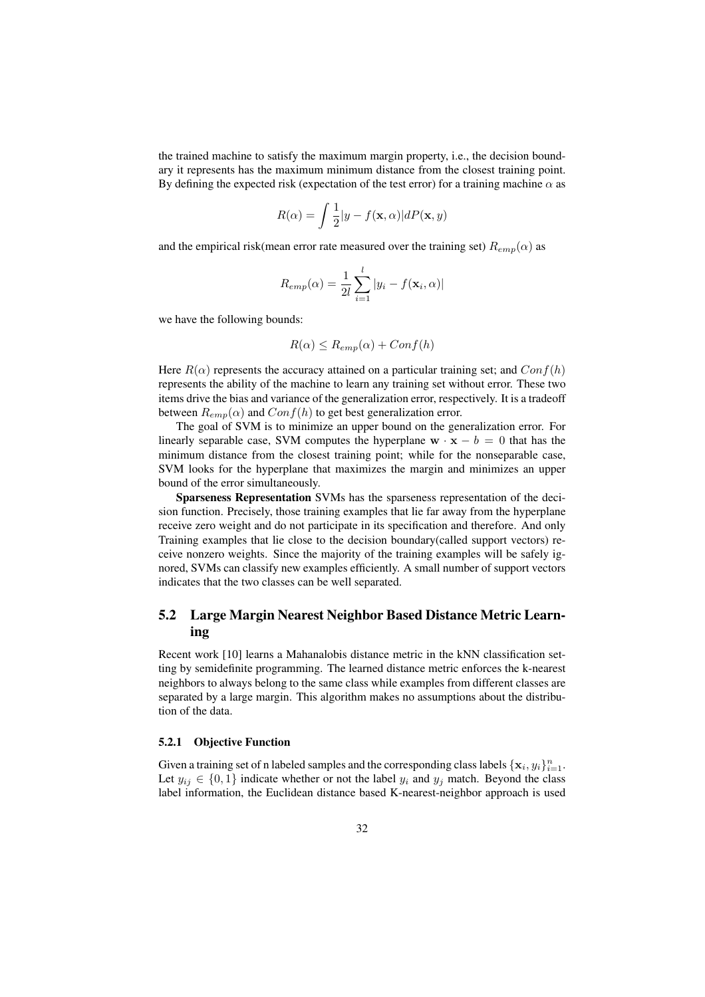the trained machine to satisfy the maximum margin property, i.e., the decision boundary it represents has the maximum minimum distance from the closest training point. By defining the expected risk (expectation of the test error) for a training machine  $\alpha$  as

$$
R(\alpha) = \int \frac{1}{2} |y - f(\mathbf{x}, \alpha)| dP(\mathbf{x}, y)
$$

and the empirical risk(mean error rate measured over the training set)  $R_{emp}(\alpha)$  as

$$
R_{emp}(\alpha) = \frac{1}{2l} \sum_{i=1}^{l} |y_i - f(\mathbf{x}_i, \alpha)|
$$

we have the following bounds:

$$
R(\alpha) \le R_{emp}(\alpha) + Conf(h)
$$

Here  $R(\alpha)$  represents the accuracy attained on a particular training set; and  $Conf(h)$ represents the ability of the machine to learn any training set without error. These two items drive the bias and variance of the generalization error, respectively. It is a tradeoff between  $R_{emp}(\alpha)$  and  $Conf(h)$  to get best generalization error.

The goal of SVM is to minimize an upper bound on the generalization error. For linearly separable case, SVM computes the hyperplane  $\mathbf{w} \cdot \mathbf{x} - b = 0$  that has the minimum distance from the closest training point; while for the nonseparable case, SVM looks for the hyperplane that maximizes the margin and minimizes an upper bound of the error simultaneously.

Sparseness Representation SVMs has the sparseness representation of the decision function. Precisely, those training examples that lie far away from the hyperplane receive zero weight and do not participate in its specification and therefore. And only Training examples that lie close to the decision boundary(called support vectors) receive nonzero weights. Since the majority of the training examples will be safely ignored, SVMs can classify new examples efficiently. A small number of support vectors indicates that the two classes can be well separated.

# 5.2 Large Margin Nearest Neighbor Based Distance Metric Learning

Recent work [10] learns a Mahanalobis distance metric in the kNN classification setting by semidefinite programming. The learned distance metric enforces the k-nearest neighbors to always belong to the same class while examples from different classes are separated by a large margin. This algorithm makes no assumptions about the distribution of the data.

#### 5.2.1 Objective Function

Given a training set of n labeled samples and the corresponding class labels  $\{x_i, y_i\}_{i=1}^n$ . Let  $y_{ij} \in \{0, 1\}$  indicate whether or not the label  $y_i$  and  $y_j$  match. Beyond the class label information, the Euclidean distance based K-nearest-neighbor approach is used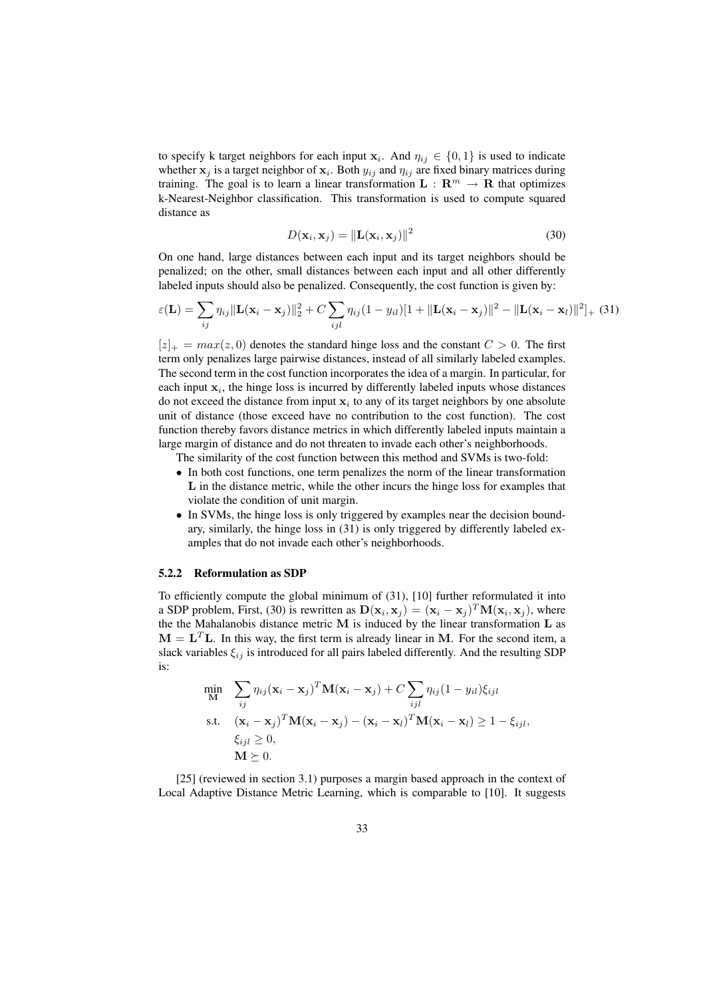to specify k target neighbors for each input  $x_i$ . And  $\eta_{ij} \in \{0,1\}$  is used to indicate whether  $x_j$  is a target neighbor of  $x_i$ . Both  $y_{ij}$  and  $\eta_{ij}$  are fixed binary matrices during training. The goal is to learn a linear transformation  $L : \mathbb{R}^m \to \mathbb{R}$  that optimizes k-Nearest-Neighbor classification. This transformation is used to compute squared distance as

$$
D(\mathbf{x}_i, \mathbf{x}_j) = \|\mathbf{L}(\mathbf{x}_i, \mathbf{x}_j)\|^2
$$
\n(30)

On one hand, large distances between each input and its target neighbors should be penalized; on the other, small distances between each input and all other differently labeled inputs should also be penalized. Consequently, the cost function is given by:

$$
\varepsilon(\mathbf{L}) = \sum_{ij} \eta_{ij} \|\mathbf{L}(\mathbf{x}_i - \mathbf{x}_j)\|_2^2 + C \sum_{ijl} \eta_{ij} (1 - y_{il}) [1 + ||\mathbf{L}(\mathbf{x}_i - \mathbf{x}_j)||^2 - ||\mathbf{L}(\mathbf{x}_i - \mathbf{x}_l)||^2]_{+}
$$
(31)

 $[z]_+ = max(z, 0)$  denotes the standard hinge loss and the constant  $C > 0$ . The first term only penalizes large pairwise distances, instead of all similarly labeled examples. The second term in the cost function incorporates the idea of a margin. In particular, for each input  $x_i$ , the hinge loss is incurred by differently labeled inputs whose distances do not exceed the distance from input  $x_i$  to any of its target neighbors by one absolute unit of distance (those exceed have no contribution to the cost function). The cost function thereby favors distance metrics in which differently labeled inputs maintain a large margin of distance and do not threaten to invade each other's neighborhoods.

The similarity of the cost function between this method and SVMs is two-fold:

- In both cost functions, one term penalizes the norm of the linear transformation L in the distance metric, while the other incurs the hinge loss for examples that violate the condition of unit margin.
- In SVMs, the hinge loss is only triggered by examples near the decision boundary, similarly, the hinge loss in (31) is only triggered by differently labeled examples that do not invade each other's neighborhoods.

#### 5.2.2 Reformulation as SDP

To efficiently compute the global minimum of (31), [10] further reformulated it into a SDP problem, First, (30) is rewritten as  $\mathbf{D}(\mathbf{x}_i, \mathbf{x}_j) = (\mathbf{x}_i - \mathbf{x}_j)^T \mathbf{M}(\mathbf{x}_i, \mathbf{x}_j)$ , where the the Mahalanobis distance metric  $M$  is induced by the linear transformation  $L$  as  $M = L<sup>T</sup>L$ . In this way, the first term is already linear in M. For the second item, a slack variables  $\xi_{ij}$  is introduced for all pairs labeled differently. And the resulting SDP is:

$$
\min_{\mathbf{M}} \quad \sum_{ij} \eta_{ij} (\mathbf{x}_i - \mathbf{x}_j)^T \mathbf{M} (\mathbf{x}_i - \mathbf{x}_j) + C \sum_{ijl} \eta_{ij} (1 - y_{il}) \xi_{ijl}
$$
\ns.t. 
$$
(\mathbf{x}_i - \mathbf{x}_j)^T \mathbf{M} (\mathbf{x}_i - \mathbf{x}_j) - (\mathbf{x}_i - \mathbf{x}_l)^T \mathbf{M} (\mathbf{x}_i - \mathbf{x}_l) \ge 1 - \xi_{ijl},
$$
\n
$$
\xi_{ijl} \ge 0,
$$
\n
$$
\mathbf{M} \succeq 0.
$$

[25] (reviewed in section 3.1) purposes a margin based approach in the context of Local Adaptive Distance Metric Learning, which is comparable to [10]. It suggests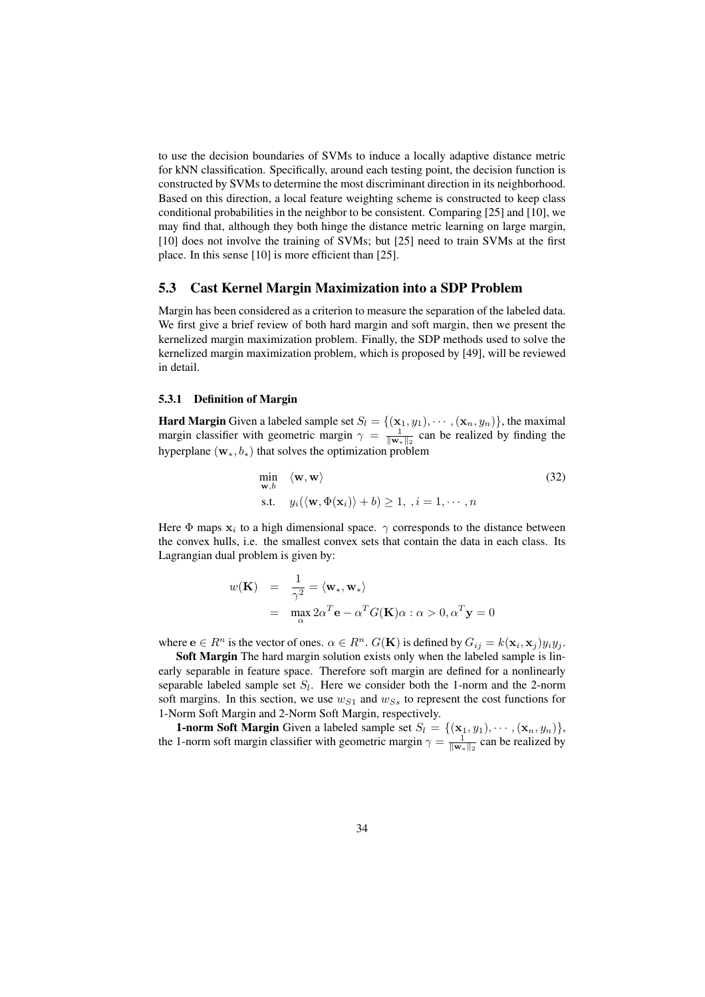to use the decision boundaries of SVMs to induce a locally adaptive distance metric for kNN classification. Specifically, around each testing point, the decision function is constructed by SVMs to determine the most discriminant direction in its neighborhood. Based on this direction, a local feature weighting scheme is constructed to keep class conditional probabilities in the neighbor to be consistent. Comparing [25] and [10], we may find that, although they both hinge the distance metric learning on large margin, [10] does not involve the training of SVMs; but [25] need to train SVMs at the first place. In this sense [10] is more efficient than [25].

#### 5.3 Cast Kernel Margin Maximization into a SDP Problem

Margin has been considered as a criterion to measure the separation of the labeled data. We first give a brief review of both hard margin and soft margin, then we present the kernelized margin maximization problem. Finally, the SDP methods used to solve the kernelized margin maximization problem, which is proposed by [49], will be reviewed in detail.

#### 5.3.1 Definition of Margin

**Hard Margin** Given a labeled sample set  $S_l = \{(\mathbf{x}_1, y_1), \cdots, (\mathbf{x}_n, y_n)\}\)$ , the maximal margin classifier with geometric margin  $\gamma = \frac{1}{\|\mathbf{w}_*\|_2}$  can be realized by finding the hyperplane  $(\mathbf{w}_*, b_*)$  that solves the optimization problem

$$
\min_{\mathbf{w},b} \langle \mathbf{w}, \mathbf{w} \rangle
$$
\ns.t.

\n
$$
y_i(\langle \mathbf{w}, \Phi(\mathbf{x}_i) \rangle + b) \ge 1, \quad i = 1, \cdots, n
$$
\n(32)

Here  $\Phi$  maps  $x_i$  to a high dimensional space.  $\gamma$  corresponds to the distance between the convex hulls, i.e. the smallest convex sets that contain the data in each class. Its Lagrangian dual problem is given by:

$$
w(\mathbf{K}) = \frac{1}{\gamma^2} = \langle \mathbf{w}_*, \mathbf{w}_* \rangle
$$
  
= 
$$
\max_{\alpha} 2\alpha^T \mathbf{e} - \alpha^T G(\mathbf{K})\alpha : \alpha > 0, \alpha^T \mathbf{y} = 0
$$

where  $e \in R^n$  is the vector of ones.  $\alpha \in R^n$ .  $G(K)$  is defined by  $G_{ij} = k(\mathbf{x}_i, \mathbf{x}_j) y_i y_j$ .

Soft Margin The hard margin solution exists only when the labeled sample is linearly separable in feature space. Therefore soft margin are defined for a nonlinearly separable labeled sample set  $S_l$ . Here we consider both the 1-norm and the 2-norm soft margins. In this section, we use  $w_{S1}$  and  $w_{Ss}$  to represent the cost functions for 1-Norm Soft Margin and 2-Norm Soft Margin, respectively.

**1-norm Soft Margin** Given a labeled sample set  $S_l = \{(\mathbf{x}_1, y_1), \cdots, (\mathbf{x}_n, y_n)\}\$ , the 1-norm soft margin classifier with geometric margin  $\gamma = \frac{1}{\|\mathbf{w}*\|^2}$  can be realized by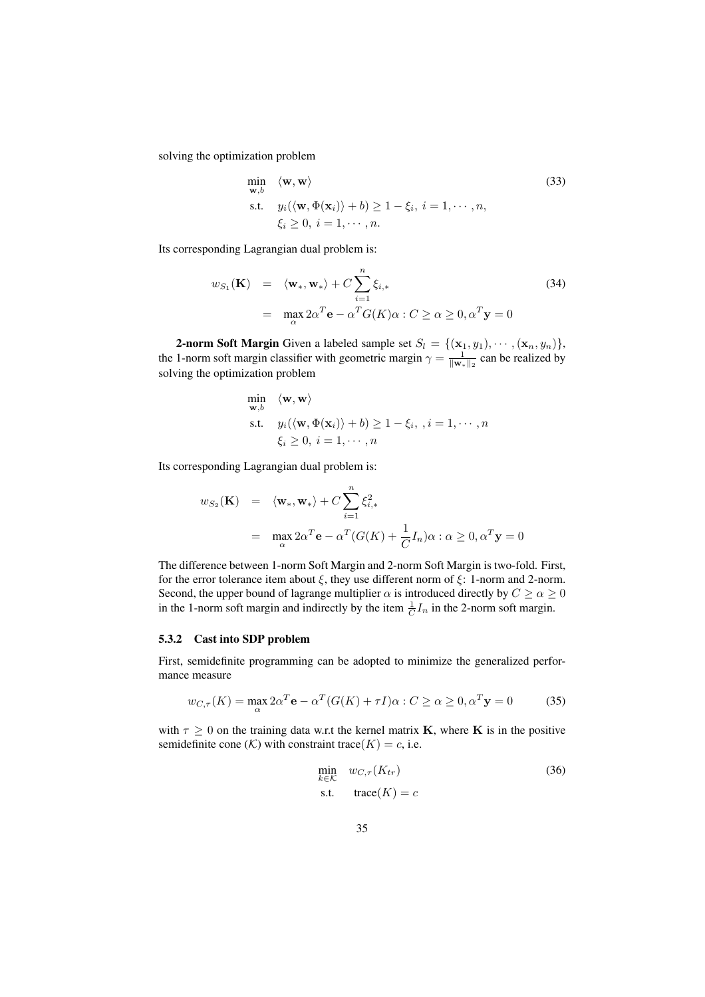solving the optimization problem

$$
\min_{\mathbf{w},b} \quad \langle \mathbf{w}, \mathbf{w} \rangle
$$
\n
$$
\text{s.t.} \quad y_i(\langle \mathbf{w}, \Phi(\mathbf{x}_i) \rangle + b) \ge 1 - \xi_i, \ i = 1, \cdots, n,
$$
\n
$$
\xi_i \ge 0, \ i = 1, \cdots, n.
$$
\n
$$
(33)
$$

Its corresponding Lagrangian dual problem is:

$$
w_{S_1}(\mathbf{K}) = \langle \mathbf{w}_*, \mathbf{w}_* \rangle + C \sum_{i=1}^n \xi_{i,*}
$$
  
= 
$$
\max_{\alpha} 2\alpha^T \mathbf{e} - \alpha^T G(K)\alpha : C \ge \alpha \ge 0, \alpha^T \mathbf{y} = 0
$$
 (34)

**2-norm Soft Margin** Given a labeled sample set  $S_l = \{(\mathbf{x}_1, y_1), \cdots, (\mathbf{x}_n, y_n)\},$ the 1-norm soft margin classifier with geometric margin  $\gamma = \frac{1}{\|\mathbf{w}_*\|_2}$  can be realized by solving the optimization problem

$$
\min_{\mathbf{w},b} \langle \mathbf{w}, \mathbf{w} \rangle
$$
  
s.t.  $y_i(\langle \mathbf{w}, \Phi(\mathbf{x}_i) \rangle + b) \ge 1 - \xi_i, \quad i = 1, \dots, n$   
 $\xi_i \ge 0, \quad i = 1, \dots, n$ 

Its corresponding Lagrangian dual problem is:

$$
w_{S_2}(\mathbf{K}) = \langle \mathbf{w}_*, \mathbf{w}_* \rangle + C \sum_{i=1}^n \xi_{i,*}^2
$$
  
= 
$$
\max_{\alpha} 2\alpha^T \mathbf{e} - \alpha^T (G(K) + \frac{1}{C} I_n) \alpha : \alpha \ge 0, \alpha^T \mathbf{y} = 0
$$

The difference between 1-norm Soft Margin and 2-norm Soft Margin is two-fold. First, for the error tolerance item about  $\xi$ , they use different norm of  $\xi$ : 1-norm and 2-norm. Second, the upper bound of lagrange multiplier  $\alpha$  is introduced directly by  $C \ge \alpha \ge 0$ in the 1-norm soft margin and indirectly by the item  $\frac{1}{C}I_n$  in the 2-norm soft margin.

#### 5.3.2 Cast into SDP problem

First, semidefinite programming can be adopted to minimize the generalized performance measure

$$
w_{C,\tau}(K) = \max_{\alpha} 2\alpha^T \mathbf{e} - \alpha^T (G(K) + \tau I)\alpha : C \ge \alpha \ge 0, \alpha^T \mathbf{y} = 0 \tag{35}
$$

with  $\tau \geq 0$  on the training data w.r.t the kernel matrix **K**, where **K** is in the positive semidefinite cone  $(K)$  with constraint trace  $(K) = c$ , i.e.

$$
\min_{k \in \mathcal{K}} w_{C,\tau}(K_{tr})
$$
\n
$$
\text{s.t.} \quad \text{trace}(K) = c
$$
\n(36)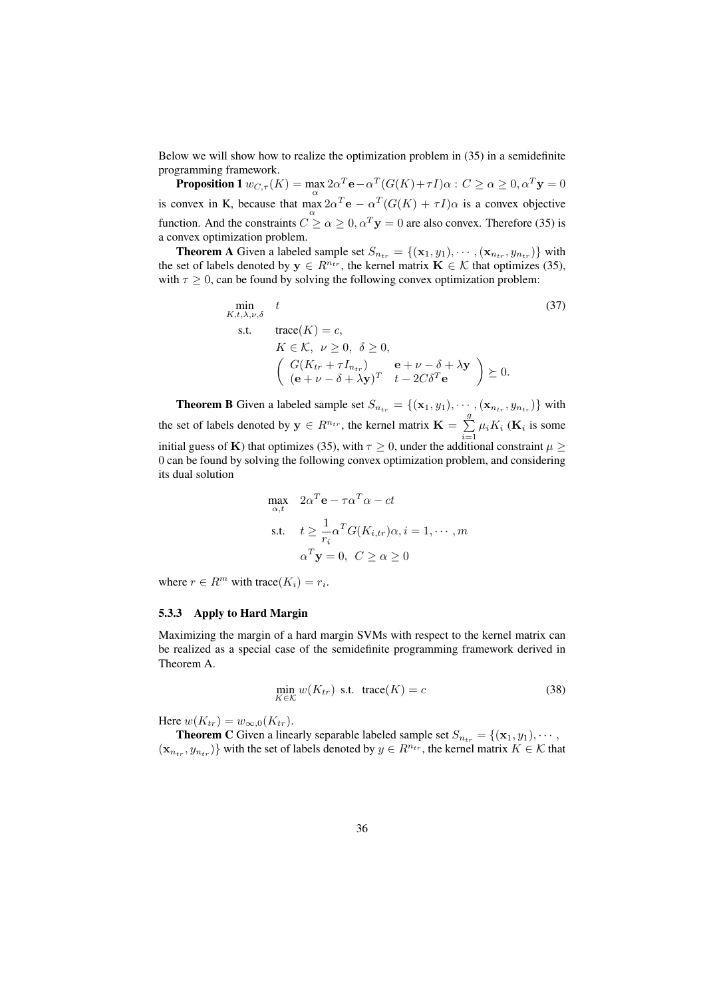Below we will show how to realize the optimization problem in (35) in a semidefinite programming framework.

**Proposition 1**  $w_{C,\tau}(K) = \max 2\alpha^T \mathbf{e} - \alpha^T(G(K) + \tau I)\alpha$  :  $C \geq \alpha \geq 0, \alpha^T \mathbf{y} = 0$ is convex in K, because that  $\max_{\alpha} 2\alpha^T \mathbf{e} - \alpha^T (G(K) + \tau I)\alpha$  is a convex objective function. And the constraints  $C \ge \alpha \ge 0$ ,  $\alpha^T y = 0$  are also convex. Therefore (35) is a convex optimization problem.

**Theorem A** Given a labeled sample set  $S_{n_{tr}} = \{(\mathbf{x}_1, y_1), \cdots, (\mathbf{x}_{n_{tr}}, y_{n_{tr}})\}\$  with the set of labels denoted by  $y \in R^{n_{tr}}$ , the kernel matrix  $\mathbf{K} \in \mathcal{K}$  that optimizes (35), with  $\tau \geq 0$ , can be found by solving the following convex optimization problem:

$$
\min_{K, t, \lambda, \nu, \delta} t
$$
\n
$$
\text{s.t.} \quad \text{trace}(K) = c,
$$
\n
$$
K \in \mathcal{K}, \ \nu \ge 0, \ \delta \ge 0,
$$
\n
$$
\left(\begin{array}{c} G(K_{tr} + \tau I_{n_{tr}}) & \mathbf{e} + \nu - \delta + \lambda \mathbf{y} \\ (\mathbf{e} + \nu - \delta + \lambda \mathbf{y})^T & t - 2C\delta^T \mathbf{e} \end{array}\right) \succeq 0.
$$
\n
$$
(37)
$$

**Theorem B** Given a labeled sample set  $S_{n_{tr}} = \{(\mathbf{x}_1, y_1), \cdots, (\mathbf{x}_{n_{tr}}, y_{n_{tr}})\}\$  with the set of labels denoted by  $y \in R^{n_{tr}}$ , the kernel matrix  $\mathbf{K} = \sum_{r=1}^{g}$  $\sum_{i=1} \mu_i K_i$  (**K**<sub>i</sub> is some initial guess of K) that optimizes (35), with  $\tau \ge 0$ , under the additional constraint  $\mu \ge$ 0 can be found by solving the following convex optimization problem, and considering its dual solution

$$
\max_{\alpha,t} \quad 2\alpha^T \mathbf{e} - \tau \alpha^T \alpha - ct
$$
\n
$$
\text{s.t.} \quad t \ge \frac{1}{r_i} \alpha^T G(K_{i,tr}) \alpha, i = 1, \cdots, m
$$
\n
$$
\alpha^T \mathbf{y} = 0, \ C \ge \alpha \ge 0
$$

where  $r \in R^m$  with trace( $K_i$ ) =  $r_i$ .

#### 5.3.3 Apply to Hard Margin

Maximizing the margin of a hard margin SVMs with respect to the kernel matrix can be realized as a special case of the semidefinite programming framework derived in Theorem A.

$$
\min_{K \in \mathcal{K}} w(K_{tr}) \text{ s.t. } \text{trace}(K) = c \tag{38}
$$

Here  $w(K_{tr}) = w_{\infty,0}(K_{tr}).$ 

**Theorem C** Given a linearly separable labeled sample set  $S_{n_{tr}} = \{(\mathbf{x}_1, y_1), \cdots,$  $(\mathbf{x}_{n_{tr}}, y_{n_{tr}})$  with the set of labels denoted by  $y \in R^{n_{tr}}$ , the kernel matrix  $K \in \mathcal{K}$  that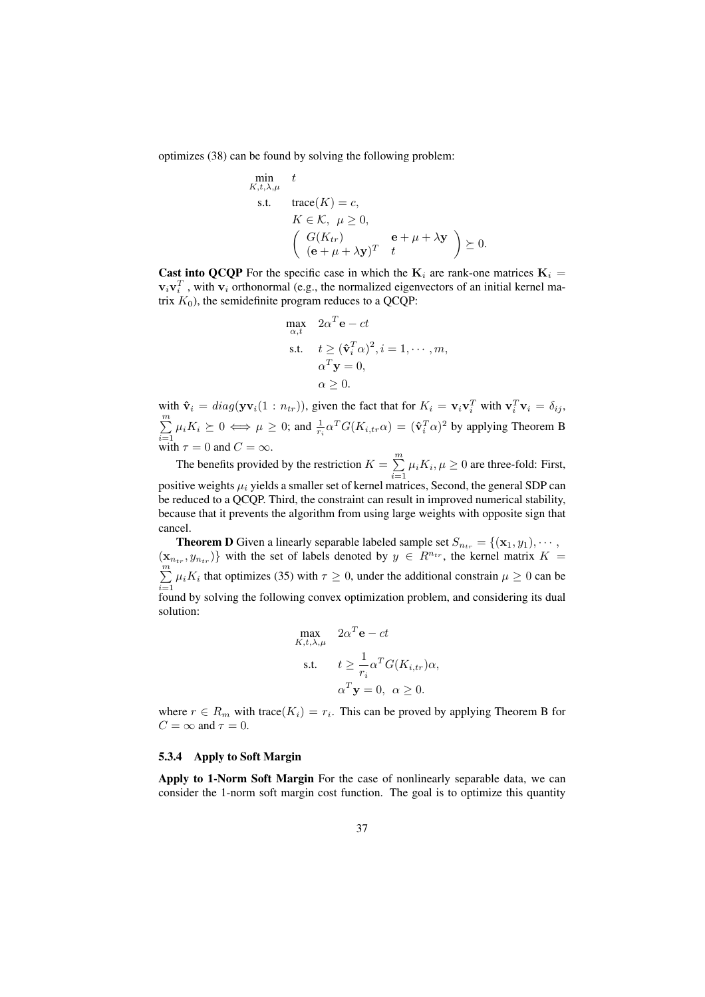optimizes (38) can be found by solving the following problem:

$$
\min_{K, t, \lambda, \mu} t
$$
\n
$$
\text{s.t.} \quad \text{trace}(K) = c,
$$
\n
$$
K \in \mathcal{K}, \ \mu \ge 0,
$$
\n
$$
\left( \begin{array}{cc} G(K_{tr}) & \mathbf{e} + \mu + \lambda \mathbf{y} \\ (\mathbf{e} + \mu + \lambda \mathbf{y})^T & t \end{array} \right) \succeq 0.
$$

**Cast into QCQP** For the specific case in which the  $K_i$  are rank-one matrices  $K_i$  =  $v_i v_i^T$ , with  $v_i$  orthonormal (e.g., the normalized eigenvectors of an initial kernel matrix  $K_0$ ), the semidefinite program reduces to a QCQP:

$$
\max_{\alpha,t} 2\alpha^T \mathbf{e} - ct
$$
  
s.t.  $t \ge (\hat{\mathbf{v}}_i^T \alpha)^2, i = 1, \dots, m,$   
 $\alpha^T \mathbf{y} = 0,$   
 $\alpha \ge 0.$ 

with  $\hat{\mathbf{v}}_i = diag(\mathbf{y} \mathbf{v}_i(1:n_{tr})),$  given the fact that for  $K_i = \mathbf{v}_i \mathbf{v}_i^T$  with  $\mathbf{v}_i^T \mathbf{v}_i = \delta_{ij}$ ,  $\overline{m}$  $\sum_{i=1}^{\infty} \mu_i K_i \succeq 0 \iff \mu \ge 0$ ; and  $\frac{1}{r_i} \alpha^T G(K_{i,tr} \alpha) = (\hat{\mathbf{v}}_i^T \alpha)^2$  by applying Theorem B with  $\tau = 0$  and  $C = \infty$ .

The benefits provided by the restriction  $K = \sum_{n=1}^{m}$  $\sum_{i=1} \mu_i K_i, \mu \ge 0$  are three-fold: First, positive weights  $\mu_i$  yields a smaller set of kernel matrices, Second, the general SDP can be reduced to a QCQP. Third, the constraint can result in improved numerical stability, because that it prevents the algorithm from using large weights with opposite sign that cancel.

**Theorem D** Given a linearly separable labeled sample set  $S_{n_{tr}} = \{(\mathbf{x}_1, y_1), \cdots,$  $(\mathbf{x}_{n_{tr}}, y_{n_{tr}})$  with the set of labels denoted by  $y \in R^{n_{tr}}$ , the kernel matrix  $K =$  $\sum_{i=1}^{n}$  $\sum_{i=1} \mu_i K_i$  that optimizes (35) with  $\tau \ge 0$ , under the additional constrain  $\mu \ge 0$  can be found by solving the following convex optimization problem, and considering its dual solution:

$$
\begin{aligned}\n\max_{K,t,\lambda,\mu} & 2\alpha^T \mathbf{e} - ct \\
\text{s.t.} & t \ge \frac{1}{r_i} \alpha^T G(K_{i,tr}) \alpha, \\
\alpha^T \mathbf{y} &= 0, \ \alpha \ge 0.\n\end{aligned}
$$

where  $r \in R_m$  with trace $(K_i) = r_i$ . This can be proved by applying Theorem B for  $C = \infty$  and  $\tau = 0$ .

#### 5.3.4 Apply to Soft Margin

Apply to 1-Norm Soft Margin For the case of nonlinearly separable data, we can consider the 1-norm soft margin cost function. The goal is to optimize this quantity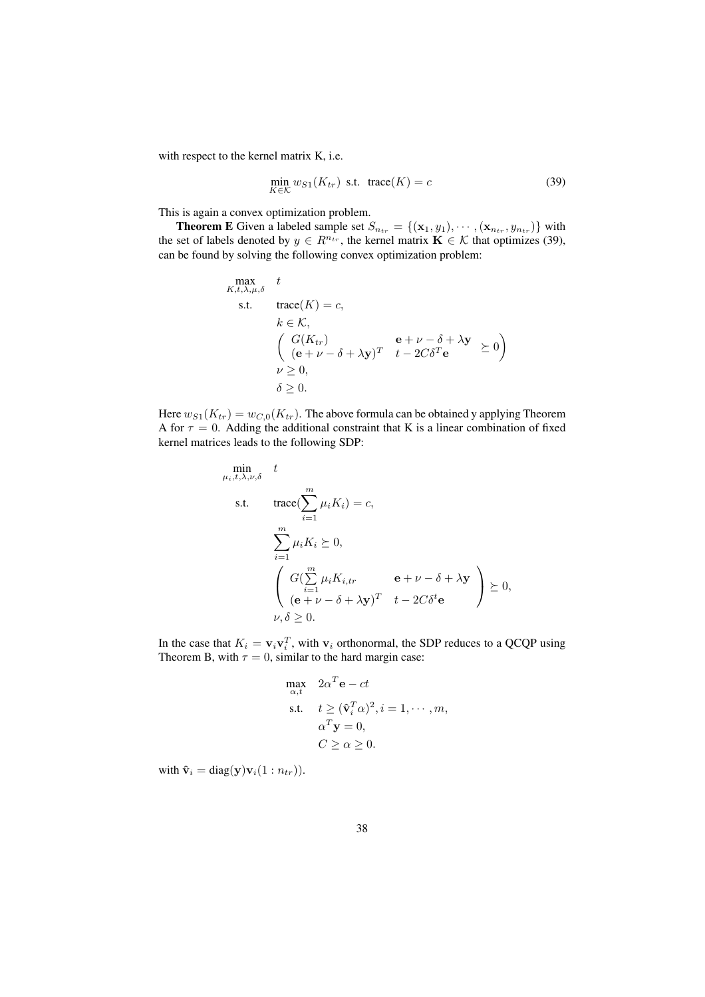with respect to the kernel matrix K, i.e.

$$
\min_{K \in \mathcal{K}} w_{S1}(K_{tr}) \text{ s.t. } \text{trace}(K) = c \tag{39}
$$

This is again a convex optimization problem.

**Theorem E** Given a labeled sample set  $S_{n_{tr}} = \{(\mathbf{x}_1, y_1), \cdots, (\mathbf{x}_{n_{tr}}, y_{n_{tr}})\}\$  with the set of labels denoted by  $y \in R^{n_{tr}}$ , the kernel matrix  $\mathbf{K} \in \mathcal{K}$  that optimizes (39), can be found by solving the following convex optimization problem:

$$
\begin{array}{ll}\n\max & t \\
\text{s.t.} & \text{trace}(K) = c, \\
k \in \mathcal{K}, \\
& \left( \begin{array}{cc} G(K_{tr}) & \mathbf{e} + \nu - \delta + \lambda \mathbf{y} \\ (\mathbf{e} + \nu - \delta + \lambda \mathbf{y})^T & t - 2C\delta^T \mathbf{e} \\ \nu \ge 0, \\ \delta > 0.\end{array} \right)\n\end{array}
$$

Here  $w_{S1}(K_{tr}) = w_{C,0}(K_{tr})$ . The above formula can be obtained y applying Theorem A for  $\tau = 0$ . Adding the additional constraint that K is a linear combination of fixed kernel matrices leads to the following SDP:

$$
\min_{\mu_i, t, \lambda, \nu, \delta} t
$$
\n
$$
\text{s.t.} \quad \text{trace}(\sum_{i=1}^m \mu_i K_i) = c,
$$
\n
$$
\sum_{i=1}^m \mu_i K_i \succeq 0,
$$
\n
$$
\left(\begin{array}{cc} G(\sum_{i=1}^m \mu_i K_{i,tr} & \mathbf{e} + \nu - \delta + \lambda \mathbf{y})\\ (\mathbf{e} + \nu - \delta + \lambda \mathbf{y})^T & t - 2C\delta^t \mathbf{e} \\ \nu, \delta \ge 0. \end{array}\right) \succeq 0,
$$

In the case that  $K_i = \mathbf{v}_i \mathbf{v}_i^T$ , with  $\mathbf{v}_i$  orthonormal, the SDP reduces to a QCQP using Theorem B, with  $\tau = 0$ , similar to the hard margin case:

$$
\max_{\alpha,t} 2\alpha^T \mathbf{e} - ct
$$
  
s.t.  $t \ge (\hat{\mathbf{v}}_i^T \alpha)^2, i = 1, \dots, m,$   
 $\alpha^T \mathbf{y} = 0,$   
 $C \ge \alpha \ge 0.$ 

with  $\hat{\mathbf{v}}_i = \text{diag}(\mathbf{y})\mathbf{v}_i(1:n_{tr})$ .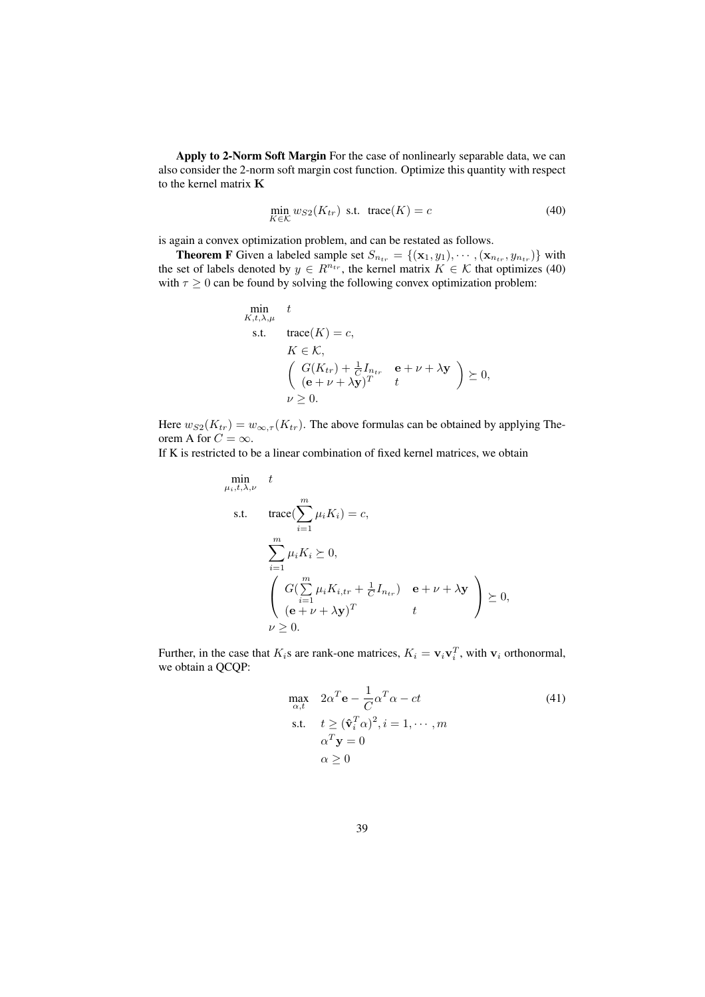Apply to 2-Norm Soft Margin For the case of nonlinearly separable data, we can also consider the 2-norm soft margin cost function. Optimize this quantity with respect to the kernel matrix K

$$
\min_{K \in \mathcal{K}} w_{S2}(K_{tr}) \text{ s.t. } \text{trace}(K) = c \tag{40}
$$

is again a convex optimization problem, and can be restated as follows.

**Theorem F** Given a labeled sample set  $S_{n_{tr}} = \{(\mathbf{x}_1, y_1), \cdots, (\mathbf{x}_{n_{tr}}, y_{n_{tr}})\}\$  with the set of labels denoted by  $y \in R^{n_{tr}}$ , the kernel matrix  $K \in \mathcal{K}$  that optimizes (40) with  $\tau \geq 0$  can be found by solving the following convex optimization problem:

$$
\min_{K,t,\lambda,\mu} t
$$
\n
$$
\text{s.t.} \quad \text{trace}(K) = c,
$$
\n
$$
K \in \mathcal{K},
$$
\n
$$
\left(\begin{array}{cc} G(K_{tr}) + \frac{1}{C}I_{ntr} & \mathbf{e} + \nu + \lambda \mathbf{y} \\ (\mathbf{e} + \nu + \lambda \mathbf{y})^T & t \end{array}\right) \succeq 0,
$$
\n
$$
\nu \geq 0.
$$

Here  $w_{S2}(K_{tr}) = w_{\infty,\tau}(K_{tr})$ . The above formulas can be obtained by applying Theorem A for  $C = \infty$ .

If K is restricted to be a linear combination of fixed kernel matrices, we obtain

$$
\begin{aligned}\n\min_{\mu_i, t, \lambda, \nu} \quad & t \\
\text{s.t.} \quad & \text{trace}(\sum_{i=1}^m \mu_i K_i) = c, \\
& \sum_{i=1}^m \mu_i K_i \succeq 0, \\
& \left( \begin{array}{c} G(\sum_{i=1}^m \mu_i K_{i, tr} + \frac{1}{C} I_{n_{tr}}) & \mathbf{e} + \nu + \lambda \mathbf{y} \\ (\mathbf{e} + \nu + \lambda \mathbf{y})^T & t \end{array} \right) \succeq 0, \\
& \nu \geq 0.\n\end{aligned}
$$

Further, in the case that  $K_i$ s are rank-one matrices,  $K_i = \mathbf{v}_i \mathbf{v}_i^T$ , with  $\mathbf{v}_i$  orthonormal, we obtain a QCQP:

$$
\max_{\alpha, t} \quad 2\alpha^T \mathbf{e} - \frac{1}{C} \alpha^T \alpha - ct
$$
\n
$$
\text{s.t.} \quad t \ge (\hat{\mathbf{v}}_i^T \alpha)^2, i = 1, \cdots, m
$$
\n
$$
\alpha^T \mathbf{y} = 0
$$
\n
$$
\alpha \ge 0
$$
\n(41)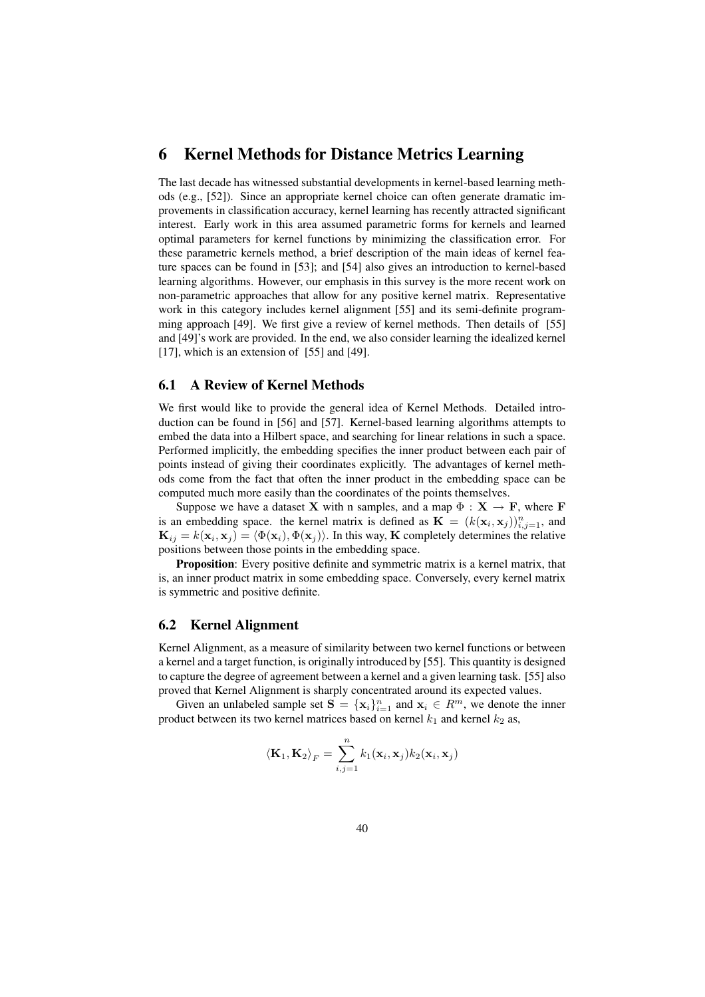# 6 Kernel Methods for Distance Metrics Learning

The last decade has witnessed substantial developments in kernel-based learning methods (e.g., [52]). Since an appropriate kernel choice can often generate dramatic improvements in classification accuracy, kernel learning has recently attracted significant interest. Early work in this area assumed parametric forms for kernels and learned optimal parameters for kernel functions by minimizing the classification error. For these parametric kernels method, a brief description of the main ideas of kernel feature spaces can be found in [53]; and [54] also gives an introduction to kernel-based learning algorithms. However, our emphasis in this survey is the more recent work on non-parametric approaches that allow for any positive kernel matrix. Representative work in this category includes kernel alignment [55] and its semi-definite programming approach [49]. We first give a review of kernel methods. Then details of [55] and [49]'s work are provided. In the end, we also consider learning the idealized kernel [17], which is an extension of [55] and [49].

### 6.1 A Review of Kernel Methods

We first would like to provide the general idea of Kernel Methods. Detailed introduction can be found in [56] and [57]. Kernel-based learning algorithms attempts to embed the data into a Hilbert space, and searching for linear relations in such a space. Performed implicitly, the embedding specifies the inner product between each pair of points instead of giving their coordinates explicitly. The advantages of kernel methods come from the fact that often the inner product in the embedding space can be computed much more easily than the coordinates of the points themselves.

Suppose we have a dataset **X** with n samples, and a map  $\Phi : \mathbf{X} \to \mathbf{F}$ , where **F** is an embedding space. the kernel matrix is defined as  $\mathbf{K} = (k(\mathbf{x}_i, \mathbf{x}_j))_{i,j=1}^n$ , and  $\mathbf{K}_{ij} = k(\mathbf{x}_i, \mathbf{x}_j) = \langle \Phi(\mathbf{x}_i), \Phi(\mathbf{x}_j) \rangle$ . In this way, K completely determines the relative positions between those points in the embedding space.

Proposition: Every positive definite and symmetric matrix is a kernel matrix, that is, an inner product matrix in some embedding space. Conversely, every kernel matrix is symmetric and positive definite.

#### 6.2 Kernel Alignment

Kernel Alignment, as a measure of similarity between two kernel functions or between a kernel and a target function, is originally introduced by [55]. This quantity is designed to capture the degree of agreement between a kernel and a given learning task. [55] also proved that Kernel Alignment is sharply concentrated around its expected values.

Given an unlabeled sample set  $S = {\mathbf{x}_i}_{i=1}^n$  and  $\mathbf{x}_i \in R^m$ , we denote the inner product between its two kernel matrices based on kernel  $k_1$  and kernel  $k_2$  as,

$$
\langle \mathbf{K}_1, \mathbf{K}_2 \rangle_F = \sum_{i,j=1}^n k_1(\mathbf{x}_i, \mathbf{x}_j) k_2(\mathbf{x}_i, \mathbf{x}_j)
$$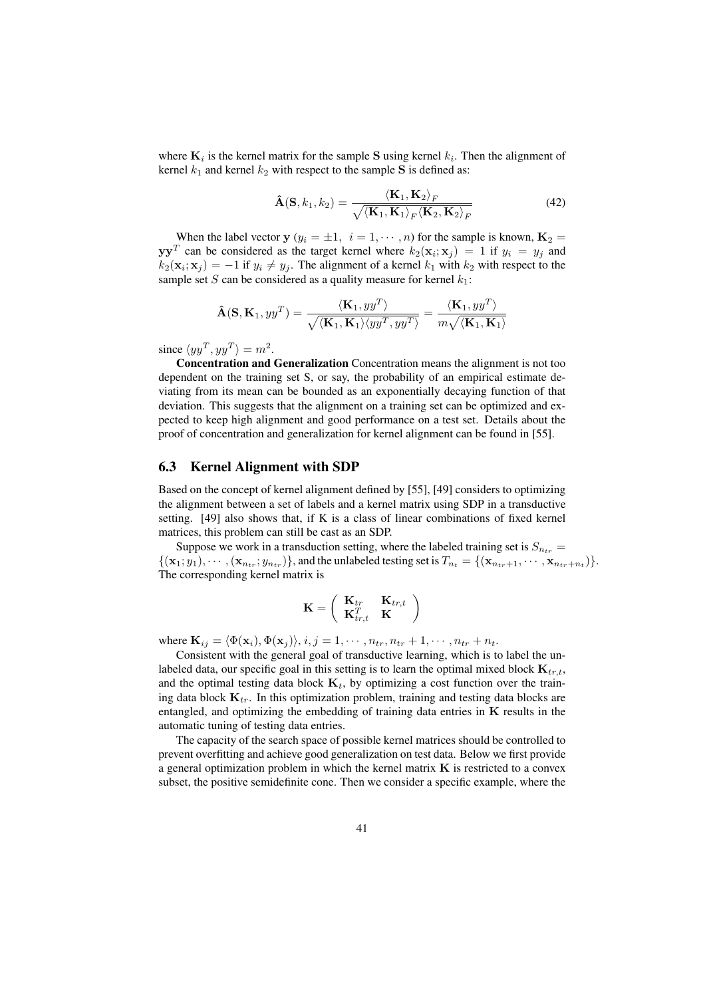where  $\mathbf{K}_i$  is the kernel matrix for the sample S using kernel  $k_i$ . Then the alignment of kernel  $k_1$  and kernel  $k_2$  with respect to the sample S is defined as:

$$
\hat{\mathbf{A}}(\mathbf{S}, k_1, k_2) = \frac{\langle \mathbf{K}_1, \mathbf{K}_2 \rangle_F}{\sqrt{\langle \mathbf{K}_1, \mathbf{K}_1 \rangle_F \langle \mathbf{K}_2, \mathbf{K}_2 \rangle_F}}
$$
(42)

When the label vector  $y (y_i = \pm 1, i = 1, \dots, n)$  for the sample is known,  $K_2 =$  $yy<sup>T</sup>$  can be considered as the target kernel where  $k_2(\mathbf{x}_i; \mathbf{x}_j) = 1$  if  $y_i = y_j$  and  $k_2(\mathbf{x}_i; \mathbf{x}_j) = -1$  if  $y_i \neq y_j$ . The alignment of a kernel  $k_1$  with  $k_2$  with respect to the sample set S can be considered as a quality measure for kernel  $k_1$ :

$$
\mathbf{\hat{A}}(\mathbf{S}, \mathbf{K}_1, yy^T) = \frac{\langle \mathbf{K}_1, yy^T \rangle}{\sqrt{\langle \mathbf{K}_1, \mathbf{K}_1 \rangle \langle yy^T, yy^T \rangle}} = \frac{\langle \mathbf{K}_1, yy^T \rangle}{m\sqrt{\langle \mathbf{K}_1, \mathbf{K}_1 \rangle}}
$$

since  $\langle yy^T, yy^T \rangle = m^2$ .

Concentration and Generalization Concentration means the alignment is not too dependent on the training set S, or say, the probability of an empirical estimate deviating from its mean can be bounded as an exponentially decaying function of that deviation. This suggests that the alignment on a training set can be optimized and expected to keep high alignment and good performance on a test set. Details about the proof of concentration and generalization for kernel alignment can be found in [55].

#### 6.3 Kernel Alignment with SDP

Based on the concept of kernel alignment defined by [55], [49] considers to optimizing the alignment between a set of labels and a kernel matrix using SDP in a transductive setting. [49] also shows that, if K is a class of linear combinations of fixed kernel matrices, this problem can still be cast as an SDP.

Suppose we work in a transduction setting, where the labeled training set is  $S_{n_{tr}} =$  $\{(\mathbf{x}_1; y_1), \cdots, (\mathbf{x}_{n_{tr}}; y_{n_{tr}})\}\$ , and the unlabeled testing set is  $T_{n_t} = \{(\mathbf{x}_{n_{tr}+1}, \cdots, \mathbf{x}_{n_{tr}+n_t})\}\$ . The corresponding kernel matrix is

$$
\mathbf{K} = \left( \begin{array}{cc} \mathbf{K}_{tr} & \mathbf{K}_{tr,t} \\ \mathbf{K}_{tr,t}^T & \mathbf{K} \end{array} \right)
$$

where  $\mathbf{K}_{ij} = \langle \Phi(\mathbf{x}_i), \Phi(\mathbf{x}_j) \rangle, i, j = 1, \cdots, n_{tr}, n_{tr} + 1, \cdots, n_{tr} + n_t.$ 

Consistent with the general goal of transductive learning, which is to label the unlabeled data, our specific goal in this setting is to learn the optimal mixed block  $\mathbf{K}_{tr,t}$ , and the optimal testing data block  $\mathbf{K}_t$ , by optimizing a cost function over the training data block  $\mathbf{K}_{tr}$ . In this optimization problem, training and testing data blocks are entangled, and optimizing the embedding of training data entries in  $K$  results in the automatic tuning of testing data entries.

The capacity of the search space of possible kernel matrices should be controlled to prevent overfitting and achieve good generalization on test data. Below we first provide a general optimization problem in which the kernel matrix  $K$  is restricted to a convex subset, the positive semidefinite cone. Then we consider a specific example, where the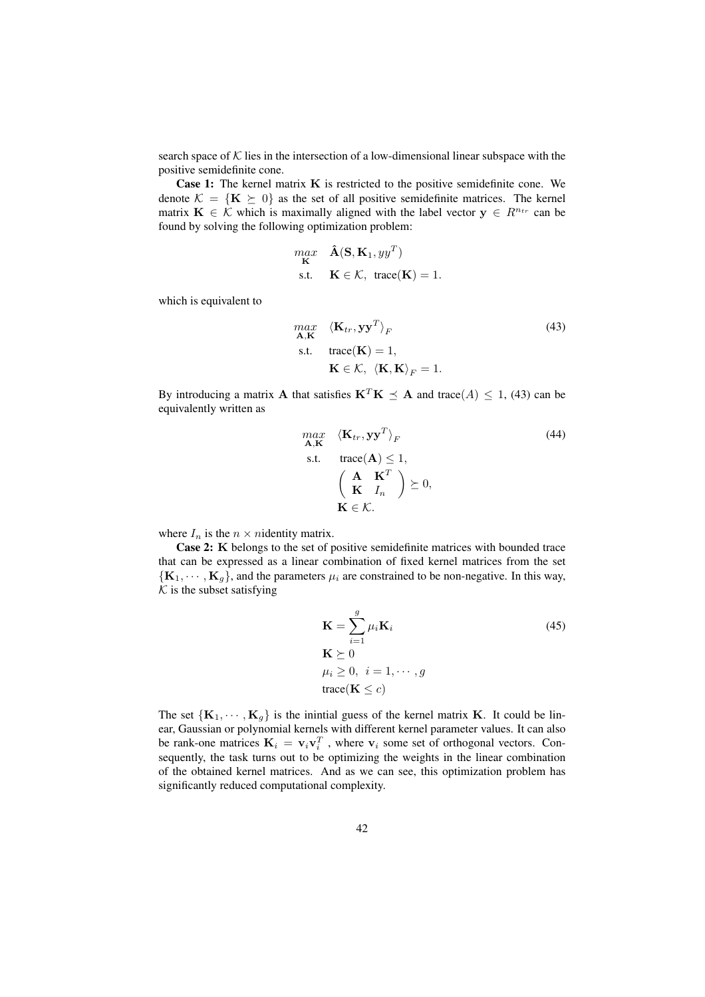search space of  $K$  lies in the intersection of a low-dimensional linear subspace with the positive semidefinite cone.

Case 1: The kernel matrix K is restricted to the positive semidefinite cone. We denote  $\mathcal{K} = \{K \succeq 0\}$  as the set of all positive semidefinite matrices. The kernel matrix  $\mathbf{K} \in \mathcal{K}$  which is maximally aligned with the label vector  $\mathbf{y} \in R^{n_{tr}}$  can be found by solving the following optimization problem:

$$
\begin{aligned}\n\max_{\mathbf{K}} \quad &\hat{\mathbf{A}}(\mathbf{S}, \mathbf{K}_1, yy^T) \\
\text{s.t.} \quad &\mathbf{K} \in \mathcal{K}, \ \text{trace}(\mathbf{K}) = 1.\n\end{aligned}
$$

which is equivalent to

$$
\begin{aligned}\n\max_{\mathbf{A}, \mathbf{K}} \quad & \langle \mathbf{K}_{tr}, \mathbf{y} \mathbf{y}^T \rangle_F \\
\text{s.t.} \quad & \text{trace}(\mathbf{K}) = 1, \\
 & \mathbf{K} \in \mathcal{K}, \ \langle \mathbf{K}, \mathbf{K} \rangle_F = 1.\n\end{aligned} \tag{43}
$$

By introducing a matrix **A** that satisfies  $K^T K \preceq A$  and trace(A)  $\leq 1$ , (43) can be equivalently written as

max  
\n
$$
\mathbf{K}_{tr}, \mathbf{y}\mathbf{y}^{T}\rangle_{F}
$$
\ns.t. trace(**A**)  $\leq$  1,  
\n
$$
\begin{pmatrix}\n\mathbf{A} & \mathbf{K}^{T} \\
\mathbf{K} & I_{n}\n\end{pmatrix} \succeq 0,
$$
\n
$$
\mathbf{K} \in \mathcal{K}.
$$
\n(44)

where  $I_n$  is the  $n \times n$  identity matrix.

Case 2: K belongs to the set of positive semidefinite matrices with bounded trace that can be expressed as a linear combination of fixed kernel matrices from the set  ${K_1, \dots, K_q}$ , and the parameters  $\mu_i$  are constrained to be non-negative. In this way,  $K$  is the subset satisfying

$$
\mathbf{K} = \sum_{i=1}^{g} \mu_i \mathbf{K}_i
$$
\n
$$
\mathbf{K} \succeq 0
$$
\n
$$
\mu_i \ge 0, \quad i = 1, \cdots, g
$$
\n
$$
\text{trace}(\mathbf{K} \le c)
$$
\n(45)

The set  ${K_1, \dots, K_g}$  is the inintial guess of the kernel matrix K. It could be linear, Gaussian or polynomial kernels with different kernel parameter values. It can also be rank-one matrices  $\mathbf{K}_i = \mathbf{v}_i \mathbf{v}_i^T$ , where  $\mathbf{v}_i$  some set of orthogonal vectors. Consequently, the task turns out to be optimizing the weights in the linear combination of the obtained kernel matrices. And as we can see, this optimization problem has significantly reduced computational complexity.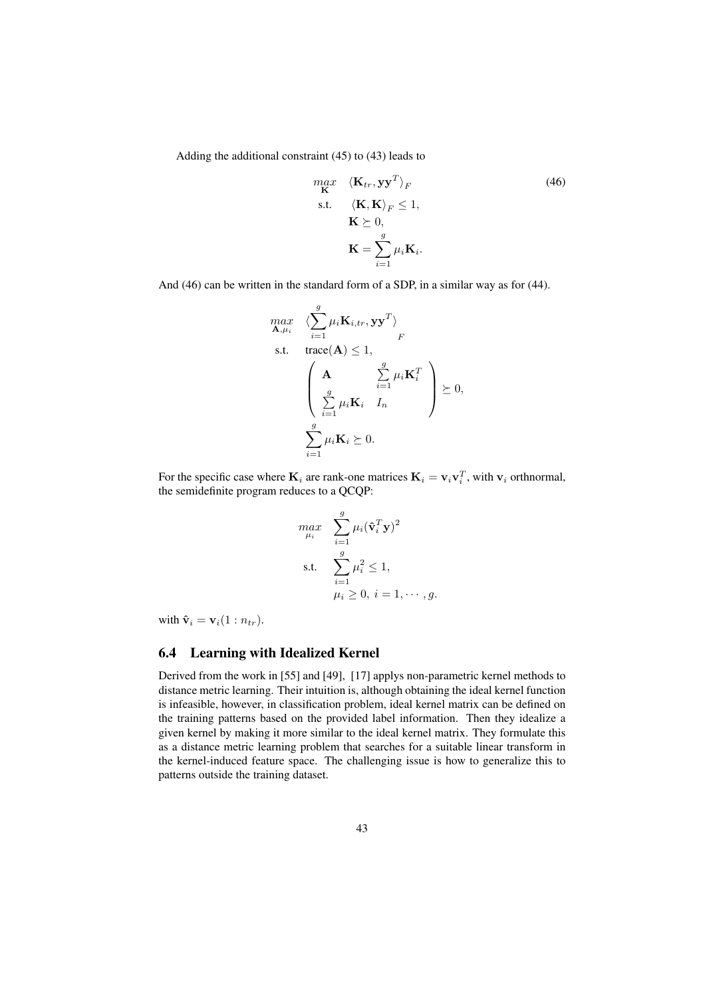Adding the additional constraint (45) to (43) leads to

$$
\begin{array}{ll}\n\max_{\mathbf{K}} & \langle \mathbf{K}_{tr}, \mathbf{y} \mathbf{y}^T \rangle_F \\
\text{s.t.} & \langle \mathbf{K}, \mathbf{K} \rangle_F \le 1, \\
& \mathbf{K} \succeq 0, \\
& \mathbf{K} = \sum_{i=1}^g \mu_i \mathbf{K}_i.\n\end{array} \tag{46}
$$

And (46) can be written in the standard form of a SDP, in a similar way as for (44).

$$
\begin{array}{ll}\n\max_{\mathbf{A},\mu_i} & \langle \sum_{i=1}^g \mu_i \mathbf{K}_{i,tr}, \mathbf{y} \mathbf{y}^T \rangle \\
\text{s.t.} & \text{trace}(\mathbf{A}) \le 1, \\
& \begin{pmatrix} \mathbf{A} & \sum_{i=1}^g \mu_i \mathbf{K}_i^T \\ \sum_{i=1}^g \mu_i \mathbf{K}_i & I_n \end{pmatrix} \succeq 0, \\
& \sum_{i=1}^g \mu_i \mathbf{K}_i \succeq 0.\n\end{array}
$$

For the specific case where  $\mathbf{K}_i$  are rank-one matrices  $\mathbf{K}_i = \mathbf{v}_i \mathbf{v}_i^T$ , with  $\mathbf{v}_i$  orthnormal, the semidefinite program reduces to a QCQP:

$$
\begin{aligned}\n\max_{\mu_i} \quad & \sum_{i=1}^g \mu_i (\hat{\mathbf{v}}_i^T \mathbf{y})^2 \\
\text{s.t.} \quad & \sum_{i=1}^g \mu_i^2 \le 1, \\
& \mu_i \ge 0, \ i = 1, \cdots, g.\n\end{aligned}
$$

with  $\hat{\mathbf{v}}_i = \mathbf{v}_i(1:n_{tr}).$ 

#### 6.4 Learning with Idealized Kernel

Derived from the work in [55] and [49], [17] applys non-parametric kernel methods to distance metric learning. Their intuition is, although obtaining the ideal kernel function is infeasible, however, in classification problem, ideal kernel matrix can be defined on the training patterns based on the provided label information. Then they idealize a given kernel by making it more similar to the ideal kernel matrix. They formulate this as a distance metric learning problem that searches for a suitable linear transform in the kernel-induced feature space. The challenging issue is how to generalize this to patterns outside the training dataset.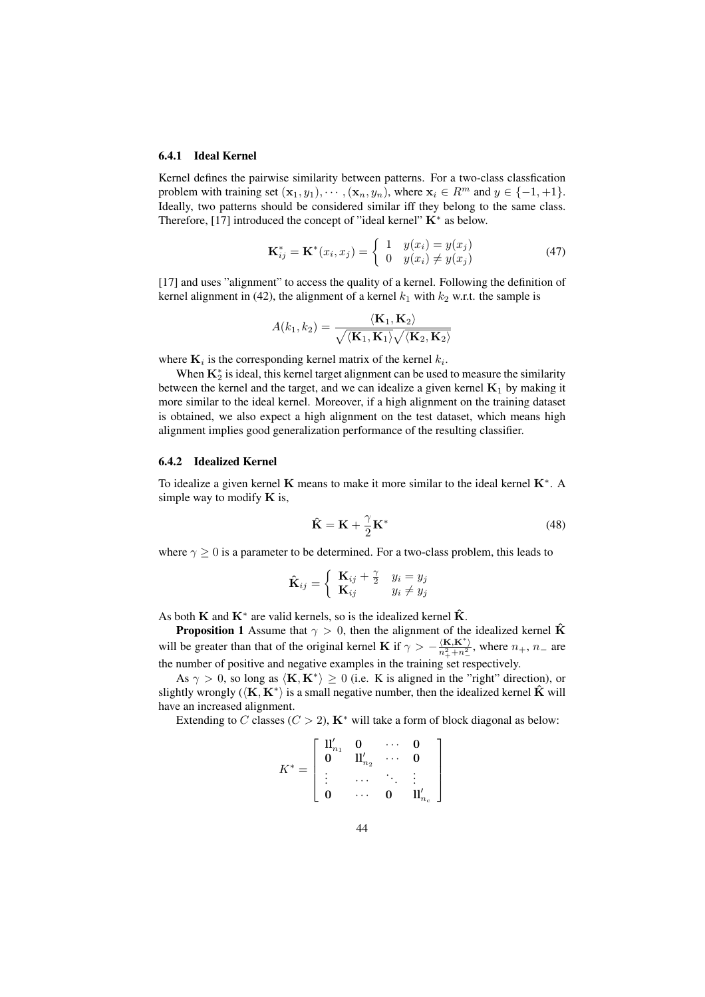#### 6.4.1 Ideal Kernel

Kernel defines the pairwise similarity between patterns. For a two-class classfication problem with training set  $(\mathbf{x}_1, y_1), \cdots, (\mathbf{x}_n, y_n)$ , where  $\mathbf{x}_i \in \mathbb{R}^m$  and  $y \in \{-1, +1\}$ . Ideally, two patterns should be considered similar iff they belong to the same class. Therefore, [17] introduced the concept of "ideal kernel"  $\mathbf{K}^*$  as below.

$$
\mathbf{K}_{ij}^* = \mathbf{K}^*(x_i, x_j) = \begin{cases} 1 & y(x_i) = y(x_j) \\ 0 & y(x_i) \neq y(x_j) \end{cases}
$$
(47)

[17] and uses "alignment" to access the quality of a kernel. Following the definition of kernel alignment in (42), the alignment of a kernel  $k_1$  with  $k_2$  w.r.t. the sample is

$$
A(k_1, k_2) = \frac{\langle \mathbf{K}_1, \mathbf{K}_2 \rangle}{\sqrt{\langle \mathbf{K}_1, \mathbf{K}_1 \rangle} \sqrt{\langle \mathbf{K}_2, \mathbf{K}_2 \rangle}}
$$

where  $\mathbf{K}_i$  is the corresponding kernel matrix of the kernel  $k_i$ .

When  $\mathbf{K}_2^*$  is ideal, this kernel target alignment can be used to measure the similarity between the kernel and the target, and we can idealize a given kernel  $K_1$  by making it more similar to the ideal kernel. Moreover, if a high alignment on the training dataset is obtained, we also expect a high alignment on the test dataset, which means high alignment implies good generalization performance of the resulting classifier.

#### 6.4.2 Idealized Kernel

To idealize a given kernel  $\bf{K}$  means to make it more similar to the ideal kernel  $\bf{K}^*$ . A simple way to modify  $\bf{K}$  is,

$$
\hat{\mathbf{K}} = \mathbf{K} + \frac{\gamma}{2} \mathbf{K}^*
$$
\n(48)

where  $\gamma \geq 0$  is a parameter to be determined. For a two-class problem, this leads to

$$
\hat{\mathbf{K}}_{ij} = \begin{cases} \mathbf{K}_{ij} + \frac{\gamma}{2} & y_i = y_j \\ \mathbf{K}_{ij} & y_i \neq y_j \end{cases}
$$

As both **K** and  $\mathbf{K}^*$  are valid kernels, so is the idealized kernel  $\hat{\mathbf{K}}$ .

**Proposition 1** Assume that  $\gamma > 0$ , then the alignment of the idealized kernel  $\hat{\mathbf{K}}$ will be greater than that of the original kernel **K** if  $\gamma > -\frac{\langle \mathbf{K}, \mathbf{K}^* \rangle}{n_+^2 + n_-^2}$ , where  $n_+$ ,  $n_-$  are the number of positive and negative examples in the training set respectively.

As  $\gamma > 0$ , so long as  $\langle K, K^* \rangle \ge 0$  (i.e. K is aligned in the "right" direction), or slightly wrongly ( $\langle K, K^* \rangle$  is a small negative number, then the idealized kernel  $\hat{K}$  will have an increased alignment.

Extending to C classes ( $C > 2$ ),  $K^*$  will take a form of block diagonal as below:

$$
K^*=\left[\begin{array}{cccc} \mathrm{II}_{n_1}' & \mathbf{0} & \cdots & \mathbf{0} \\ \mathbf{0} & \mathrm{II}_{n_2}' & \cdots & \mathbf{0} \\ \vdots & \cdots & \ddots & \vdots \\ \mathbf{0} & \cdots & \mathbf{0} & \mathrm{II}_{n_c}'\end{array}\right]
$$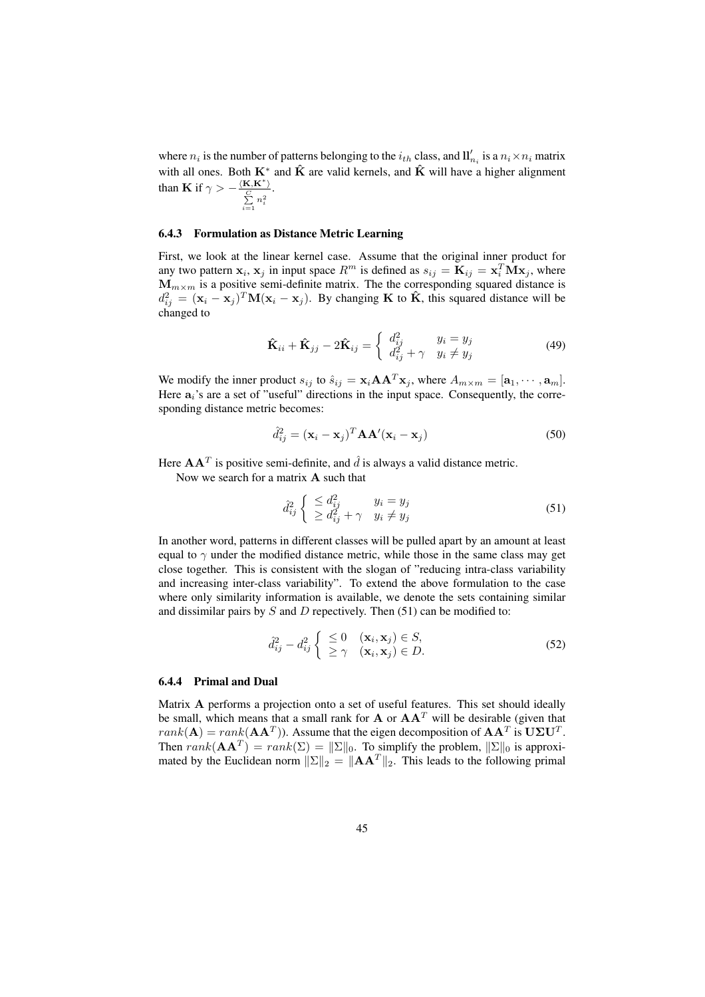where  $n_i$  is the number of patterns belonging to the  $i_{th}$  class, and  $\prod_{n_i}$  is a  $n_i \times n_i$  matrix with all ones. Both  $K^*$  and  $\hat{K}$  are valid kernels, and  $\hat{K}$  will have a higher alignment than **K** if  $\gamma > -\frac{\langle \mathbf{K}, \mathbf{K}^* \rangle}{C}$  $\subseteq$  $\sum_{i=1}^{\infty} n_i^2$ .

#### 6.4.3 Formulation as Distance Metric Learning

First, we look at the linear kernel case. Assume that the original inner product for any two pattern  $x_i$ ,  $x_j$  in input space  $R^m$  is defined as  $s_{ij} = \mathbf{K}_{ij} = \mathbf{x}_i^T \mathbf{M} \mathbf{x}_j$ , where  $M_{m \times m}$  is a positive semi-definite matrix. The the corresponding squared distance is  $d_{ij}^2 = (\mathbf{x}_i - \mathbf{x}_j)^T \mathbf{M} (\mathbf{x}_i - \mathbf{x}_j)$ . By changing **K** to  $\hat{\mathbf{K}}$ , this squared distance will be changed to

$$
\hat{\mathbf{K}}_{ii} + \hat{\mathbf{K}}_{jj} - 2\hat{\mathbf{K}}_{ij} = \begin{cases} d_{ij}^2 & y_i = y_j \\ d_{ij}^2 + \gamma & y_i \neq y_j \end{cases}
$$
(49)

We modify the inner product  $s_{ij}$  to  $\hat{s}_{ij} = \mathbf{x}_i \mathbf{A} \mathbf{A}^T \mathbf{x}_j$ , where  $A_{m \times m} = [\mathbf{a}_1, \cdots, \mathbf{a}_m]$ . Here  $a_i$ 's are a set of "useful" directions in the input space. Consequently, the corresponding distance metric becomes:

$$
\hat{d}_{ij}^2 = (\mathbf{x}_i - \mathbf{x}_j)^T \mathbf{A} \mathbf{A}' (\mathbf{x}_i - \mathbf{x}_j)
$$
 (50)

Here  $AA<sup>T</sup>$  is positive semi-definite, and  $\hat{d}$  is always a valid distance metric.

Now we search for a matrix A such that

$$
\hat{d}_{ij}^2 \begin{cases} \leq d_{ij}^2 & y_i = y_j \\ \geq d_{ij}^2 + \gamma & y_i \neq y_j \end{cases}
$$
\n(51)

In another word, patterns in different classes will be pulled apart by an amount at least equal to  $\gamma$  under the modified distance metric, while those in the same class may get close together. This is consistent with the slogan of "reducing intra-class variability and increasing inter-class variability". To extend the above formulation to the case where only similarity information is available, we denote the sets containing similar and dissimilar pairs by  $S$  and  $D$  repectively. Then (51) can be modified to:

$$
\hat{d}_{ij}^2 - d_{ij}^2 \begin{cases} \leq 0 & (\mathbf{x}_i, \mathbf{x}_j) \in S, \\ \geq \gamma & (\mathbf{x}_i, \mathbf{x}_j) \in D. \end{cases}
$$
 (52)

#### 6.4.4 Primal and Dual

Matrix A performs a projection onto a set of useful features. This set should ideally be small, which means that a small rank for  $A$  or  $AA<sup>T</sup>$  will be desirable (given that  $rank(\mathbf{A}) = rank(\mathbf{A}\mathbf{A}^{T})$ ). Assume that the eigen decomposition of  $\mathbf{A}\mathbf{A}^{T}$  is  $\mathbf{U}\Sigma\mathbf{U}^{T}$ . Then  $rank(\mathbf{A}\mathbf{A}^T) = rank(\Sigma) = ||\Sigma||_0$ . To simplify the problem,  $||\Sigma||_0$  is approximated by the Euclidean norm  $||\Sigma||_2 = ||AA^T||_2$ . This leads to the following primal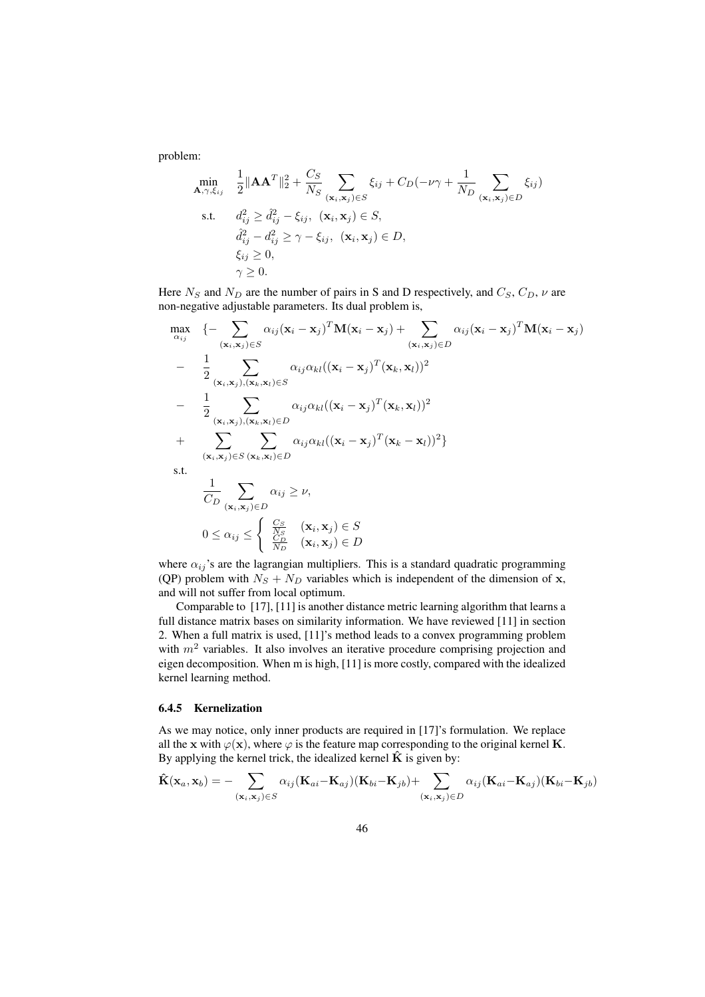problem:

$$
\min_{\mathbf{A}, \gamma, \xi_{ij}} \quad \frac{1}{2} \|\mathbf{A}\mathbf{A}^T\|_2^2 + \frac{C_S}{N_S} \sum_{(\mathbf{x}_i, \mathbf{x}_j) \in S} \xi_{ij} + C_D(-\nu \gamma + \frac{1}{N_D} \sum_{(\mathbf{x}_i, \mathbf{x}_j) \in D} \xi_{ij})
$$
\ns.t. 
$$
d_{ij}^2 \geq d_{ij}^2 - \xi_{ij}, \ (\mathbf{x}_i, \mathbf{x}_j) \in S,
$$
\n
$$
\hat{d}_{ij}^2 - d_{ij}^2 \geq \gamma - \xi_{ij}, \ (\mathbf{x}_i, \mathbf{x}_j) \in D,
$$
\n
$$
\xi_{ij} \geq 0,
$$
\n
$$
\gamma \geq 0.
$$

Here  $N_S$  and  $N_D$  are the number of pairs in S and D respectively, and  $C_S$ ,  $C_D$ ,  $\nu$  are non-negative adjustable parameters. Its dual problem is,

$$
\begin{aligned}\n\max_{\alpha_{ij}} & \quad \left\{ - \sum_{(\mathbf{x}_i, \mathbf{x}_j) \in S} \alpha_{ij} (\mathbf{x}_i - \mathbf{x}_j)^T \mathbf{M} (\mathbf{x}_i - \mathbf{x}_j) + \sum_{(\mathbf{x}_i, \mathbf{x}_j) \in D} \alpha_{ij} (\mathbf{x}_i - \mathbf{x}_j)^T \mathbf{M} (\mathbf{x}_i - \mathbf{x}_j) \right\} \\
& - \frac{1}{2} \sum_{(\mathbf{x}_i, \mathbf{x}_j), (\mathbf{x}_k, \mathbf{x}_l) \in S} \alpha_{ij} \alpha_{kl} ((\mathbf{x}_i - \mathbf{x}_j)^T (\mathbf{x}_k, \mathbf{x}_l))^2 \\
& - \frac{1}{2} \sum_{(\mathbf{x}_i, \mathbf{x}_j), (\mathbf{x}_k, \mathbf{x}_l) \in D} \alpha_{ij} \alpha_{kl} ((\mathbf{x}_i - \mathbf{x}_j)^T (\mathbf{x}_k, \mathbf{x}_l))^2 \\
& + \sum_{(\mathbf{x}_i, \mathbf{x}_j) \in S} \sum_{(\mathbf{x}_i, \mathbf{x}_l) \in D} \alpha_{ij} \alpha_{kl} ((\mathbf{x}_i - \mathbf{x}_j)^T (\mathbf{x}_k - \mathbf{x}_l))^2 \} \\
\text{s.t.} & \quad \frac{1}{C_D} \sum_{(\mathbf{x}_i, \mathbf{x}_j) \in D} \alpha_{ij} \ge \nu, \\
& 0 \le \alpha_{ij} \le \begin{cases} \frac{C_S}{N_S} & (\mathbf{x}_i, \mathbf{x}_j) \in S \\ \frac{C_D}{N_D} & (\mathbf{x}_i, \mathbf{x}_j) \in D \end{cases}\n\end{aligned}
$$

where  $\alpha_{ij}$ 's are the lagrangian multipliers. This is a standard quadratic programming (QP) problem with  $N_S + N_D$  variables which is independent of the dimension of x, and will not suffer from local optimum.

Comparable to [17], [11] is another distance metric learning algorithm that learns a full distance matrix bases on similarity information. We have reviewed [11] in section 2. When a full matrix is used, [11]'s method leads to a convex programming problem with  $m<sup>2</sup>$  variables. It also involves an iterative procedure comprising projection and eigen decomposition. When m is high, [11] is more costly, compared with the idealized kernel learning method.

#### 6.4.5 Kernelization

As we may notice, only inner products are required in [17]'s formulation. We replace all the x with  $\varphi(x)$ , where  $\varphi$  is the feature map corresponding to the original kernel **K**. By applying the kernel trick, the idealized kernel  $\hat{\mathbf{K}}$  is given by:

$$
\hat{\mathbf{K}}(\mathbf{x}_a, \mathbf{x}_b) = -\sum_{(\mathbf{x}_i, \mathbf{x}_j) \in S} \alpha_{ij} (\mathbf{K}_{ai} - \mathbf{K}_{aj}) (\mathbf{K}_{bi} - \mathbf{K}_{jb}) + \sum_{(\mathbf{x}_i, \mathbf{x}_j) \in D} \alpha_{ij} (\mathbf{K}_{ai} - \mathbf{K}_{aj}) (\mathbf{K}_{bi} - \mathbf{K}_{jb})
$$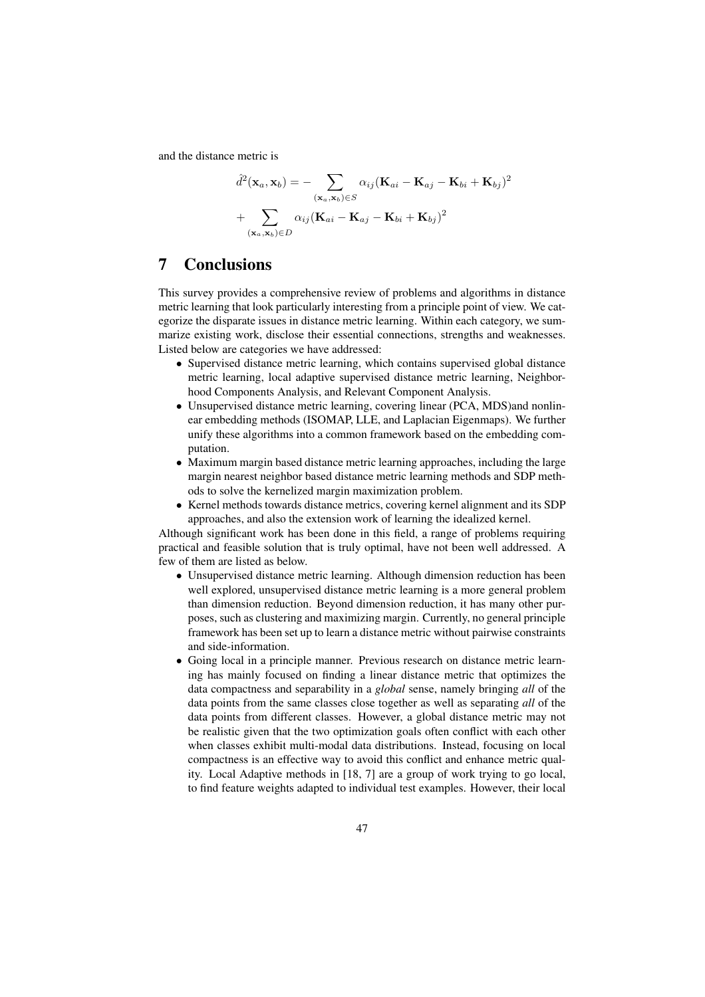and the distance metric is

$$
\hat{d}^{2}(\mathbf{x}_{a}, \mathbf{x}_{b}) = -\sum_{(\mathbf{x}_{a}, \mathbf{x}_{b}) \in S} \alpha_{ij} (\mathbf{K}_{ai} - \mathbf{K}_{aj} - \mathbf{K}_{bi} + \mathbf{K}_{bj})^{2}
$$

$$
+ \sum_{(\mathbf{x}_{a}, \mathbf{x}_{b}) \in D} \alpha_{ij} (\mathbf{K}_{ai} - \mathbf{K}_{aj} - \mathbf{K}_{bi} + \mathbf{K}_{bj})^{2}
$$

# 7 Conclusions

This survey provides a comprehensive review of problems and algorithms in distance metric learning that look particularly interesting from a principle point of view. We categorize the disparate issues in distance metric learning. Within each category, we summarize existing work, disclose their essential connections, strengths and weaknesses. Listed below are categories we have addressed:

- Supervised distance metric learning, which contains supervised global distance metric learning, local adaptive supervised distance metric learning, Neighborhood Components Analysis, and Relevant Component Analysis.
- Unsupervised distance metric learning, covering linear (PCA, MDS)and nonlinear embedding methods (ISOMAP, LLE, and Laplacian Eigenmaps). We further unify these algorithms into a common framework based on the embedding computation.
- Maximum margin based distance metric learning approaches, including the large margin nearest neighbor based distance metric learning methods and SDP methods to solve the kernelized margin maximization problem.
- Kernel methods towards distance metrics, covering kernel alignment and its SDP approaches, and also the extension work of learning the idealized kernel.

Although significant work has been done in this field, a range of problems requiring practical and feasible solution that is truly optimal, have not been well addressed. A few of them are listed as below.

- Unsupervised distance metric learning. Although dimension reduction has been well explored, unsupervised distance metric learning is a more general problem than dimension reduction. Beyond dimension reduction, it has many other purposes, such as clustering and maximizing margin. Currently, no general principle framework has been set up to learn a distance metric without pairwise constraints and side-information.
- Going local in a principle manner. Previous research on distance metric learning has mainly focused on finding a linear distance metric that optimizes the data compactness and separability in a *global* sense, namely bringing *all* of the data points from the same classes close together as well as separating *all* of the data points from different classes. However, a global distance metric may not be realistic given that the two optimization goals often conflict with each other when classes exhibit multi-modal data distributions. Instead, focusing on local compactness is an effective way to avoid this conflict and enhance metric quality. Local Adaptive methods in [18, 7] are a group of work trying to go local, to find feature weights adapted to individual test examples. However, their local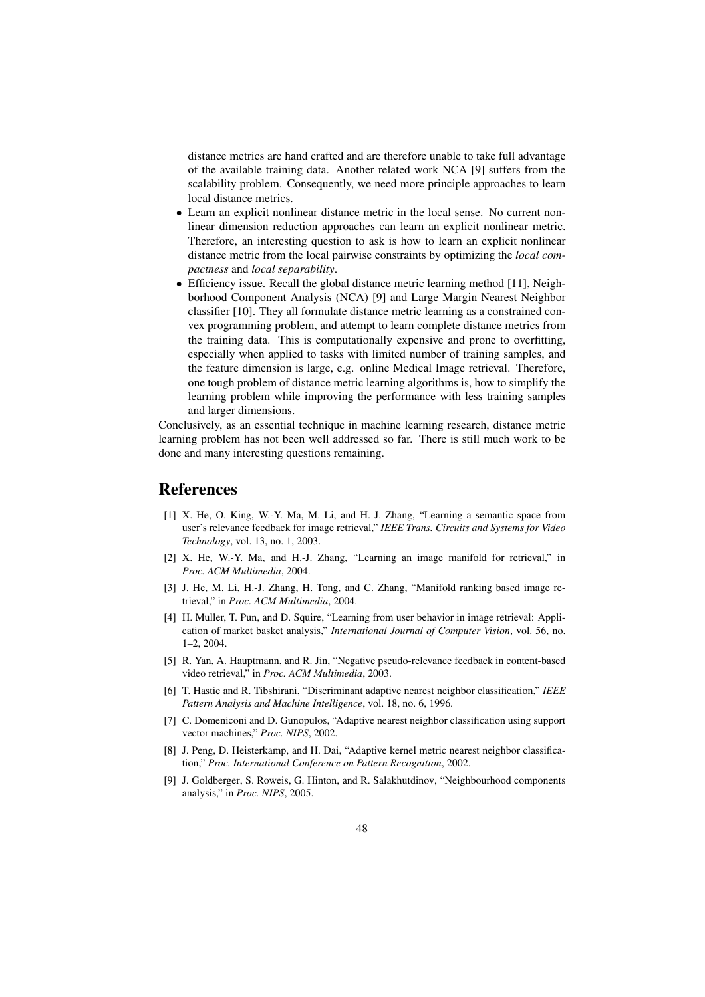distance metrics are hand crafted and are therefore unable to take full advantage of the available training data. Another related work NCA [9] suffers from the scalability problem. Consequently, we need more principle approaches to learn local distance metrics.

- Learn an explicit nonlinear distance metric in the local sense. No current nonlinear dimension reduction approaches can learn an explicit nonlinear metric. Therefore, an interesting question to ask is how to learn an explicit nonlinear distance metric from the local pairwise constraints by optimizing the *local compactness* and *local separability*.
- Efficiency issue. Recall the global distance metric learning method [11], Neighborhood Component Analysis (NCA) [9] and Large Margin Nearest Neighbor classifier [10]. They all formulate distance metric learning as a constrained convex programming problem, and attempt to learn complete distance metrics from the training data. This is computationally expensive and prone to overfitting, especially when applied to tasks with limited number of training samples, and the feature dimension is large, e.g. online Medical Image retrieval. Therefore, one tough problem of distance metric learning algorithms is, how to simplify the learning problem while improving the performance with less training samples and larger dimensions.

Conclusively, as an essential technique in machine learning research, distance metric learning problem has not been well addressed so far. There is still much work to be done and many interesting questions remaining.

# References

- [1] X. He, O. King, W.-Y. Ma, M. Li, and H. J. Zhang, "Learning a semantic space from user's relevance feedback for image retrieval," *IEEE Trans. Circuits and Systems for Video Technology*, vol. 13, no. 1, 2003.
- [2] X. He, W.-Y. Ma, and H.-J. Zhang, "Learning an image manifold for retrieval," in *Proc. ACM Multimedia*, 2004.
- [3] J. He, M. Li, H.-J. Zhang, H. Tong, and C. Zhang, "Manifold ranking based image retrieval," in *Proc. ACM Multimedia*, 2004.
- [4] H. Muller, T. Pun, and D. Squire, "Learning from user behavior in image retrieval: Application of market basket analysis," *International Journal of Computer Vision*, vol. 56, no. 1–2, 2004.
- [5] R. Yan, A. Hauptmann, and R. Jin, "Negative pseudo-relevance feedback in content-based video retrieval," in *Proc. ACM Multimedia*, 2003.
- [6] T. Hastie and R. Tibshirani, "Discriminant adaptive nearest neighbor classification," *IEEE Pattern Analysis and Machine Intelligence*, vol. 18, no. 6, 1996.
- [7] C. Domeniconi and D. Gunopulos, "Adaptive nearest neighbor classification using support vector machines," *Proc. NIPS*, 2002.
- [8] J. Peng, D. Heisterkamp, and H. Dai, "Adaptive kernel metric nearest neighbor classification," *Proc. International Conference on Pattern Recognition*, 2002.
- [9] J. Goldberger, S. Roweis, G. Hinton, and R. Salakhutdinov, "Neighbourhood components analysis," in *Proc. NIPS*, 2005.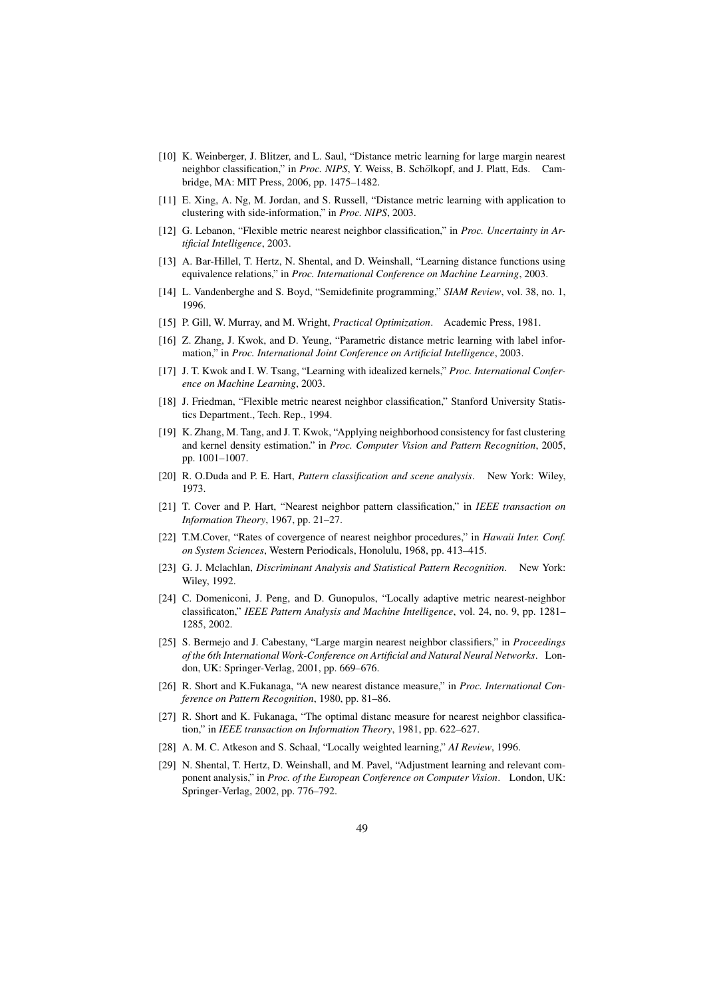- [10] K. Weinberger, J. Blitzer, and L. Saul, "Distance metric learning for large margin nearest neighbor classification," in *Proc. NIPS*, Y. Weiss, B. Schölkopf, and J. Platt, Eds. Cambridge, MA: MIT Press, 2006, pp. 1475–1482.
- [11] E. Xing, A. Ng, M. Jordan, and S. Russell, "Distance metric learning with application to clustering with side-information," in *Proc. NIPS*, 2003.
- [12] G. Lebanon, "Flexible metric nearest neighbor classification," in *Proc. Uncertainty in Artificial Intelligence*, 2003.
- [13] A. Bar-Hillel, T. Hertz, N. Shental, and D. Weinshall, "Learning distance functions using equivalence relations," in *Proc. International Conference on Machine Learning*, 2003.
- [14] L. Vandenberghe and S. Boyd, "Semidefinite programming," *SIAM Review*, vol. 38, no. 1, 1996.
- [15] P. Gill, W. Murray, and M. Wright, *Practical Optimization*. Academic Press, 1981.
- [16] Z. Zhang, J. Kwok, and D. Yeung, "Parametric distance metric learning with label information," in *Proc. International Joint Conference on Artificial Intelligence*, 2003.
- [17] J. T. Kwok and I. W. Tsang, "Learning with idealized kernels," *Proc. International Conference on Machine Learning*, 2003.
- [18] J. Friedman, "Flexible metric nearest neighbor classification," Stanford University Statistics Department., Tech. Rep., 1994.
- [19] K. Zhang, M. Tang, and J. T. Kwok, "Applying neighborhood consistency for fast clustering and kernel density estimation." in *Proc. Computer Vision and Pattern Recognition*, 2005, pp. 1001–1007.
- [20] R. O.Duda and P. E. Hart, *Pattern classification and scene analysis*. New York: Wiley, 1973.
- [21] T. Cover and P. Hart, "Nearest neighbor pattern classification," in *IEEE transaction on Information Theory*, 1967, pp. 21–27.
- [22] T.M.Cover, "Rates of covergence of nearest neighbor procedures," in *Hawaii Inter. Conf. on System Sciences*, Western Periodicals, Honolulu, 1968, pp. 413–415.
- [23] G. J. Mclachlan, *Discriminant Analysis and Statistical Pattern Recognition*. New York: Wiley, 1992.
- [24] C. Domeniconi, J. Peng, and D. Gunopulos, "Locally adaptive metric nearest-neighbor classificaton," *IEEE Pattern Analysis and Machine Intelligence*, vol. 24, no. 9, pp. 1281– 1285, 2002.
- [25] S. Bermejo and J. Cabestany, "Large margin nearest neighbor classifiers," in *Proceedings of the 6th International Work-Conference on Artificial and Natural Neural Networks*. London, UK: Springer-Verlag, 2001, pp. 669–676.
- [26] R. Short and K.Fukanaga, "A new nearest distance measure," in *Proc. International Conference on Pattern Recognition*, 1980, pp. 81–86.
- [27] R. Short and K. Fukanaga, "The optimal distanc measure for nearest neighbor classification," in *IEEE transaction on Information Theory*, 1981, pp. 622–627.
- [28] A. M. C. Atkeson and S. Schaal, "Locally weighted learning," *AI Review*, 1996.
- [29] N. Shental, T. Hertz, D. Weinshall, and M. Pavel, "Adjustment learning and relevant component analysis," in *Proc. of the European Conference on Computer Vision*. London, UK: Springer-Verlag, 2002, pp. 776–792.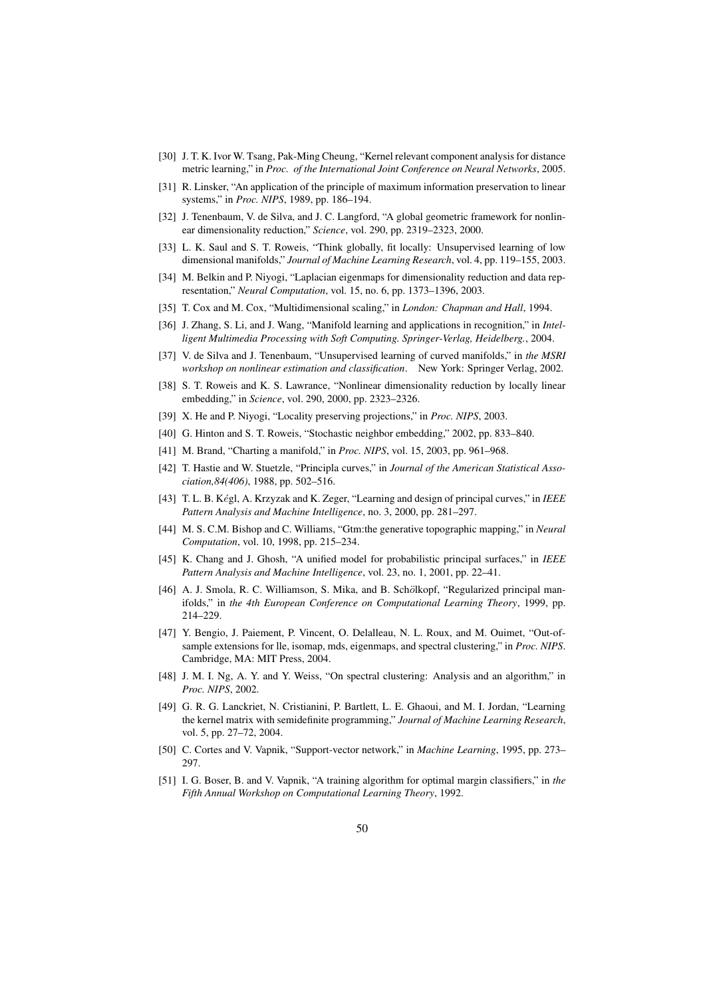- [30] J. T. K. Ivor W. Tsang, Pak-Ming Cheung, "Kernel relevant component analysis for distance metric learning," in *Proc. of the International Joint Conference on Neural Networks*, 2005.
- [31] R. Linsker, "An application of the principle of maximum information preservation to linear systems," in *Proc. NIPS*, 1989, pp. 186–194.
- [32] J. Tenenbaum, V. de Silva, and J. C. Langford, "A global geometric framework for nonlinear dimensionality reduction," *Science*, vol. 290, pp. 2319–2323, 2000.
- [33] L. K. Saul and S. T. Roweis, "Think globally, fit locally: Unsupervised learning of low dimensional manifolds," *Journal of Machine Learning Research*, vol. 4, pp. 119–155, 2003.
- [34] M. Belkin and P. Niyogi, "Laplacian eigenmaps for dimensionality reduction and data representation," *Neural Computation*, vol. 15, no. 6, pp. 1373–1396, 2003.
- [35] T. Cox and M. Cox, "Multidimensional scaling," in *London: Chapman and Hall*, 1994.
- [36] J. Zhang, S. Li, and J. Wang, "Manifold learning and applications in recognition," in *Intelligent Multimedia Processing with Soft Computing. Springer-Verlag, Heidelberg.*, 2004.
- [37] V. de Silva and J. Tenenbaum, "Unsupervised learning of curved manifolds," in *the MSRI workshop on nonlinear estimation and classification*. New York: Springer Verlag, 2002.
- [38] S. T. Roweis and K. S. Lawrance, "Nonlinear dimensionality reduction by locally linear embedding," in *Science*, vol. 290, 2000, pp. 2323–2326.
- [39] X. He and P. Niyogi, "Locality preserving projections," in *Proc. NIPS*, 2003.
- [40] G. Hinton and S. T. Roweis, "Stochastic neighbor embedding," 2002, pp. 833–840.
- [41] M. Brand, "Charting a manifold," in *Proc. NIPS*, vol. 15, 2003, pp. 961–968.
- [42] T. Hastie and W. Stuetzle, "Principla curves," in *Journal of the American Statistical Association,84(406)*, 1988, pp. 502–516.
- [43] T. L. B. Kégl, A. Krzyzak and K. Zeger, "Learning and design of principal curves," in *IEEE Pattern Analysis and Machine Intelligence*, no. 3, 2000, pp. 281–297.
- [44] M. S. C.M. Bishop and C. Williams, "Gtm:the generative topographic mapping," in *Neural Computation*, vol. 10, 1998, pp. 215–234.
- [45] K. Chang and J. Ghosh, "A unified model for probabilistic principal surfaces," in *IEEE Pattern Analysis and Machine Intelligence*, vol. 23, no. 1, 2001, pp. 22–41.
- [46] A. J. Smola, R. C. Williamson, S. Mika, and B. Schölkopf, "Regularized principal manifolds," in *the 4th European Conference on Computational Learning Theory*, 1999, pp. 214–229.
- [47] Y. Bengio, J. Paiement, P. Vincent, O. Delalleau, N. L. Roux, and M. Ouimet, "Out-ofsample extensions for lle, isomap, mds, eigenmaps, and spectral clustering," in *Proc. NIPS*. Cambridge, MA: MIT Press, 2004.
- [48] J. M. I. Ng, A. Y. and Y. Weiss, "On spectral clustering: Analysis and an algorithm," in *Proc. NIPS*, 2002.
- [49] G. R. G. Lanckriet, N. Cristianini, P. Bartlett, L. E. Ghaoui, and M. I. Jordan, "Learning the kernel matrix with semidefinite programming," *Journal of Machine Learning Research*, vol. 5, pp. 27–72, 2004.
- [50] C. Cortes and V. Vapnik, "Support-vector network," in *Machine Learning*, 1995, pp. 273– 297.
- [51] I. G. Boser, B. and V. Vapnik, "A training algorithm for optimal margin classifiers," in *the Fifth Annual Workshop on Computational Learning Theory*, 1992.